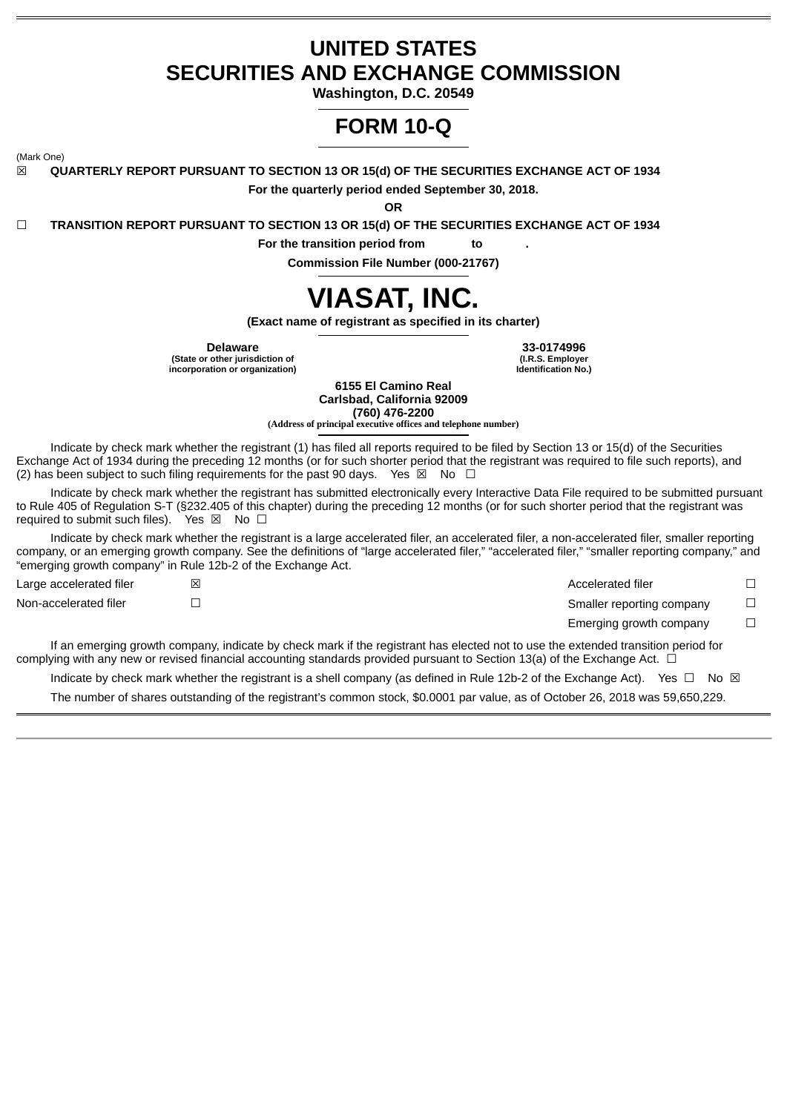## **UNITED STATES SECURITIES AND EXCHANGE COMMISSION**

**Washington, D.C. 20549**

# **FORM 10-Q**

(Mark One)

☒ **QUARTERLY REPORT PURSUANT TO SECTION 13 OR 15(d) OF THE SECURITIES EXCHANGE ACT OF 1934**

**For the quarterly period ended September 30, 2018.**

**OR**

☐ **TRANSITION REPORT PURSUANT TO SECTION 13 OR 15(d) OF THE SECURITIES EXCHANGE ACT OF 1934**

**For the transition period from to .**

**Commission File Number (000-21767)**

# **VIASAT, INC.**

**(Exact name of registrant as specified in its charter)**

**Delaware 33-0174996 (State or other jurisdiction of incorporation or organization)**

**(I.R.S. Employer Identification No.)**

**6155 El Camino Real Carlsbad, California 92009 (760) 476-2200**

**(Address of principal executive offices and telephone number)**

Indicate by check mark whether the registrant (1) has filed all reports required to be filed by Section 13 or 15(d) of the Securities Exchange Act of 1934 during the preceding 12 months (or for such shorter period that the registrant was required to file such reports), and (2) has been subject to such filing requirements for the past 90 days. Yes  $\boxtimes$  No  $\Box$ 

Indicate by check mark whether the registrant has submitted electronically every Interactive Data File required to be submitted pursuant to Rule 405 of Regulation S-T (§232.405 of this chapter) during the preceding 12 months (or for such shorter period that the registrant was required to submit such files). Yes  $\boxtimes$  No  $\Box$ 

Indicate by check mark whether the registrant is a large accelerated filer, an accelerated filer, a non-accelerated filer, smaller reporting company, or an emerging growth company. See the definitions of "large accelerated filer," "accelerated filer," "smaller reporting company," and "emerging growth company" in Rule 12b-2 of the Exchange Act.

| Large accelerated filer | ⊠ | Accelerated filer         |  |
|-------------------------|---|---------------------------|--|
| Non-accelerated filer   |   | Smaller reporting company |  |
|                         |   | Emerging growth company   |  |

If an emerging growth company, indicate by check mark if the registrant has elected not to use the extended transition period for complying with any new or revised financial accounting standards provided pursuant to Section 13(a) of the Exchange Act.  $\Box$ 

Indicate by check mark whether the registrant is a shell company (as defined in Rule 12b-2 of the Exchange Act). Yes  $\Box$  No  $\boxtimes$ 

The number of shares outstanding of the registrant's common stock, \$0.0001 par value, as of October 26, 2018 was 59,650,229.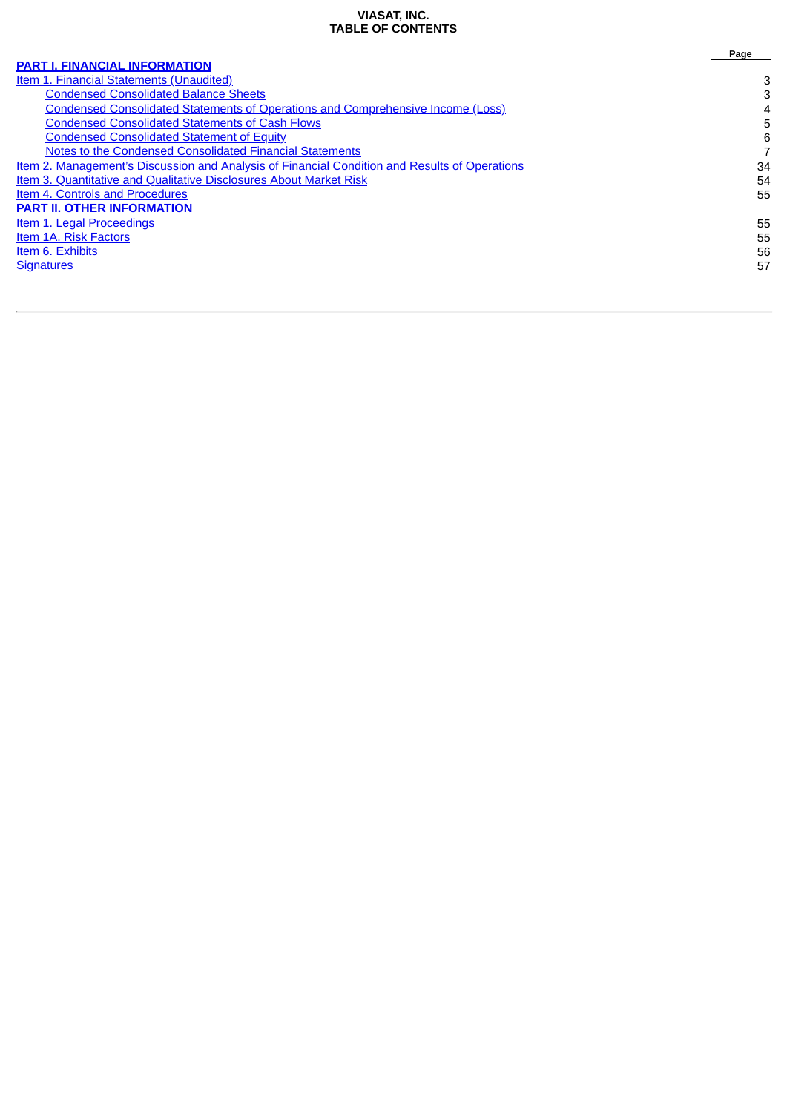#### **VIASAT, INC. TABLE OF CONTENTS**

| <b>PART I. FINANCIAL INFORMATION</b>                                                          |    |
|-----------------------------------------------------------------------------------------------|----|
| Item 1. Financial Statements (Unaudited)                                                      | 3  |
| <b>Condensed Consolidated Balance Sheets</b>                                                  | 3  |
| <b>Condensed Consolidated Statements of Operations and Comprehensive Income (Loss)</b>        |    |
| <b>Condensed Consolidated Statements of Cash Flows</b>                                        | 5  |
| <b>Condensed Consolidated Statement of Equity</b>                                             | 6  |
| Notes to the Condensed Consolidated Financial Statements                                      |    |
| Item 2. Management's Discussion and Analysis of Financial Condition and Results of Operations | 34 |
| Item 3. Quantitative and Qualitative Disclosures About Market Risk                            | 54 |
| Item 4. Controls and Procedures                                                               | 55 |
| <b>PART II. OTHER INFORMATION</b>                                                             |    |
| <b>Item 1. Legal Proceedings</b>                                                              | 55 |
| Item 1A. Risk Factors                                                                         | 55 |
| Item 6. Exhibits                                                                              | 56 |
| <b>Signatures</b>                                                                             | 57 |
|                                                                                               |    |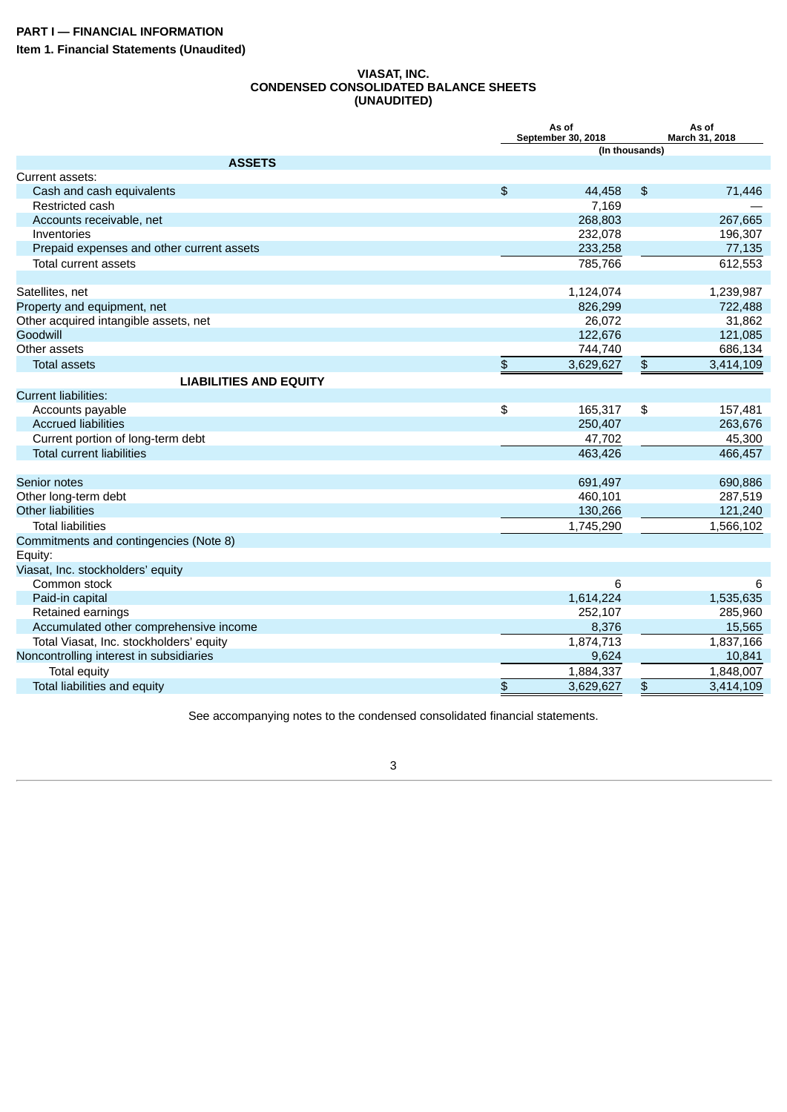#### **VIASAT, INC. CONDENSED CONSOLIDATED BALANCE SHEETS (UNAUDITED)**

<span id="page-2-2"></span><span id="page-2-1"></span><span id="page-2-0"></span>

|                                           | As of<br>September 30, 2018 |           |                | As of<br>March 31, 2018 |
|-------------------------------------------|-----------------------------|-----------|----------------|-------------------------|
|                                           |                             |           | (In thousands) |                         |
| <b>ASSETS</b>                             |                             |           |                |                         |
| Current assets:                           |                             |           |                |                         |
| Cash and cash equivalents                 | \$                          | 44,458    | $\mathfrak{P}$ | 71,446                  |
| Restricted cash                           |                             | 7,169     |                |                         |
| Accounts receivable, net                  |                             | 268,803   |                | 267,665                 |
| Inventories                               |                             | 232,078   |                | 196,307                 |
| Prepaid expenses and other current assets |                             | 233,258   |                | 77,135                  |
| Total current assets                      |                             | 785,766   |                | 612,553                 |
|                                           |                             |           |                |                         |
| Satellites, net                           |                             | 1,124,074 |                | 1,239,987               |
| Property and equipment, net               |                             | 826,299   |                | 722,488                 |
| Other acquired intangible assets, net     |                             | 26,072    |                | 31,862                  |
| Goodwill                                  |                             | 122,676   |                | 121,085                 |
| Other assets                              |                             | 744,740   |                | 686,134                 |
| <b>Total assets</b>                       | \$                          | 3,629,627 | \$             | 3,414,109               |
| <b>LIABILITIES AND EQUITY</b>             |                             |           |                |                         |
| <b>Current liabilities:</b>               |                             |           |                |                         |
| Accounts payable                          | \$                          | 165,317   | \$             | 157,481                 |
| <b>Accrued liabilities</b>                |                             | 250,407   |                | 263,676                 |
| Current portion of long-term debt         |                             | 47,702    |                | 45,300                  |
| <b>Total current liabilities</b>          |                             | 463,426   |                | 466,457                 |
|                                           |                             |           |                |                         |
| Senior notes                              |                             | 691,497   |                | 690,886                 |
| Other long-term debt                      |                             | 460,101   |                | 287,519                 |
| <b>Other liabilities</b>                  |                             | 130,266   |                | 121,240                 |
| <b>Total liabilities</b>                  |                             | 1,745,290 |                | 1,566,102               |
| Commitments and contingencies (Note 8)    |                             |           |                |                         |
| Equity:                                   |                             |           |                |                         |
| Viasat, Inc. stockholders' equity         |                             |           |                |                         |
| Common stock                              |                             | 6         |                | 6                       |
| Paid-in capital                           |                             | 1,614,224 |                | 1,535,635               |
| Retained earnings                         |                             | 252,107   |                | 285,960                 |
| Accumulated other comprehensive income    |                             | 8,376     |                | 15,565                  |
| Total Viasat, Inc. stockholders' equity   |                             | 1,874,713 |                | 1,837,166               |
| Noncontrolling interest in subsidiaries   |                             | 9,624     |                | 10,841                  |
| <b>Total equity</b>                       |                             | 1,884,337 |                | 1,848,007               |
| Total liabilities and equity              | \$                          | 3,629,627 | \$             | 3,414,109               |

See accompanying notes to the condensed consolidated financial statements.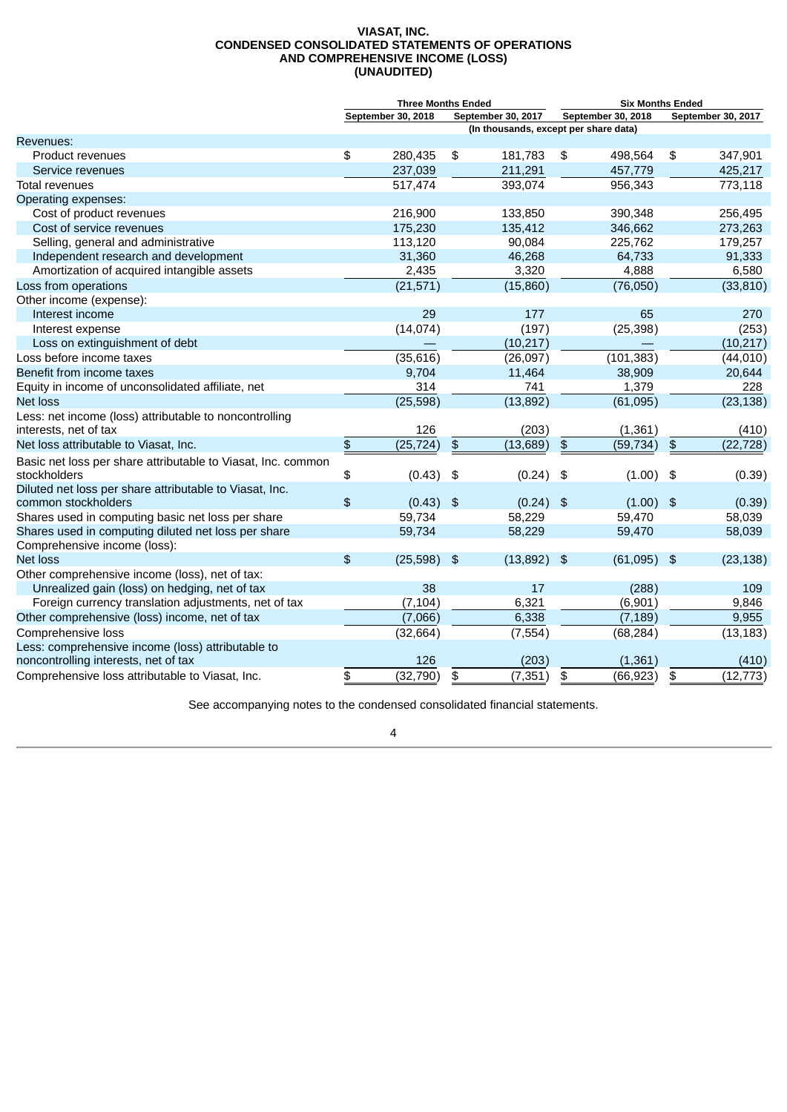#### **VIASAT, INC. CONDENSED CONSOLIDATED STATEMENTS OF OPERATIONS AND COMPREHENSIVE INCOME (LOSS) (UNAUDITED)**

<span id="page-3-0"></span>

|                                                              | <b>Three Months Ended</b> |                    |                            | <b>Six Months Ended</b>               |                      |                    |      |                    |
|--------------------------------------------------------------|---------------------------|--------------------|----------------------------|---------------------------------------|----------------------|--------------------|------|--------------------|
|                                                              |                           | September 30, 2018 |                            | September 30, 2017                    |                      | September 30, 2018 |      | September 30, 2017 |
|                                                              |                           |                    |                            | (In thousands, except per share data) |                      |                    |      |                    |
| Revenues:                                                    |                           |                    |                            |                                       |                      |                    |      |                    |
| Product revenues                                             | \$                        | 280,435            | \$                         | 181,783                               | \$                   | 498,564            | \$   | 347,901            |
| Service revenues                                             |                           | 237,039            |                            | 211,291                               |                      | 457,779            |      | 425,217            |
| <b>Total revenues</b>                                        |                           | 517,474            |                            | 393,074                               |                      | 956,343            |      | 773,118            |
| Operating expenses:                                          |                           |                    |                            |                                       |                      |                    |      |                    |
| Cost of product revenues                                     |                           | 216,900            |                            | 133,850                               |                      | 390,348            |      | 256,495            |
| Cost of service revenues                                     |                           | 175,230            |                            | 135,412                               |                      | 346,662            |      | 273,263            |
| Selling, general and administrative                          |                           | 113,120            |                            | 90,084                                |                      | 225,762            |      | 179,257            |
| Independent research and development                         |                           | 31,360             |                            | 46,268                                |                      | 64,733             |      | 91,333             |
| Amortization of acquired intangible assets                   |                           | 2,435              |                            | 3,320                                 |                      | 4,888              |      | 6,580              |
| Loss from operations                                         |                           | (21, 571)          |                            | (15,860)                              |                      | (76,050)           |      | (33, 810)          |
| Other income (expense):                                      |                           |                    |                            |                                       |                      |                    |      |                    |
| Interest income                                              |                           | 29                 |                            | 177                                   |                      | 65                 |      | 270                |
| Interest expense                                             |                           | (14,074)           |                            | (197)                                 |                      | (25, 398)          |      | (253)              |
| Loss on extinguishment of debt                               |                           |                    |                            | (10, 217)                             |                      |                    |      | (10, 217)          |
| Loss before income taxes                                     |                           | (35, 616)          |                            | (26, 097)                             |                      | (101, 383)         |      | (44, 010)          |
| Benefit from income taxes                                    |                           | 9,704              |                            | 11,464                                |                      | 38,909             |      | 20,644             |
| Equity in income of unconsolidated affiliate, net            |                           | 314                |                            | 741                                   |                      | 1,379              |      | 228                |
| <b>Net loss</b>                                              |                           | (25, 598)          |                            | (13, 892)                             |                      | (61,095)           |      | (23, 138)          |
| Less: net income (loss) attributable to noncontrolling       |                           |                    |                            |                                       |                      |                    |      |                    |
| interests, net of tax                                        |                           | 126                |                            | (203)                                 |                      | (1, 361)           |      | (410)              |
| Net loss attributable to Viasat, Inc.                        | \$                        | (25, 724)          | $\pmb{\mathfrak{s}}$       | (13,689)                              | $\pmb{\mathfrak{P}}$ | (59, 734)          | $\,$ | (22, 728)          |
| Basic net loss per share attributable to Viasat, Inc. common |                           |                    |                            |                                       |                      |                    |      |                    |
| stockholders                                                 | \$                        | (0.43)             | $\boldsymbol{\mathsf{\$}}$ | (0.24)                                | \$                   | (1.00)             | \$   | (0.39)             |
| Diluted net loss per share attributable to Viasat, Inc.      |                           |                    |                            |                                       |                      |                    |      |                    |
| common stockholders                                          | \$                        | $(0.43)$ \$        |                            | $(0.24)$ \$                           |                      | $(1.00)$ \$        |      | (0.39)             |
| Shares used in computing basic net loss per share            |                           | 59,734             |                            | 58,229                                |                      | 59,470             |      | 58,039             |
| Shares used in computing diluted net loss per share          |                           | 59,734             |                            | 58,229                                |                      | 59,470             |      | 58,039             |
| Comprehensive income (loss):                                 |                           |                    |                            |                                       |                      |                    |      |                    |
| <b>Net loss</b>                                              | \$                        | (25, 598)          | \$                         | (13, 892)                             | \$                   | (61,095)           | \$   | (23, 138)          |
| Other comprehensive income (loss), net of tax:               |                           |                    |                            |                                       |                      |                    |      |                    |
| Unrealized gain (loss) on hedging, net of tax                |                           | 38                 |                            | 17                                    |                      | (288)              |      | 109                |
| Foreign currency translation adjustments, net of tax         |                           | (7, 104)           |                            | 6,321                                 |                      | (6,901)            |      | 9,846              |
| Other comprehensive (loss) income, net of tax                |                           | (7,066)            |                            | 6,338                                 |                      | (7, 189)           |      | 9,955              |
| Comprehensive loss                                           |                           | (32, 664)          |                            | (7, 554)                              |                      | (68, 284)          |      | (13, 183)          |
| Less: comprehensive income (loss) attributable to            |                           |                    |                            |                                       |                      |                    |      |                    |
| noncontrolling interests, net of tax                         |                           | 126                |                            | (203)                                 |                      | (1, 361)           |      | (410)              |
| Comprehensive loss attributable to Viasat, Inc.              | \$                        | (32, 790)          | \$                         | (7, 351)                              | \$                   | (66, 923)          | \$   | (12, 773)          |

See accompanying notes to the condensed consolidated financial statements.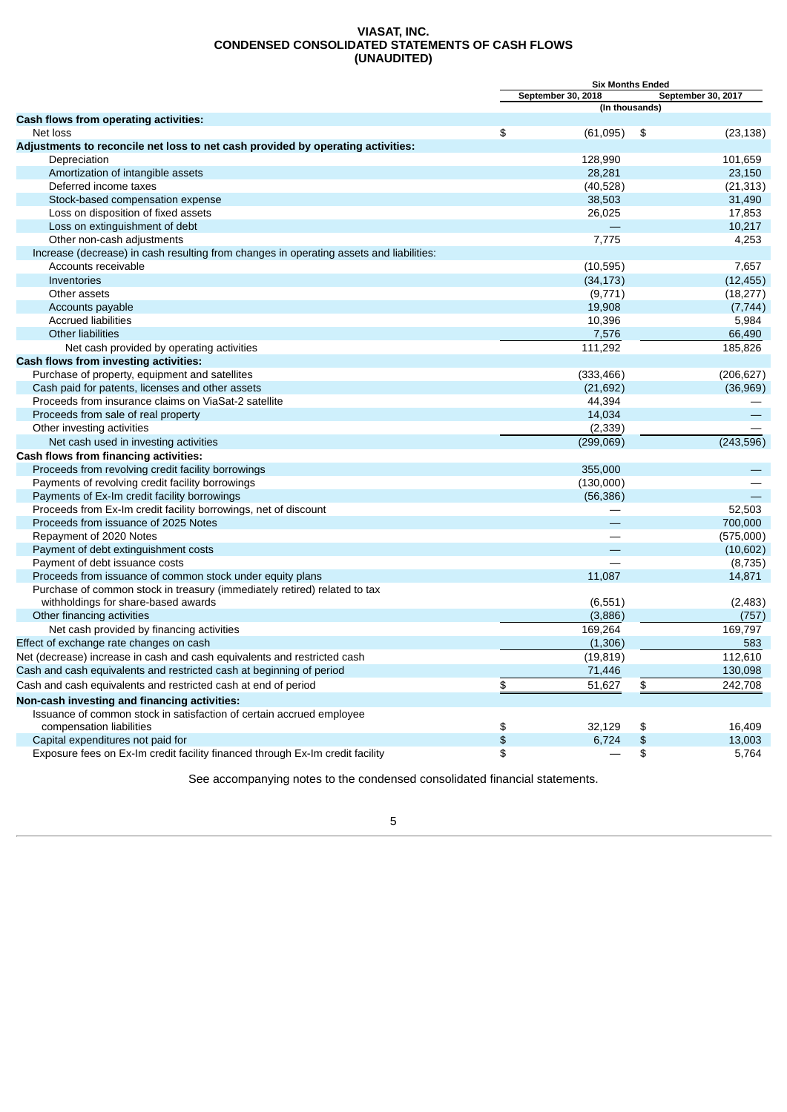#### **VIASAT, INC. CONDENSED CONSOLIDATED STATEMENTS OF CASH FLOWS (UNAUDITED)**

<span id="page-4-0"></span>

|                                                                                                                  | <b>Six Months Ended</b> |                    |
|------------------------------------------------------------------------------------------------------------------|-------------------------|--------------------|
|                                                                                                                  | September 30, 2018      | September 30, 2017 |
|                                                                                                                  | (In thousands)          |                    |
| Cash flows from operating activities:                                                                            | \$                      |                    |
| Net loss                                                                                                         | (61,095)                | \$<br>(23, 138)    |
| Adjustments to reconcile net loss to net cash provided by operating activities:<br>Depreciation                  | 128.990                 | 101.659            |
| Amortization of intangible assets                                                                                | 28,281                  | 23,150             |
| Deferred income taxes                                                                                            | (40,528)                | (21, 313)          |
| Stock-based compensation expense                                                                                 | 38,503                  | 31,490             |
|                                                                                                                  | 26,025                  | 17,853             |
| Loss on disposition of fixed assets<br>Loss on extinguishment of debt                                            |                         | 10,217             |
| Other non-cash adjustments                                                                                       | 7,775                   | 4,253              |
| Increase (decrease) in cash resulting from changes in operating assets and liabilities:                          |                         |                    |
| Accounts receivable                                                                                              | (10, 595)               | 7,657              |
| Inventories                                                                                                      |                         | (12, 455)          |
| Other assets                                                                                                     | (34, 173)<br>(9,771)    | (18, 277)          |
| Accounts payable                                                                                                 | 19,908                  | (7, 744)           |
| <b>Accrued liabilities</b>                                                                                       | 10,396                  | 5,984              |
| <b>Other liabilities</b>                                                                                         | 7,576                   | 66,490             |
| Net cash provided by operating activities                                                                        | 111,292                 | 185,826            |
| Cash flows from investing activities:                                                                            |                         |                    |
| Purchase of property, equipment and satellites                                                                   | (333, 466)              | (206, 627)         |
|                                                                                                                  | (21, 692)               | (36,969)           |
| Cash paid for patents, licenses and other assets<br>Proceeds from insurance claims on ViaSat-2 satellite         | 44,394                  |                    |
|                                                                                                                  |                         |                    |
| Proceeds from sale of real property                                                                              | 14,034                  |                    |
| Other investing activities                                                                                       | (2,339)                 |                    |
| Net cash used in investing activities                                                                            | (299,069)               | (243, 596)         |
| Cash flows from financing activities:                                                                            |                         |                    |
| Proceeds from revolving credit facility borrowings                                                               | 355,000                 |                    |
| Payments of revolving credit facility borrowings                                                                 | (130,000)               |                    |
| Payments of Ex-Im credit facility borrowings                                                                     | (56, 386)               |                    |
| Proceeds from Ex-Im credit facility borrowings, net of discount                                                  |                         | 52,503             |
| Proceeds from issuance of 2025 Notes                                                                             |                         | 700,000            |
| Repayment of 2020 Notes                                                                                          |                         | (575,000)          |
| Payment of debt extinguishment costs                                                                             |                         | (10,602)           |
| Payment of debt issuance costs                                                                                   |                         | (8,735)            |
| Proceeds from issuance of common stock under equity plans                                                        | 11,087                  | 14,871             |
| Purchase of common stock in treasury (immediately retired) related to tax<br>withholdings for share-based awards | (6, 551)                | (2,483)            |
| Other financing activities                                                                                       | (3,886)                 | (757)              |
|                                                                                                                  | 169,264                 | 169.797            |
| Net cash provided by financing activities                                                                        |                         |                    |
| Effect of exchange rate changes on cash                                                                          | (1,306)                 | 583                |
| Net (decrease) increase in cash and cash equivalents and restricted cash                                         | (19, 819)               | 112.610            |
| Cash and cash equivalents and restricted cash at beginning of period                                             | 71,446                  | 130,098            |
| Cash and cash equivalents and restricted cash at end of period                                                   | \$<br>51.627            | \$<br>242.708      |
| Non-cash investing and financing activities:                                                                     |                         |                    |
| Issuance of common stock in satisfaction of certain accrued employee                                             |                         |                    |
| compensation liabilities                                                                                         | \$<br>32,129            | \$<br>16.409       |
| Capital expenditures not paid for                                                                                | \$<br>6,724             | \$<br>13,003       |
| Exposure fees on Ex-Im credit facility financed through Ex-Im credit facility                                    | \$                      | \$<br>5,764        |

See accompanying notes to the condensed consolidated financial statements.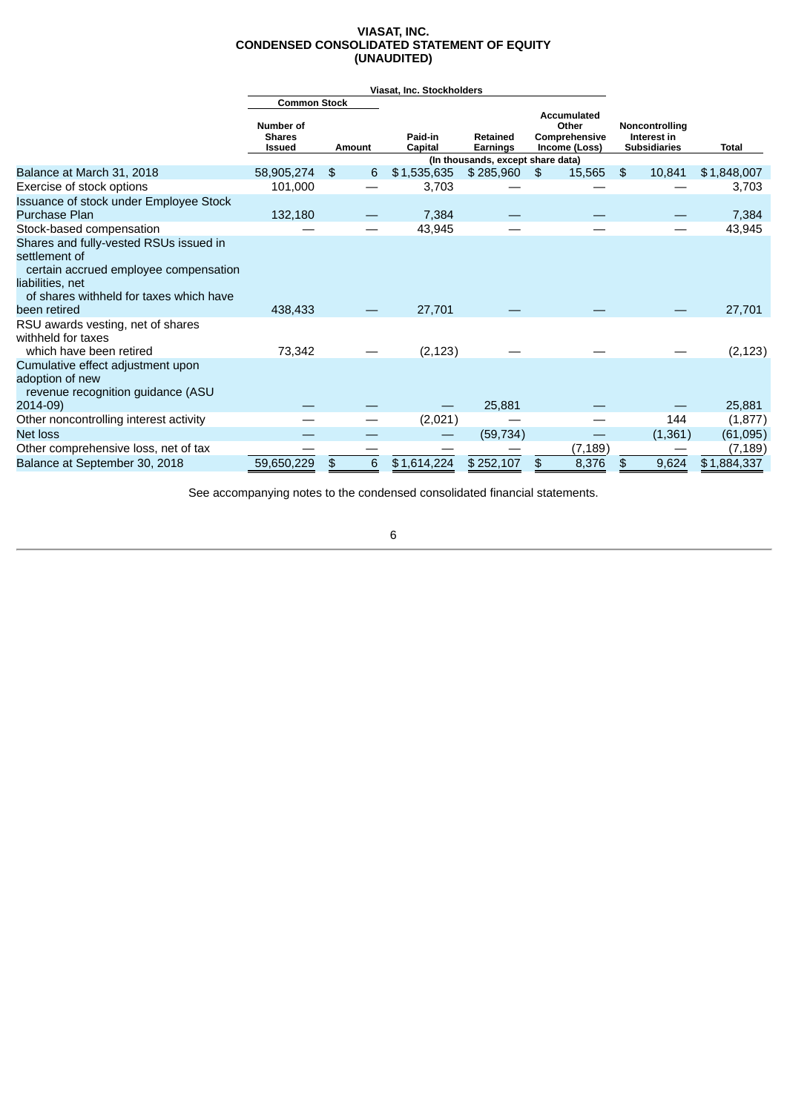#### **VIASAT, INC. CONDENSED CONSOLIDATED STATEMENT OF EQUITY (UNAUDITED)**

<span id="page-5-0"></span>

|                                                                                                                                                                 |                                                    |        |   | Viasat, Inc. Stockholders |                                    |                                                               |                                                      |              |
|-----------------------------------------------------------------------------------------------------------------------------------------------------------------|----------------------------------------------------|--------|---|---------------------------|------------------------------------|---------------------------------------------------------------|------------------------------------------------------|--------------|
|                                                                                                                                                                 | <b>Common Stock</b>                                |        |   |                           |                                    |                                                               |                                                      |              |
|                                                                                                                                                                 | <b>Number of</b><br><b>Shares</b><br><b>Issued</b> | Amount |   | Paid-in<br>Capital        | <b>Retained</b><br><b>Earnings</b> | <b>Accumulated</b><br>Other<br>Comprehensive<br>Income (Loss) | Noncontrolling<br>Interest in<br><b>Subsidiaries</b> | <b>Total</b> |
|                                                                                                                                                                 |                                                    |        |   |                           | (In thousands, except share data)  |                                                               |                                                      |              |
| Balance at March 31, 2018                                                                                                                                       | 58,905,274                                         | \$     | 6 | \$1,535,635               | \$285,960                          | 15,565<br>\$                                                  | 10,841<br>\$                                         | \$1,848,007  |
| Exercise of stock options                                                                                                                                       | 101,000                                            |        |   | 3,703                     |                                    |                                                               |                                                      | 3,703        |
| Issuance of stock under Employee Stock<br><b>Purchase Plan</b>                                                                                                  | 132,180                                            |        |   | 7,384                     |                                    |                                                               |                                                      | 7,384        |
| Stock-based compensation                                                                                                                                        |                                                    |        |   | 43,945                    |                                    |                                                               |                                                      | 43,945       |
| Shares and fully-vested RSUs issued in<br>settlement of<br>certain accrued employee compensation<br>liabilities, net<br>of shares withheld for taxes which have |                                                    |        |   |                           |                                    |                                                               |                                                      |              |
| been retired                                                                                                                                                    | 438,433                                            |        |   | 27,701                    |                                    |                                                               |                                                      | 27,701       |
| RSU awards vesting, net of shares<br>withheld for taxes<br>which have been retired                                                                              | 73,342                                             |        |   | (2, 123)                  |                                    |                                                               |                                                      | (2, 123)     |
| Cumulative effect adjustment upon<br>adoption of new<br>revenue recognition guidance (ASU<br>2014-09)                                                           |                                                    |        |   |                           | 25,881                             |                                                               |                                                      | 25,881       |
| Other noncontrolling interest activity                                                                                                                          |                                                    |        |   | (2,021)                   |                                    |                                                               | 144                                                  | (1, 877)     |
| Net loss                                                                                                                                                        |                                                    |        |   |                           | (59, 734)                          |                                                               | (1, 361)                                             | (61,095)     |
| Other comprehensive loss, net of tax                                                                                                                            |                                                    |        |   |                           |                                    | (7, 189)                                                      |                                                      | (7, 189)     |
| Balance at September 30, 2018                                                                                                                                   | 59,650,229                                         | \$     | 6 | \$1,614,224               | \$252,107                          | 8,376<br>\$                                                   | 9,624<br>\$                                          | \$1,884,337  |

See accompanying notes to the condensed consolidated financial statements.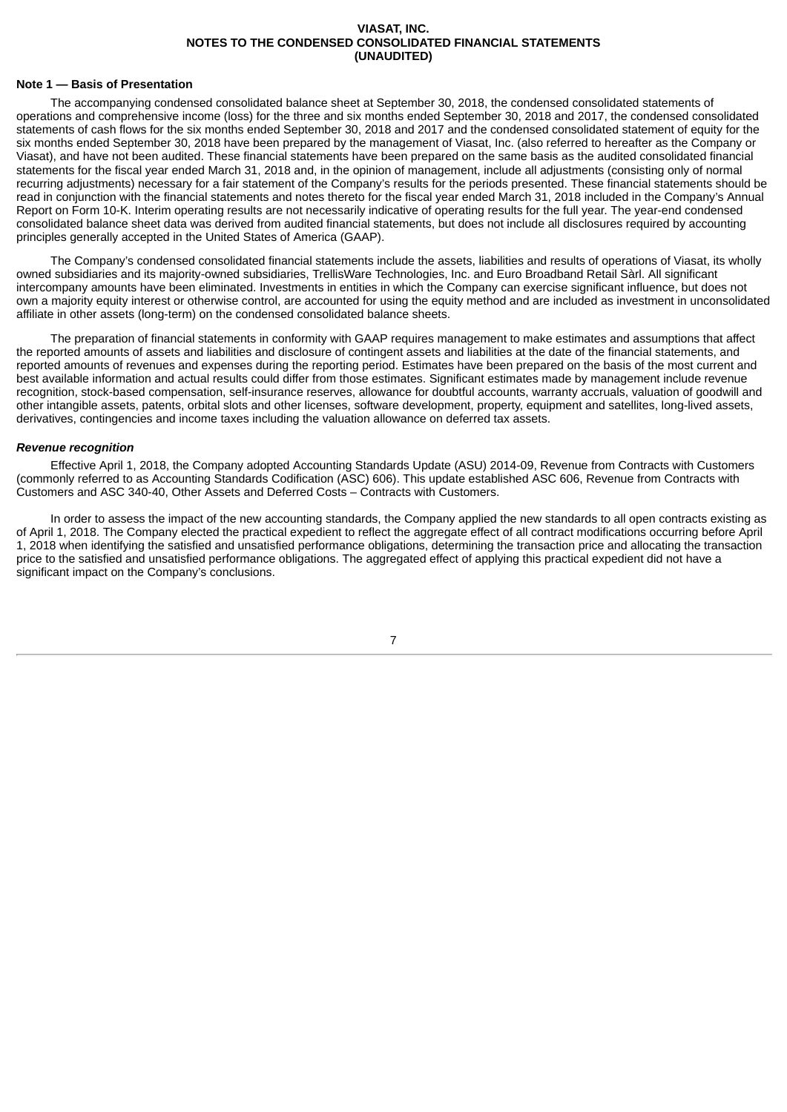#### <span id="page-6-0"></span>**Note 1 — Basis of Presentation**

The accompanying condensed consolidated balance sheet at September 30, 2018, the condensed consolidated statements of operations and comprehensive income (loss) for the three and six months ended September 30, 2018 and 2017, the condensed consolidated statements of cash flows for the six months ended September 30, 2018 and 2017 and the condensed consolidated statement of equity for the six months ended September 30, 2018 have been prepared by the management of Viasat, Inc. (also referred to hereafter as the Company or Viasat), and have not been audited. These financial statements have been prepared on the same basis as the audited consolidated financial statements for the fiscal year ended March 31, 2018 and, in the opinion of management, include all adjustments (consisting only of normal recurring adjustments) necessary for a fair statement of the Company's results for the periods presented. These financial statements should be read in conjunction with the financial statements and notes thereto for the fiscal year ended March 31, 2018 included in the Company's Annual Report on Form 10-K. Interim operating results are not necessarily indicative of operating results for the full year. The year-end condensed consolidated balance sheet data was derived from audited financial statements, but does not include all disclosures required by accounting principles generally accepted in the United States of America (GAAP).

The Company's condensed consolidated financial statements include the assets, liabilities and results of operations of Viasat, its wholly owned subsidiaries and its majority-owned subsidiaries, TrellisWare Technologies, Inc. and Euro Broadband Retail Sàrl. All significant intercompany amounts have been eliminated. Investments in entities in which the Company can exercise significant influence, but does not own a majority equity interest or otherwise control, are accounted for using the equity method and are included as investment in unconsolidated affiliate in other assets (long-term) on the condensed consolidated balance sheets.

The preparation of financial statements in conformity with GAAP requires management to make estimates and assumptions that affect the reported amounts of assets and liabilities and disclosure of contingent assets and liabilities at the date of the financial statements, and reported amounts of revenues and expenses during the reporting period. Estimates have been prepared on the basis of the most current and best available information and actual results could differ from those estimates. Significant estimates made by management include revenue recognition, stock-based compensation, self-insurance reserves, allowance for doubtful accounts, warranty accruals, valuation of goodwill and other intangible assets, patents, orbital slots and other licenses, software development, property, equipment and satellites, long-lived assets, derivatives, contingencies and income taxes including the valuation allowance on deferred tax assets.

#### *Revenue recognition*

Effective April 1, 2018, the Company adopted Accounting Standards Update (ASU) 2014-09, Revenue from Contracts with Customers (commonly referred to as Accounting Standards Codification (ASC) 606). This update established ASC 606, Revenue from Contracts with Customers and ASC 340-40, Other Assets and Deferred Costs – Contracts with Customers.

In order to assess the impact of the new accounting standards, the Company applied the new standards to all open contracts existing as of April 1, 2018. The Company elected the practical expedient to reflect the aggregate effect of all contract modifications occurring before April 1, 2018 when identifying the satisfied and unsatisfied performance obligations, determining the transaction price and allocating the transaction price to the satisfied and unsatisfied performance obligations. The aggregated effect of applying this practical expedient did not have a significant impact on the Company's conclusions.

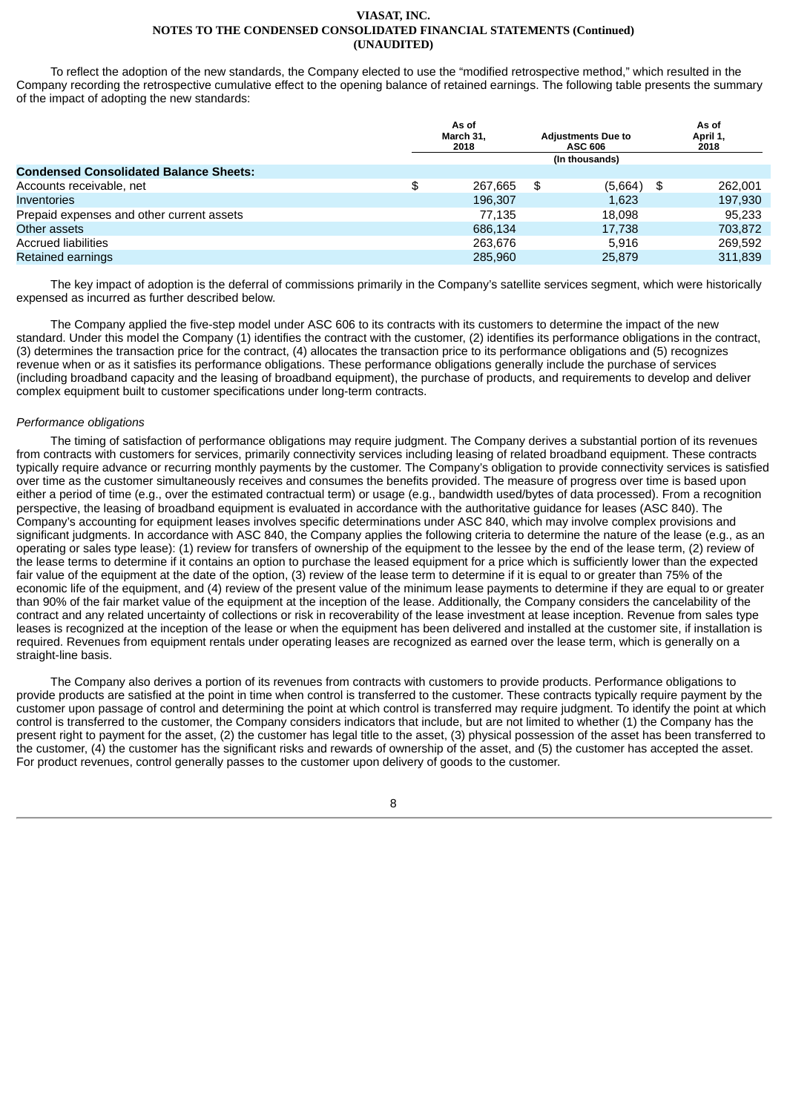To reflect the adoption of the new standards, the Company elected to use the "modified retrospective method," which resulted in the Company recording the retrospective cumulative effect to the opening balance of retained earnings. The following table presents the summary of the impact of adopting the new standards:

| As of<br>March 31,<br>2018 | <b>ASC 606</b> |                           | As of<br>April 1,<br>2018 |
|----------------------------|----------------|---------------------------|---------------------------|
|                            | (In thousands) |                           |                           |
|                            |                |                           |                           |
| \$<br>267.665              | \$             |                           | 262,001                   |
| 196,307                    | 1.623          |                           | 197.930                   |
| 77.135                     | 18.098         |                           | 95.233                    |
| 686.134                    | 17,738         |                           | 703,872                   |
| 263.676                    | 5.916          |                           | 269.592                   |
| 285,960                    | 25,879         |                           | 311,839                   |
|                            |                | <b>Adjustments Due to</b> | $(5,664)$ \$              |

The key impact of adoption is the deferral of commissions primarily in the Company's satellite services segment, which were historically expensed as incurred as further described below.

The Company applied the five-step model under ASC 606 to its contracts with its customers to determine the impact of the new standard. Under this model the Company (1) identifies the contract with the customer, (2) identifies its performance obligations in the contract, (3) determines the transaction price for the contract, (4) allocates the transaction price to its performance obligations and (5) recognizes revenue when or as it satisfies its performance obligations. These performance obligations generally include the purchase of services (including broadband capacity and the leasing of broadband equipment), the purchase of products, and requirements to develop and deliver complex equipment built to customer specifications under long-term contracts.

#### *Performance obligations*

The timing of satisfaction of performance obligations may require judgment. The Company derives a substantial portion of its revenues from contracts with customers for services, primarily connectivity services including leasing of related broadband equipment. These contracts typically require advance or recurring monthly payments by the customer. The Company's obligation to provide connectivity services is satisfied over time as the customer simultaneously receives and consumes the benefits provided. The measure of progress over time is based upon either a period of time (e.g., over the estimated contractual term) or usage (e.g., bandwidth used/bytes of data processed). From a recognition perspective, the leasing of broadband equipment is evaluated in accordance with the authoritative guidance for leases (ASC 840). The Company's accounting for equipment leases involves specific determinations under ASC 840, which may involve complex provisions and significant judgments. In accordance with ASC 840, the Company applies the following criteria to determine the nature of the lease (e.g., as an operating or sales type lease): (1) review for transfers of ownership of the equipment to the lessee by the end of the lease term, (2) review of the lease terms to determine if it contains an option to purchase the leased equipment for a price which is sufficiently lower than the expected fair value of the equipment at the date of the option, (3) review of the lease term to determine if it is equal to or greater than 75% of the economic life of the equipment, and (4) review of the present value of the minimum lease payments to determine if they are equal to or greater than 90% of the fair market value of the equipment at the inception of the lease. Additionally, the Company considers the cancelability of the contract and any related uncertainty of collections or risk in recoverability of the lease investment at lease inception. Revenue from sales type leases is recognized at the inception of the lease or when the equipment has been delivered and installed at the customer site, if installation is required. Revenues from equipment rentals under operating leases are recognized as earned over the lease term, which is generally on a straight-line basis.

The Company also derives a portion of its revenues from contracts with customers to provide products. Performance obligations to provide products are satisfied at the point in time when control is transferred to the customer. These contracts typically require payment by the customer upon passage of control and determining the point at which control is transferred may require judgment. To identify the point at which control is transferred to the customer, the Company considers indicators that include, but are not limited to whether (1) the Company has the present right to payment for the asset, (2) the customer has legal title to the asset, (3) physical possession of the asset has been transferred to the customer, (4) the customer has the significant risks and rewards of ownership of the asset, and (5) the customer has accepted the asset. For product revenues, control generally passes to the customer upon delivery of goods to the customer.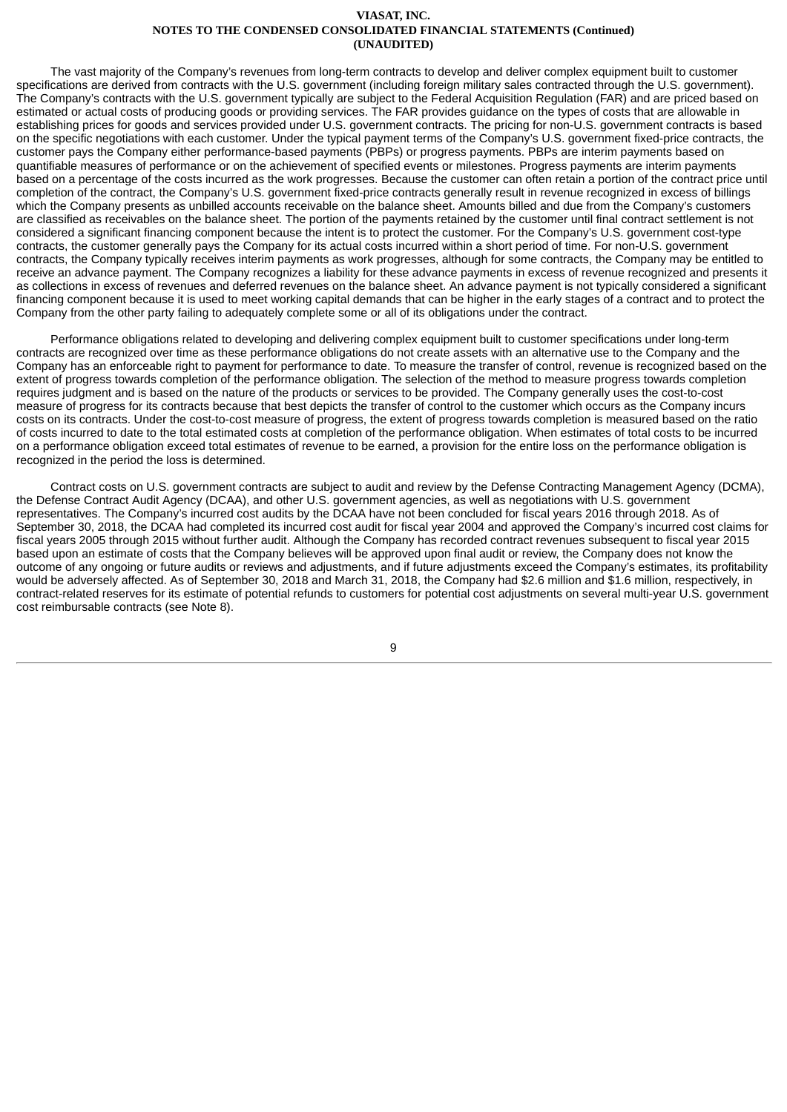The vast majority of the Company's revenues from long-term contracts to develop and deliver complex equipment built to customer specifications are derived from contracts with the U.S. government (including foreign military sales contracted through the U.S. government). The Company's contracts with the U.S. government typically are subject to the Federal Acquisition Regulation (FAR) and are priced based on estimated or actual costs of producing goods or providing services. The FAR provides guidance on the types of costs that are allowable in establishing prices for goods and services provided under U.S. government contracts. The pricing for non-U.S. government contracts is based on the specific negotiations with each customer. Under the typical payment terms of the Company's U.S. government fixed-price contracts, the customer pays the Company either performance-based payments (PBPs) or progress payments. PBPs are interim payments based on quantifiable measures of performance or on the achievement of specified events or milestones. Progress payments are interim payments based on a percentage of the costs incurred as the work progresses. Because the customer can often retain a portion of the contract price until completion of the contract, the Company's U.S. government fixed-price contracts generally result in revenue recognized in excess of billings which the Company presents as unbilled accounts receivable on the balance sheet. Amounts billed and due from the Company's customers are classified as receivables on the balance sheet. The portion of the payments retained by the customer until final contract settlement is not considered a significant financing component because the intent is to protect the customer. For the Company's U.S. government cost-type contracts, the customer generally pays the Company for its actual costs incurred within a short period of time. For non-U.S. government contracts, the Company typically receives interim payments as work progresses, although for some contracts, the Company may be entitled to receive an advance payment. The Company recognizes a liability for these advance payments in excess of revenue recognized and presents it as collections in excess of revenues and deferred revenues on the balance sheet. An advance payment is not typically considered a significant financing component because it is used to meet working capital demands that can be higher in the early stages of a contract and to protect the Company from the other party failing to adequately complete some or all of its obligations under the contract.

Performance obligations related to developing and delivering complex equipment built to customer specifications under long-term contracts are recognized over time as these performance obligations do not create assets with an alternative use to the Company and the Company has an enforceable right to payment for performance to date. To measure the transfer of control, revenue is recognized based on the extent of progress towards completion of the performance obligation. The selection of the method to measure progress towards completion requires judgment and is based on the nature of the products or services to be provided. The Company generally uses the cost-to-cost measure of progress for its contracts because that best depicts the transfer of control to the customer which occurs as the Company incurs costs on its contracts. Under the cost-to-cost measure of progress, the extent of progress towards completion is measured based on the ratio of costs incurred to date to the total estimated costs at completion of the performance obligation. When estimates of total costs to be incurred on a performance obligation exceed total estimates of revenue to be earned, a provision for the entire loss on the performance obligation is recognized in the period the loss is determined.

Contract costs on U.S. government contracts are subject to audit and review by the Defense Contracting Management Agency (DCMA), the Defense Contract Audit Agency (DCAA), and other U.S. government agencies, as well as negotiations with U.S. government representatives. The Company's incurred cost audits by the DCAA have not been concluded for fiscal years 2016 through 2018. As of September 30, 2018, the DCAA had completed its incurred cost audit for fiscal year 2004 and approved the Company's incurred cost claims for fiscal years 2005 through 2015 without further audit. Although the Company has recorded contract revenues subsequent to fiscal year 2015 based upon an estimate of costs that the Company believes will be approved upon final audit or review, the Company does not know the outcome of any ongoing or future audits or reviews and adjustments, and if future adjustments exceed the Company's estimates, its profitability would be adversely affected. As of September 30, 2018 and March 31, 2018, the Company had \$2.6 million and \$1.6 million, respectively, in contract-related reserves for its estimate of potential refunds to customers for potential cost adjustments on several multi-year U.S. government cost reimbursable contracts (see Note 8).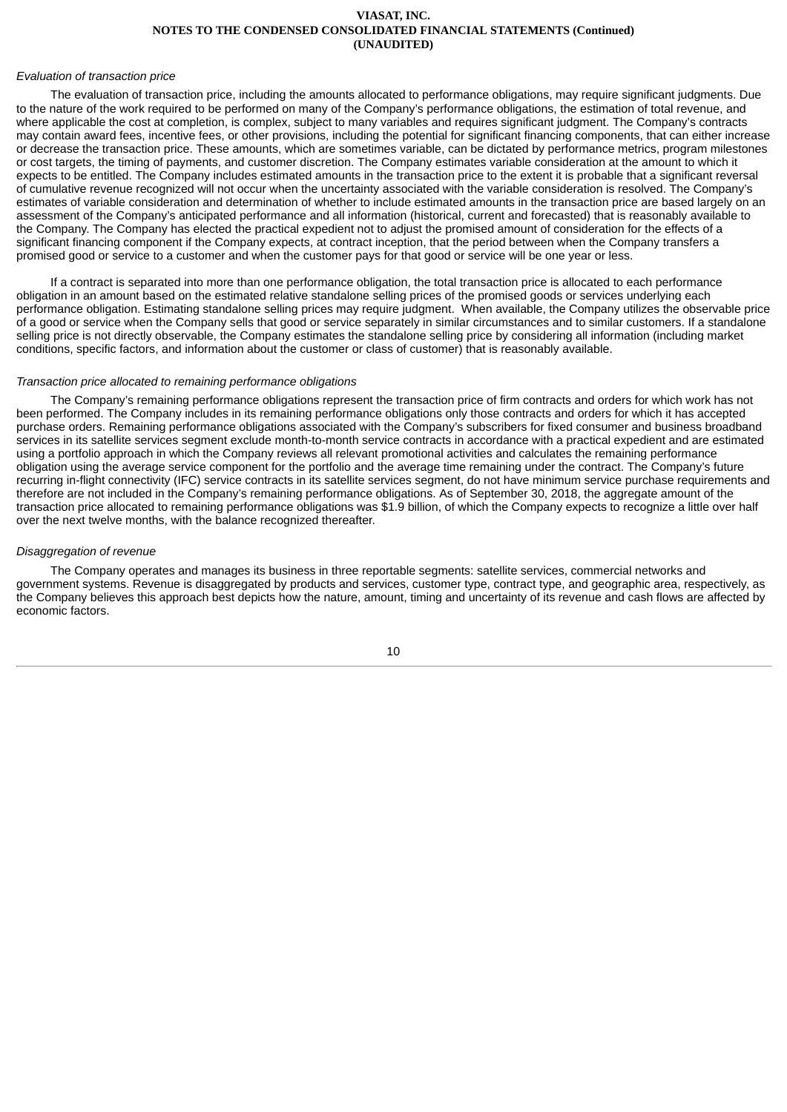#### *Evaluation of transaction price*

The evaluation of transaction price, including the amounts allocated to performance obligations, may require significant judgments. Due to the nature of the work required to be performed on many of the Company's performance obligations, the estimation of total revenue, and where applicable the cost at completion, is complex, subject to many variables and requires significant judgment. The Company's contracts may contain award fees, incentive fees, or other provisions, including the potential for significant financing components, that can either increase or decrease the transaction price. These amounts, which are sometimes variable, can be dictated by performance metrics, program milestones or cost targets, the timing of payments, and customer discretion. The Company estimates variable consideration at the amount to which it expects to be entitled. The Company includes estimated amounts in the transaction price to the extent it is probable that a significant reversal of cumulative revenue recognized will not occur when the uncertainty associated with the variable consideration is resolved. The Company's estimates of variable consideration and determination of whether to include estimated amounts in the transaction price are based largely on an assessment of the Company's anticipated performance and all information (historical, current and forecasted) that is reasonably available to the Company. The Company has elected the practical expedient not to adjust the promised amount of consideration for the effects of a significant financing component if the Company expects, at contract inception, that the period between when the Company transfers a promised good or service to a customer and when the customer pays for that good or service will be one year or less.

If a contract is separated into more than one performance obligation, the total transaction price is allocated to each performance obligation in an amount based on the estimated relative standalone selling prices of the promised goods or services underlying each performance obligation. Estimating standalone selling prices may require judgment. When available, the Company utilizes the observable price of a good or service when the Company sells that good or service separately in similar circumstances and to similar customers. If a standalone selling price is not directly observable, the Company estimates the standalone selling price by considering all information (including market conditions, specific factors, and information about the customer or class of customer) that is reasonably available.

#### *Transaction price allocated to remaining performance obligations*

The Company's remaining performance obligations represent the transaction price of firm contracts and orders for which work has not been performed. The Company includes in its remaining performance obligations only those contracts and orders for which it has accepted purchase orders. Remaining performance obligations associated with the Company's subscribers for fixed consumer and business broadband services in its satellite services segment exclude month-to-month service contracts in accordance with a practical expedient and are estimated using a portfolio approach in which the Company reviews all relevant promotional activities and calculates the remaining performance obligation using the average service component for the portfolio and the average time remaining under the contract. The Company's future recurring in-flight connectivity (IFC) service contracts in its satellite services segment, do not have minimum service purchase requirements and therefore are not included in the Company's remaining performance obligations. As of September 30, 2018, the aggregate amount of the transaction price allocated to remaining performance obligations was \$1.9 billion, of which the Company expects to recognize a little over half over the next twelve months, with the balance recognized thereafter.

#### *Disaggregation of revenue*

The Company operates and manages its business in three reportable segments: satellite services, commercial networks and government systems. Revenue is disaggregated by products and services, customer type, contract type, and geographic area, respectively, as the Company believes this approach best depicts how the nature, amount, timing and uncertainty of its revenue and cash flows are affected by economic factors.

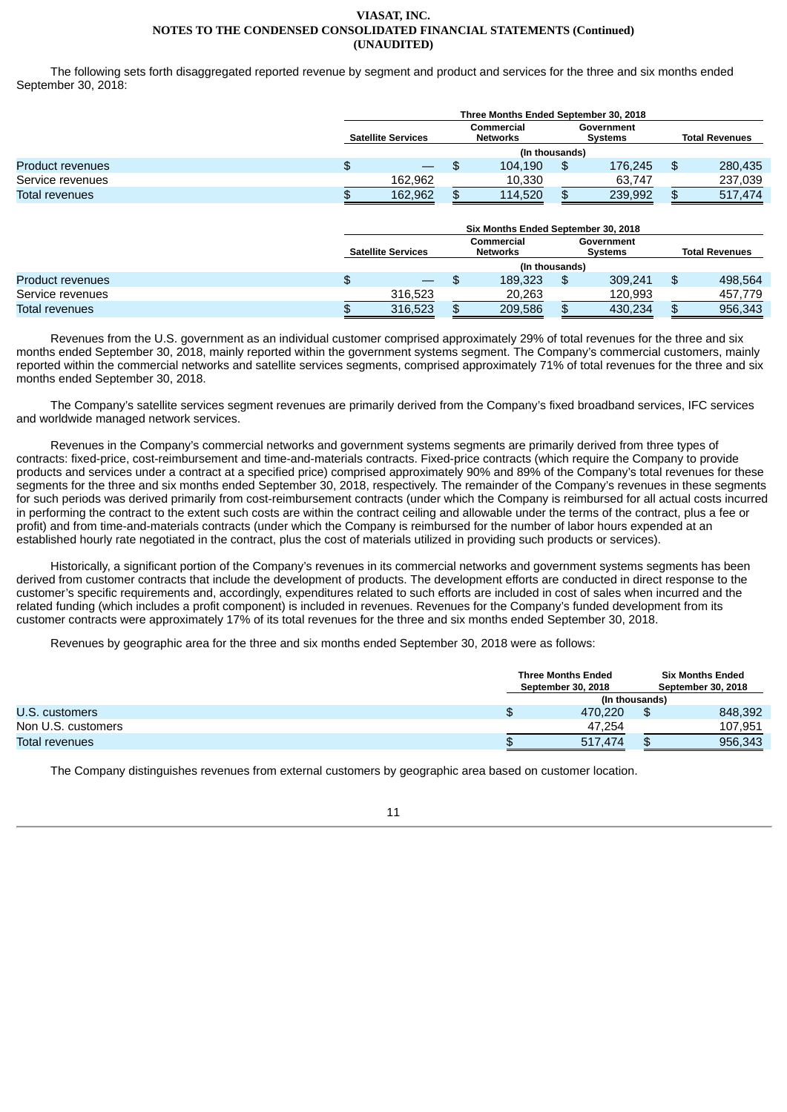The following sets forth disaggregated reported revenue by segment and product and services for the three and six months ended September 30, 2018:

|                         | Three Months Ended September 30, 2018 |     |                                     |                |                              |    |                       |
|-------------------------|---------------------------------------|-----|-------------------------------------|----------------|------------------------------|----|-----------------------|
|                         | <b>Satellite Services</b>             |     | Commercial<br><b>Networks</b>       |                | Government<br><b>Systems</b> |    | <b>Total Revenues</b> |
|                         |                                       |     |                                     | (In thousands) |                              |    |                       |
| <b>Product revenues</b> | \$<br>$\hspace{0.05cm}$               | \$. | 104,190                             | \$             | 176,245                      | \$ | 280,435               |
| Service revenues        | 162,962                               |     | 10,330                              |                | 63,747                       |    | 237,039               |
| <b>Total revenues</b>   | 162.962                               | Æ.  | 114.520                             |                | 239.992                      | £. | 517.474               |
|                         |                                       |     |                                     |                |                              |    |                       |
|                         |                                       |     | Six Months Ended September 30, 2018 |                |                              |    |                       |

|                         |                                |                    | Commercial      |                | Government     |     |                       |
|-------------------------|--------------------------------|--------------------|-----------------|----------------|----------------|-----|-----------------------|
|                         | <b>Satellite Services</b>      |                    | <b>Networks</b> |                | <b>Systems</b> |     | <b>Total Revenues</b> |
|                         |                                |                    |                 | (In thousands) |                |     |                       |
| <b>Product revenues</b> | $\overbrace{\hspace{25mm}}^{}$ |                    | 189.323         |                | 309,241        | \$  | 498.564               |
| Service revenues        | 316.523                        |                    | 20.263          |                | 120.993        |     | 457.779               |
| <b>Total revenues</b>   | 316,523                        | $\mathbf{r}$<br>Œ. | 209,586         |                | 430,234        | \$. | 956,343               |

Revenues from the U.S. government as an individual customer comprised approximately 29% of total revenues for the three and six months ended September 30, 2018, mainly reported within the government systems segment. The Company's commercial customers, mainly reported within the commercial networks and satellite services segments, comprised approximately 71% of total revenues for the three and six months ended September 30, 2018.

The Company's satellite services segment revenues are primarily derived from the Company's fixed broadband services, IFC services and worldwide managed network services.

Revenues in the Company's commercial networks and government systems segments are primarily derived from three types of contracts: fixed-price, cost-reimbursement and time-and-materials contracts. Fixed-price contracts (which require the Company to provide products and services under a contract at a specified price) comprised approximately 90% and 89% of the Company's total revenues for these segments for the three and six months ended September 30, 2018, respectively. The remainder of the Company's revenues in these segments for such periods was derived primarily from cost-reimbursement contracts (under which the Company is reimbursed for all actual costs incurred in performing the contract to the extent such costs are within the contract ceiling and allowable under the terms of the contract, plus a fee or profit) and from time-and-materials contracts (under which the Company is reimbursed for the number of labor hours expended at an established hourly rate negotiated in the contract, plus the cost of materials utilized in providing such products or services).

Historically, a significant portion of the Company's revenues in its commercial networks and government systems segments has been derived from customer contracts that include the development of products. The development efforts are conducted in direct response to the customer's specific requirements and, accordingly, expenditures related to such efforts are included in cost of sales when incurred and the related funding (which includes a profit component) is included in revenues. Revenues for the Company's funded development from its customer contracts were approximately 17% of its total revenues for the three and six months ended September 30, 2018.

Revenues by geographic area for the three and six months ended September 30, 2018 were as follows:

|                       | <b>Three Months Ended</b><br>September 30, 2018 |                | <b>Six Months Ended</b><br><b>September 30, 2018</b> |
|-----------------------|-------------------------------------------------|----------------|------------------------------------------------------|
|                       |                                                 | (In thousands) |                                                      |
| U.S. customers        | 470,220                                         |                | 848,392                                              |
| Non U.S. customers    | 47.254                                          |                | 107,951                                              |
| <b>Total revenues</b> | 517.474                                         |                | 956,343                                              |

The Company distinguishes revenues from external customers by geographic area based on customer location.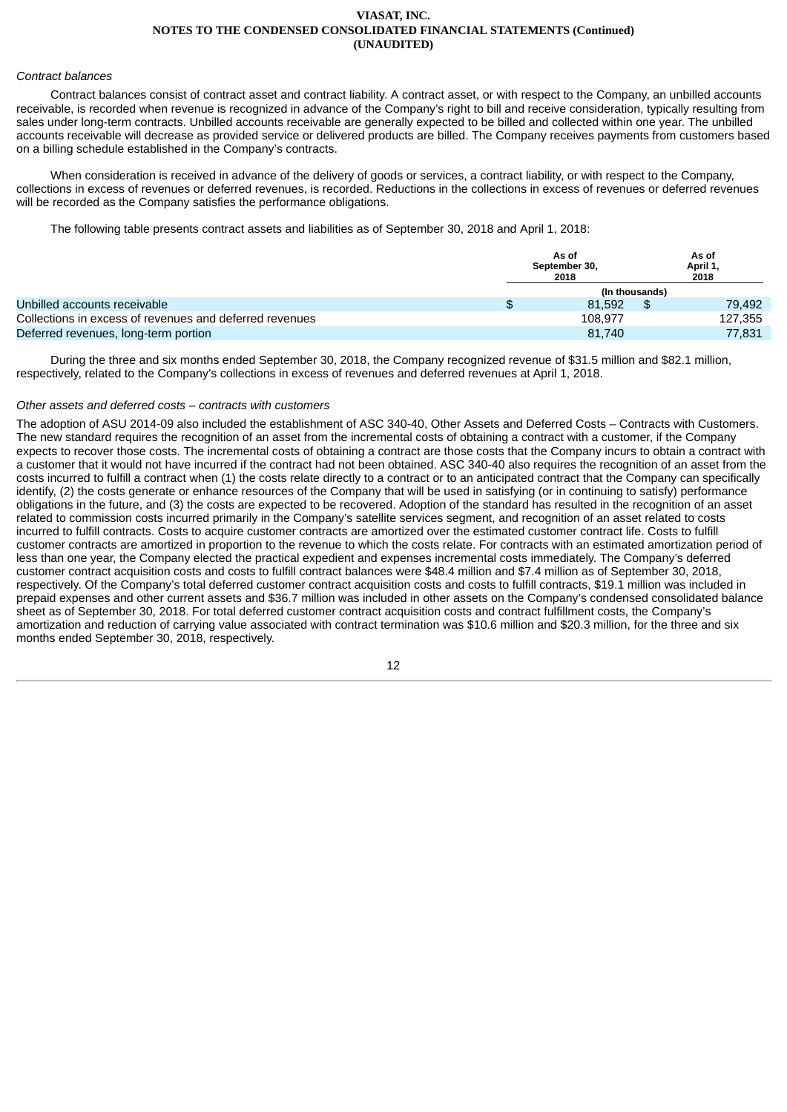#### *Contract balances*

Contract balances consist of contract asset and contract liability. A contract asset, or with respect to the Company, an unbilled accounts receivable, is recorded when revenue is recognized in advance of the Company's right to bill and receive consideration, typically resulting from sales under long-term contracts. Unbilled accounts receivable are generally expected to be billed and collected within one year. The unbilled accounts receivable will decrease as provided service or delivered products are billed. The Company receives payments from customers based on a billing schedule established in the Company's contracts.

When consideration is received in advance of the delivery of goods or services, a contract liability, or with respect to the Company, collections in excess of revenues or deferred revenues, is recorded. Reductions in the collections in excess of revenues or deferred revenues will be recorded as the Company satisfies the performance obligations.

The following table presents contract assets and liabilities as of September 30, 2018 and April 1, 2018:

|                                                         | As of<br>September 30,<br>2018 |                | As of<br>April 1,<br>2018 |
|---------------------------------------------------------|--------------------------------|----------------|---------------------------|
|                                                         |                                | (In thousands) |                           |
| Unbilled accounts receivable                            | 81.592                         |                | 79.492                    |
| Collections in excess of revenues and deferred revenues | 108.977                        |                | 127,355                   |
| Deferred revenues, long-term portion                    | 81,740                         |                | 77,831                    |

During the three and six months ended September 30, 2018, the Company recognized revenue of \$31.5 million and \$82.1 million. respectively, related to the Company's collections in excess of revenues and deferred revenues at April 1, 2018.

#### *Other assets and deferred costs – contracts with customers*

The adoption of ASU 2014-09 also included the establishment of ASC 340-40, Other Assets and Deferred Costs – Contracts with Customers. The new standard requires the recognition of an asset from the incremental costs of obtaining a contract with a customer, if the Company expects to recover those costs. The incremental costs of obtaining a contract are those costs that the Company incurs to obtain a contract with a customer that it would not have incurred if the contract had not been obtained. ASC 340-40 also requires the recognition of an asset from the costs incurred to fulfill a contract when (1) the costs relate directly to a contract or to an anticipated contract that the Company can specifically identify, (2) the costs generate or enhance resources of the Company that will be used in satisfying (or in continuing to satisfy) performance obligations in the future, and (3) the costs are expected to be recovered. Adoption of the standard has resulted in the recognition of an asset related to commission costs incurred primarily in the Company's satellite services segment, and recognition of an asset related to costs incurred to fulfill contracts. Costs to acquire customer contracts are amortized over the estimated customer contract life. Costs to fulfill customer contracts are amortized in proportion to the revenue to which the costs relate. For contracts with an estimated amortization period of less than one year, the Company elected the practical expedient and expenses incremental costs immediately. The Company's deferred customer contract acquisition costs and costs to fulfill contract balances were \$48.4 million and \$7.4 million as of September 30, 2018, respectively. Of the Company's total deferred customer contract acquisition costs and costs to fulfill contracts, \$19.1 million was included in prepaid expenses and other current assets and \$36.7 million was included in other assets on the Company's condensed consolidated balance sheet as of September 30, 2018. For total deferred customer contract acquisition costs and contract fulfillment costs, the Company's amortization and reduction of carrying value associated with contract termination was \$10.6 million and \$20.3 million, for the three and six months ended September 30, 2018, respectively.

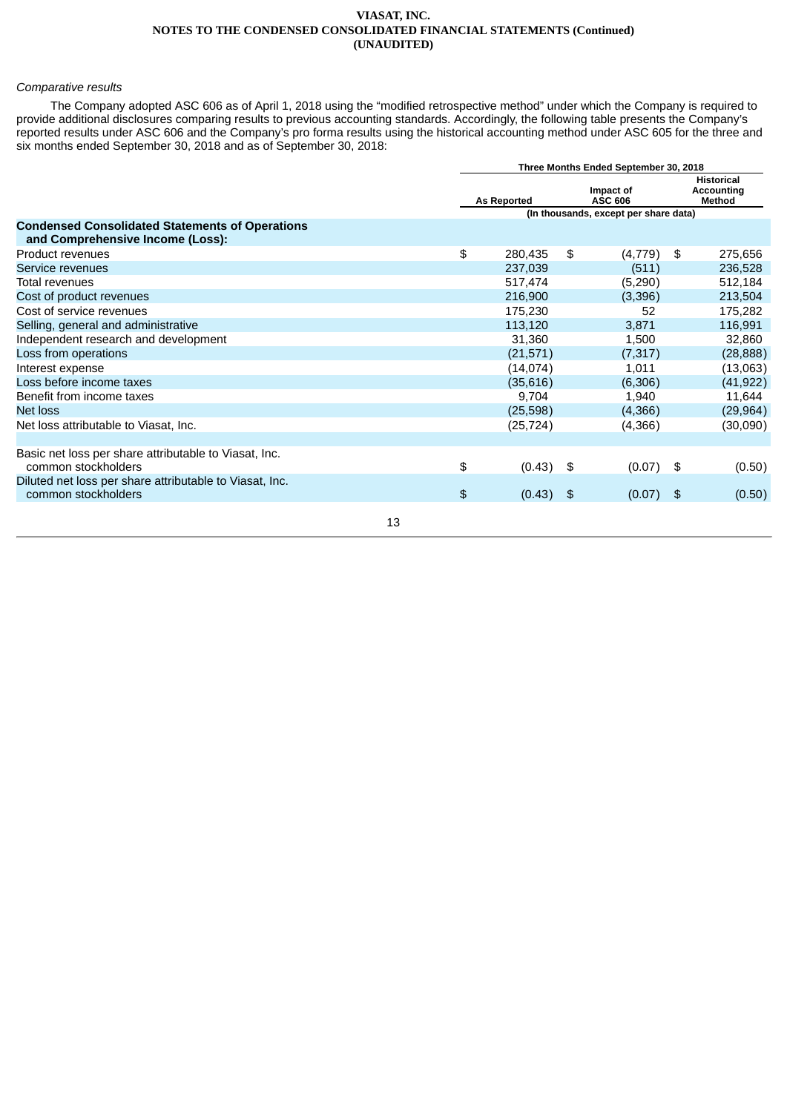#### *Comparative results*

The Company adopted ASC 606 as of April 1, 2018 using the "modified retrospective method" under which the Company is required to provide additional disclosures comparing results to previous accounting standards. Accordingly, the following table presents the Company's reported results under ASC 606 and the Company's pro forma results using the historical accounting method under ASC 605 for the three and six months ended September 30, 2018 and as of September 30, 2018:

|                                                                                            |    | Three Months Ended September 30, 2018 |     |                                       |     |                                                         |  |  |
|--------------------------------------------------------------------------------------------|----|---------------------------------------|-----|---------------------------------------|-----|---------------------------------------------------------|--|--|
|                                                                                            |    | <b>As Reported</b>                    |     | Impact of<br><b>ASC 606</b>           |     | <b>Historical</b><br><b>Accounting</b><br><b>Method</b> |  |  |
|                                                                                            |    |                                       |     | (In thousands, except per share data) |     |                                                         |  |  |
| <b>Condensed Consolidated Statements of Operations</b><br>and Comprehensive Income (Loss): |    |                                       |     |                                       |     |                                                         |  |  |
| Product revenues                                                                           | \$ | 280,435                               | \$  | (4, 779)                              | -\$ | 275,656                                                 |  |  |
| Service revenues                                                                           |    | 237,039                               |     | (511)                                 |     | 236,528                                                 |  |  |
| Total revenues                                                                             |    | 517,474                               |     | (5,290)                               |     | 512,184                                                 |  |  |
| Cost of product revenues                                                                   |    | 216,900                               |     | (3,396)                               |     | 213,504                                                 |  |  |
| Cost of service revenues                                                                   |    | 175,230                               |     | 52                                    |     | 175,282                                                 |  |  |
| Selling, general and administrative                                                        |    | 113,120                               |     | 3,871                                 |     | 116,991                                                 |  |  |
| Independent research and development                                                       |    | 31,360                                |     | 1,500                                 |     | 32,860                                                  |  |  |
| Loss from operations                                                                       |    | (21,571)                              |     | (7, 317)                              |     | (28, 888)                                               |  |  |
| Interest expense                                                                           |    | (14,074)                              |     | 1,011                                 |     | (13,063)                                                |  |  |
| Loss before income taxes                                                                   |    | (35, 616)                             |     | (6,306)                               |     | (41, 922)                                               |  |  |
| Benefit from income taxes                                                                  |    | 9,704                                 |     | 1,940                                 |     | 11,644                                                  |  |  |
| Net loss                                                                                   |    | (25,598)                              |     | (4,366)                               |     | (29, 964)                                               |  |  |
| Net loss attributable to Viasat, Inc.                                                      |    | (25, 724)                             |     | (4,366)                               |     | (30,090)                                                |  |  |
|                                                                                            |    |                                       |     |                                       |     |                                                         |  |  |
| Basic net loss per share attributable to Viasat, Inc.<br>common stockholders               | \$ | (0.43)                                | -\$ | $(0.07)$ \$                           |     | (0.50)                                                  |  |  |
| Diluted net loss per share attributable to Viasat, Inc.<br>common stockholders             | \$ | (0.43)                                | \$  | $(0.07)$ \$                           |     | (0.50)                                                  |  |  |
|                                                                                            | 13 |                                       |     |                                       |     |                                                         |  |  |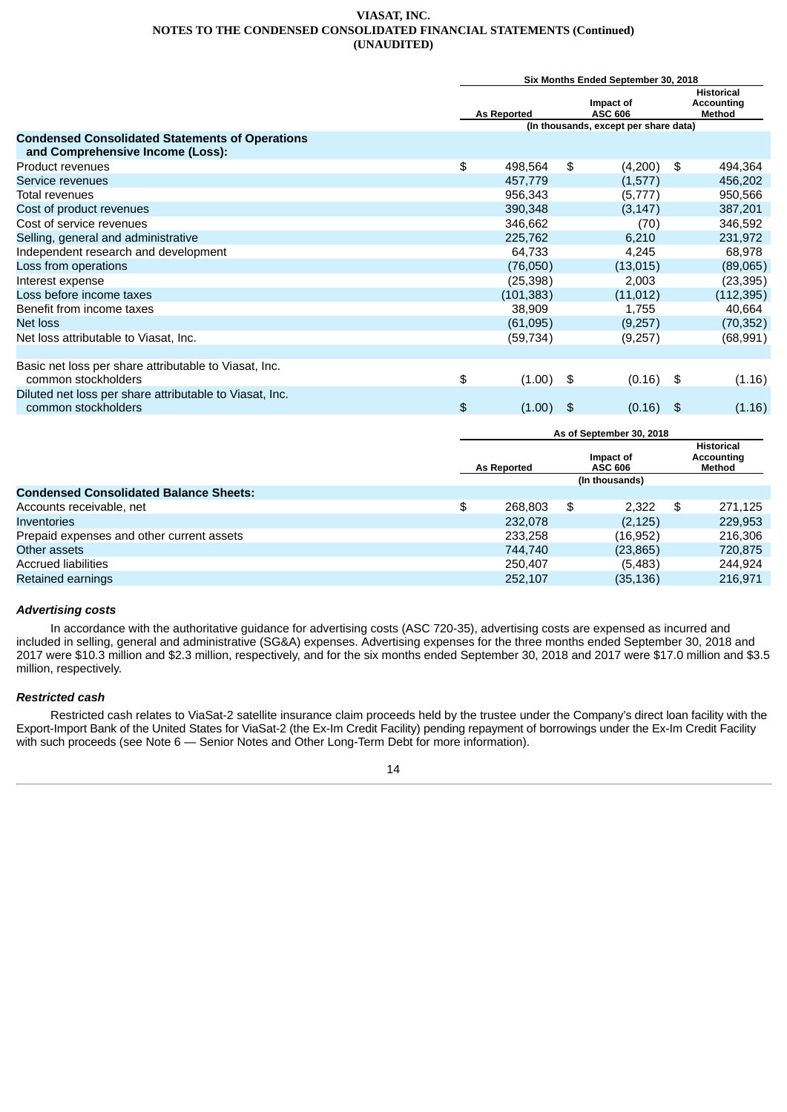|                                                                                            | Six Months Ended September 30, 2018 |                    |    |                                       |      |                                                         |  |  |
|--------------------------------------------------------------------------------------------|-------------------------------------|--------------------|----|---------------------------------------|------|---------------------------------------------------------|--|--|
|                                                                                            |                                     | <b>As Reported</b> |    | Impact of<br><b>ASC 606</b>           |      | <b>Historical</b><br><b>Accounting</b><br><b>Method</b> |  |  |
|                                                                                            |                                     |                    |    | (In thousands, except per share data) |      |                                                         |  |  |
| <b>Condensed Consolidated Statements of Operations</b><br>and Comprehensive Income (Loss): |                                     |                    |    |                                       |      |                                                         |  |  |
| Product revenues                                                                           | \$                                  | 498.564            | \$ | (4,200)                               | - \$ | 494,364                                                 |  |  |
| Service revenues                                                                           |                                     | 457,779            |    | (1, 577)                              |      | 456,202                                                 |  |  |
| Total revenues                                                                             |                                     | 956,343            |    | (5, 777)                              |      | 950,566                                                 |  |  |
| Cost of product revenues                                                                   |                                     | 390,348            |    | (3, 147)                              |      | 387,201                                                 |  |  |
| Cost of service revenues                                                                   |                                     | 346,662            |    | (70)                                  |      | 346,592                                                 |  |  |
| Selling, general and administrative                                                        |                                     | 225,762            |    | 6,210                                 |      | 231,972                                                 |  |  |
| Independent research and development                                                       |                                     | 64,733             |    | 4,245                                 |      | 68,978                                                  |  |  |
| Loss from operations                                                                       |                                     | (76,050)           |    | (13,015)                              |      | (89,065)                                                |  |  |
| Interest expense                                                                           |                                     | (25, 398)          |    | 2,003                                 |      | (23, 395)                                               |  |  |
| Loss before income taxes                                                                   |                                     | (101, 383)         |    | (11, 012)                             |      | (112, 395)                                              |  |  |
| Benefit from income taxes                                                                  |                                     | 38,909             |    | 1,755                                 |      | 40,664                                                  |  |  |
| <b>Net loss</b>                                                                            |                                     | (61,095)           |    | (9,257)                               |      | (70, 352)                                               |  |  |
| Net loss attributable to Viasat, Inc.                                                      |                                     | (59, 734)          |    | (9,257)                               |      | (68,991)                                                |  |  |
|                                                                                            |                                     |                    |    |                                       |      |                                                         |  |  |
| Basic net loss per share attributable to Viasat, Inc.<br>common stockholders               | \$                                  | $(1.00)$ \$        |    | $(0.16)$ \$                           |      | (1.16)                                                  |  |  |
| Diluted net loss per share attributable to Viasat, Inc.<br>common stockholders             | \$                                  | (1.00)             | \$ | $(0.16)$ \$                           |      | (1.16)                                                  |  |  |
|                                                                                            |                                     |                    |    |                                       |      |                                                         |  |  |

|                                               | As of September 30, 2018 |    |                             |    |                |  |                                           |
|-----------------------------------------------|--------------------------|----|-----------------------------|----|----------------|--|-------------------------------------------|
|                                               | <b>As Reported</b>       |    | Impact of<br><b>ASC 606</b> |    | (In thousands) |  | <b>Historical</b><br>Accounting<br>Method |
| <b>Condensed Consolidated Balance Sheets:</b> |                          |    |                             |    |                |  |                                           |
| Accounts receivable, net                      | \$<br>268,803            | \$ | 2.322                       | \$ | 271.125        |  |                                           |
|                                               |                          |    |                             |    |                |  |                                           |
| <b>Inventories</b>                            | 232,078                  |    | (2, 125)                    |    | 229,953        |  |                                           |
| Prepaid expenses and other current assets     | 233.258                  |    | (16,952)                    |    | 216,306        |  |                                           |
| Other assets                                  | 744.740                  |    | (23, 865)                   |    | 720,875        |  |                                           |
| <b>Accrued liabilities</b>                    | 250.407                  |    | (5,483)                     |    | 244.924        |  |                                           |
| <b>Retained earnings</b>                      | 252,107                  |    | (35, 136)                   |    | 216.971        |  |                                           |

#### *Advertising costs*

In accordance with the authoritative guidance for advertising costs (ASC 720-35), advertising costs are expensed as incurred and included in selling, general and administrative (SG&A) expenses. Advertising expenses for the three months ended September 30, 2018 and 2017 were \$10.3 million and \$2.3 million, respectively, and for the six months ended September 30, 2018 and 2017 were \$17.0 million and \$3.5 million, respectively.

#### *Restricted cash*

Restricted cash relates to ViaSat-2 satellite insurance claim proceeds held by the trustee under the Company's direct loan facility with the Export-Import Bank of the United States for ViaSat-2 (the Ex-Im Credit Facility) pending repayment of borrowings under the Ex-Im Credit Facility with such proceeds (see Note 6 — Senior Notes and Other Long-Term Debt for more information).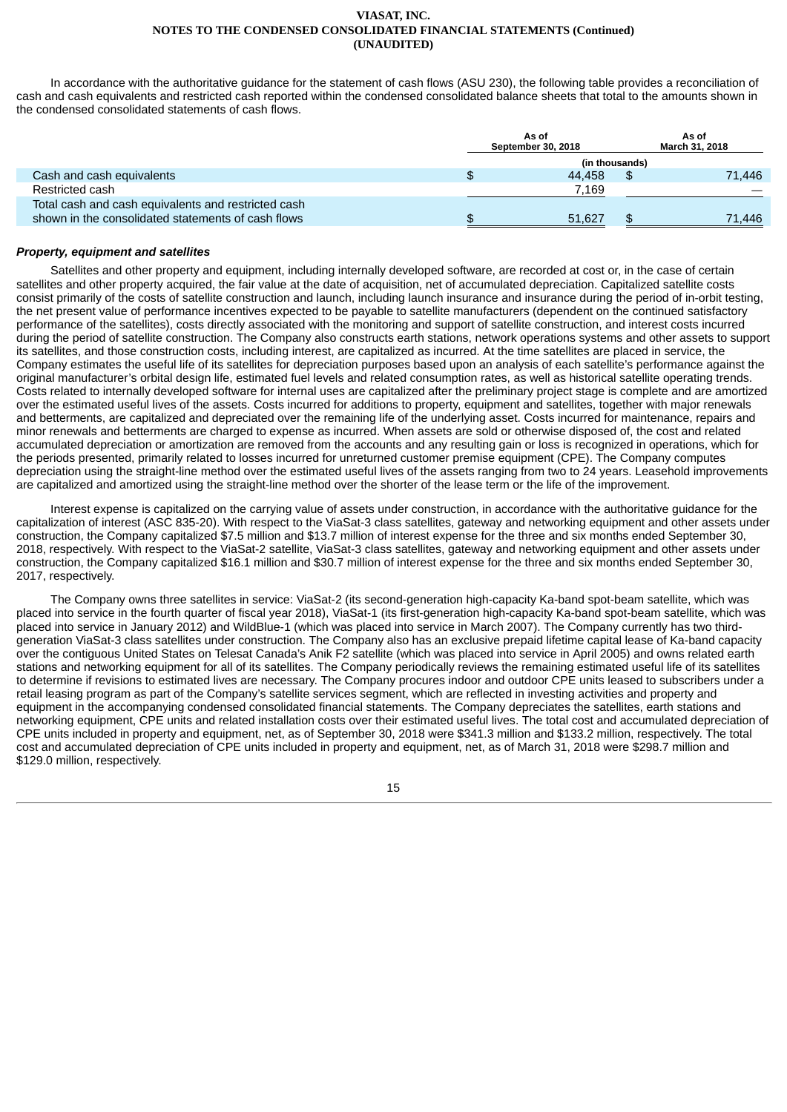In accordance with the authoritative guidance for the statement of cash flows (ASU 230), the following table provides a reconciliation of cash and cash equivalents and restricted cash reported within the condensed consolidated balance sheets that total to the amounts shown in the condensed consolidated statements of cash flows.

|                                                     | As of<br>September 30, 2018 |                |  | As of<br>March 31, 2018 |
|-----------------------------------------------------|-----------------------------|----------------|--|-------------------------|
|                                                     |                             | (in thousands) |  |                         |
| Cash and cash equivalents                           |                             | 44.458         |  | 71.446                  |
| Restricted cash                                     |                             | 7.169          |  |                         |
| Total cash and cash equivalents and restricted cash |                             |                |  |                         |
| shown in the consolidated statements of cash flows  |                             | 51.627         |  | 71.446                  |

#### *Property, equipment and satellites*

Satellites and other property and equipment, including internally developed software, are recorded at cost or, in the case of certain satellites and other property acquired, the fair value at the date of acquisition, net of accumulated depreciation. Capitalized satellite costs consist primarily of the costs of satellite construction and launch, including launch insurance and insurance during the period of in-orbit testing, the net present value of performance incentives expected to be payable to satellite manufacturers (dependent on the continued satisfactory performance of the satellites), costs directly associated with the monitoring and support of satellite construction, and interest costs incurred during the period of satellite construction. The Company also constructs earth stations, network operations systems and other assets to support its satellites, and those construction costs, including interest, are capitalized as incurred. At the time satellites are placed in service, the Company estimates the useful life of its satellites for depreciation purposes based upon an analysis of each satellite's performance against the original manufacturer's orbital design life, estimated fuel levels and related consumption rates, as well as historical satellite operating trends. Costs related to internally developed software for internal uses are capitalized after the preliminary project stage is complete and are amortized over the estimated useful lives of the assets. Costs incurred for additions to property, equipment and satellites, together with major renewals and betterments, are capitalized and depreciated over the remaining life of the underlying asset. Costs incurred for maintenance, repairs and minor renewals and betterments are charged to expense as incurred. When assets are sold or otherwise disposed of, the cost and related accumulated depreciation or amortization are removed from the accounts and any resulting gain or loss is recognized in operations, which for the periods presented, primarily related to losses incurred for unreturned customer premise equipment (CPE). The Company computes depreciation using the straight-line method over the estimated useful lives of the assets ranging from two to 24 years. Leasehold improvements are capitalized and amortized using the straight-line method over the shorter of the lease term or the life of the improvement.

Interest expense is capitalized on the carrying value of assets under construction, in accordance with the authoritative guidance for the capitalization of interest (ASC 835-20). With respect to the ViaSat-3 class satellites, gateway and networking equipment and other assets under construction, the Company capitalized \$7.5 million and \$13.7 million of interest expense for the three and six months ended September 30, 2018, respectively. With respect to the ViaSat-2 satellite, ViaSat-3 class satellites, gateway and networking equipment and other assets under construction, the Company capitalized \$16.1 million and \$30.7 million of interest expense for the three and six months ended September 30, 2017, respectively.

The Company owns three satellites in service: ViaSat-2 (its second-generation high-capacity Ka-band spot-beam satellite, which was placed into service in the fourth quarter of fiscal year 2018), ViaSat-1 (its first-generation high-capacity Ka-band spot-beam satellite, which was placed into service in January 2012) and WildBlue-1 (which was placed into service in March 2007). The Company currently has two thirdgeneration ViaSat-3 class satellites under construction. The Company also has an exclusive prepaid lifetime capital lease of Ka-band capacity over the contiguous United States on Telesat Canada's Anik F2 satellite (which was placed into service in April 2005) and owns related earth stations and networking equipment for all of its satellites. The Company periodically reviews the remaining estimated useful life of its satellites to determine if revisions to estimated lives are necessary. The Company procures indoor and outdoor CPE units leased to subscribers under a retail leasing program as part of the Company's satellite services segment, which are reflected in investing activities and property and equipment in the accompanying condensed consolidated financial statements. The Company depreciates the satellites, earth stations and networking equipment, CPE units and related installation costs over their estimated useful lives. The total cost and accumulated depreciation of CPE units included in property and equipment, net, as of September 30, 2018 were \$341.3 million and \$133.2 million, respectively. The total cost and accumulated depreciation of CPE units included in property and equipment, net, as of March 31, 2018 were \$298.7 million and \$129.0 million, respectively.

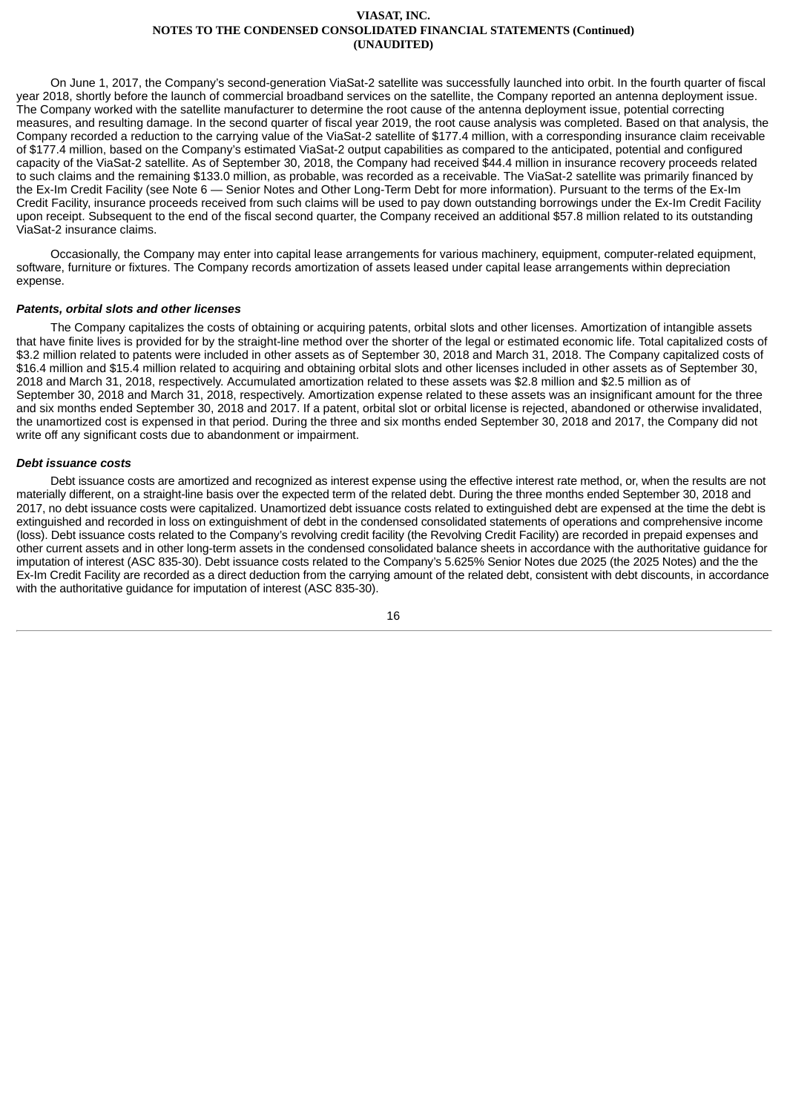On June 1, 2017, the Company's second-generation ViaSat-2 satellite was successfully launched into orbit. In the fourth quarter of fiscal year 2018, shortly before the launch of commercial broadband services on the satellite, the Company reported an antenna deployment issue. The Company worked with the satellite manufacturer to determine the root cause of the antenna deployment issue, potential correcting measures, and resulting damage. In the second quarter of fiscal year 2019, the root cause analysis was completed. Based on that analysis, the Company recorded a reduction to the carrying value of the ViaSat-2 satellite of \$177.4 million, with a corresponding insurance claim receivable of \$177.4 million, based on the Company's estimated ViaSat-2 output capabilities as compared to the anticipated, potential and configured capacity of the ViaSat-2 satellite. As of September 30, 2018, the Company had received \$44.4 million in insurance recovery proceeds related to such claims and the remaining \$133.0 million, as probable, was recorded as a receivable. The ViaSat-2 satellite was primarily financed by the Ex-Im Credit Facility (see Note 6 — Senior Notes and Other Long-Term Debt for more information). Pursuant to the terms of the Ex-Im Credit Facility, insurance proceeds received from such claims will be used to pay down outstanding borrowings under the Ex-Im Credit Facility upon receipt. Subsequent to the end of the fiscal second quarter, the Company received an additional \$57.8 million related to its outstanding ViaSat-2 insurance claims.

Occasionally, the Company may enter into capital lease arrangements for various machinery, equipment, computer-related equipment, software, furniture or fixtures. The Company records amortization of assets leased under capital lease arrangements within depreciation expense.

#### *Patents, orbital slots and other licenses*

The Company capitalizes the costs of obtaining or acquiring patents, orbital slots and other licenses. Amortization of intangible assets that have finite lives is provided for by the straight-line method over the shorter of the legal or estimated economic life. Total capitalized costs of \$3.2 million related to patents were included in other assets as of September 30, 2018 and March 31, 2018. The Company capitalized costs of \$16.4 million and \$15.4 million related to acquiring and obtaining orbital slots and other licenses included in other assets as of September 30, 2018 and March 31, 2018, respectively. Accumulated amortization related to these assets was \$2.8 million and \$2.5 million as of September 30, 2018 and March 31, 2018, respectively. Amortization expense related to these assets was an insignificant amount for the three and six months ended September 30, 2018 and 2017. If a patent, orbital slot or orbital license is rejected, abandoned or otherwise invalidated, the unamortized cost is expensed in that period. During the three and six months ended September 30, 2018 and 2017, the Company did not write off any significant costs due to abandonment or impairment.

#### *Debt issuance costs*

Debt issuance costs are amortized and recognized as interest expense using the effective interest rate method, or, when the results are not materially different, on a straight-line basis over the expected term of the related debt. During the three months ended September 30, 2018 and 2017, no debt issuance costs were capitalized. Unamortized debt issuance costs related to extinguished debt are expensed at the time the debt is extinguished and recorded in loss on extinguishment of debt in the condensed consolidated statements of operations and comprehensive income (loss). Debt issuance costs related to the Company's revolving credit facility (the Revolving Credit Facility) are recorded in prepaid expenses and other current assets and in other long-term assets in the condensed consolidated balance sheets in accordance with the authoritative guidance for imputation of interest (ASC 835-30). Debt issuance costs related to the Company's 5.625% Senior Notes due 2025 (the 2025 Notes) and the the Ex-Im Credit Facility are recorded as a direct deduction from the carrying amount of the related debt, consistent with debt discounts, in accordance with the authoritative quidance for imputation of interest (ASC 835-30).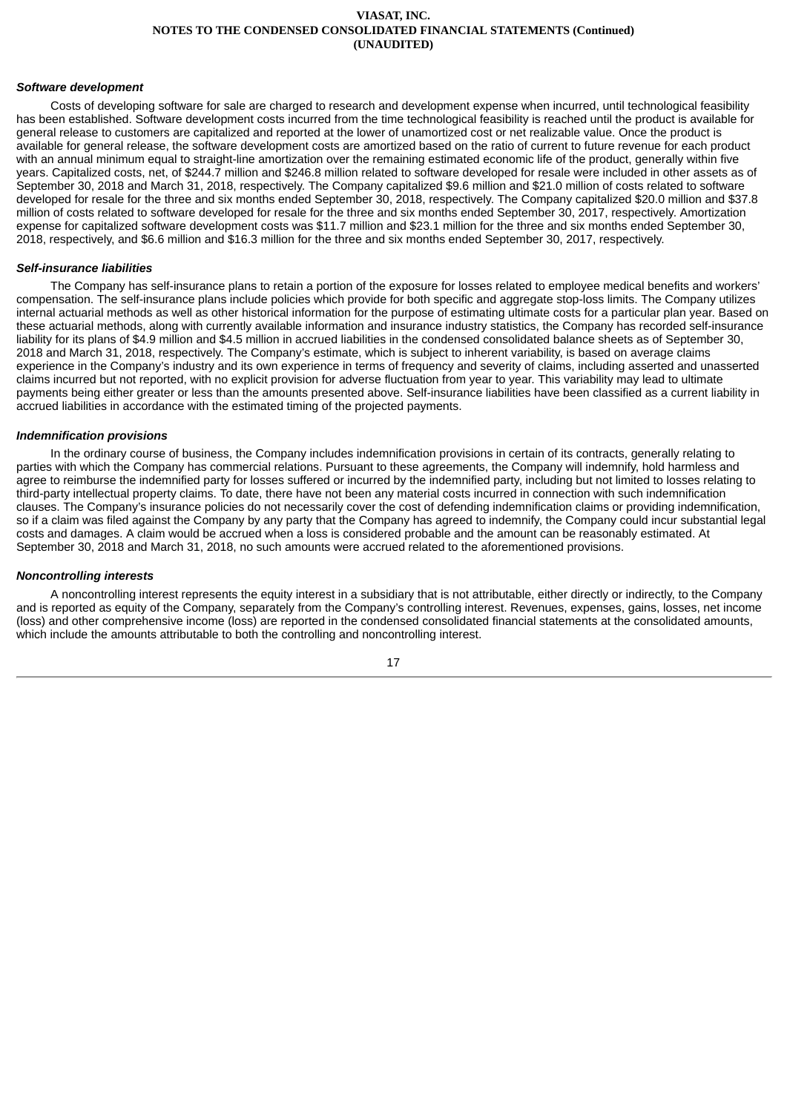#### *Software development*

Costs of developing software for sale are charged to research and development expense when incurred, until technological feasibility has been established. Software development costs incurred from the time technological feasibility is reached until the product is available for general release to customers are capitalized and reported at the lower of unamortized cost or net realizable value. Once the product is available for general release, the software development costs are amortized based on the ratio of current to future revenue for each product with an annual minimum equal to straight-line amortization over the remaining estimated economic life of the product, generally within five years. Capitalized costs, net, of \$244.7 million and \$246.8 million related to software developed for resale were included in other assets as of September 30, 2018 and March 31, 2018, respectively. The Company capitalized \$9.6 million and \$21.0 million of costs related to software developed for resale for the three and six months ended September 30, 2018, respectively. The Company capitalized \$20.0 million and \$37.8 million of costs related to software developed for resale for the three and six months ended September 30, 2017, respectively. Amortization expense for capitalized software development costs was \$11.7 million and \$23.1 million for the three and six months ended September 30, 2018, respectively, and \$6.6 million and \$16.3 million for the three and six months ended September 30, 2017, respectively.

#### *Self-insurance liabilities*

The Company has self-insurance plans to retain a portion of the exposure for losses related to employee medical benefits and workers' compensation. The self-insurance plans include policies which provide for both specific and aggregate stop-loss limits. The Company utilizes internal actuarial methods as well as other historical information for the purpose of estimating ultimate costs for a particular plan year. Based on these actuarial methods, along with currently available information and insurance industry statistics, the Company has recorded self-insurance liability for its plans of \$4.9 million and \$4.5 million in accrued liabilities in the condensed consolidated balance sheets as of September 30, 2018 and March 31, 2018, respectively. The Company's estimate, which is subject to inherent variability, is based on average claims experience in the Company's industry and its own experience in terms of frequency and severity of claims, including asserted and unasserted claims incurred but not reported, with no explicit provision for adverse fluctuation from year to year. This variability may lead to ultimate payments being either greater or less than the amounts presented above. Self-insurance liabilities have been classified as a current liability in accrued liabilities in accordance with the estimated timing of the projected payments.

#### *Indemnification provisions*

In the ordinary course of business, the Company includes indemnification provisions in certain of its contracts, generally relating to parties with which the Company has commercial relations. Pursuant to these agreements, the Company will indemnify, hold harmless and agree to reimburse the indemnified party for losses suffered or incurred by the indemnified party, including but not limited to losses relating to third-party intellectual property claims. To date, there have not been any material costs incurred in connection with such indemnification clauses. The Company's insurance policies do not necessarily cover the cost of defending indemnification claims or providing indemnification, so if a claim was filed against the Company by any party that the Company has agreed to indemnify, the Company could incur substantial legal costs and damages. A claim would be accrued when a loss is considered probable and the amount can be reasonably estimated. At September 30, 2018 and March 31, 2018, no such amounts were accrued related to the aforementioned provisions.

#### *Noncontrolling interests*

A noncontrolling interest represents the equity interest in a subsidiary that is not attributable, either directly or indirectly, to the Company and is reported as equity of the Company, separately from the Company's controlling interest. Revenues, expenses, gains, losses, net income (loss) and other comprehensive income (loss) are reported in the condensed consolidated financial statements at the consolidated amounts, which include the amounts attributable to both the controlling and noncontrolling interest.

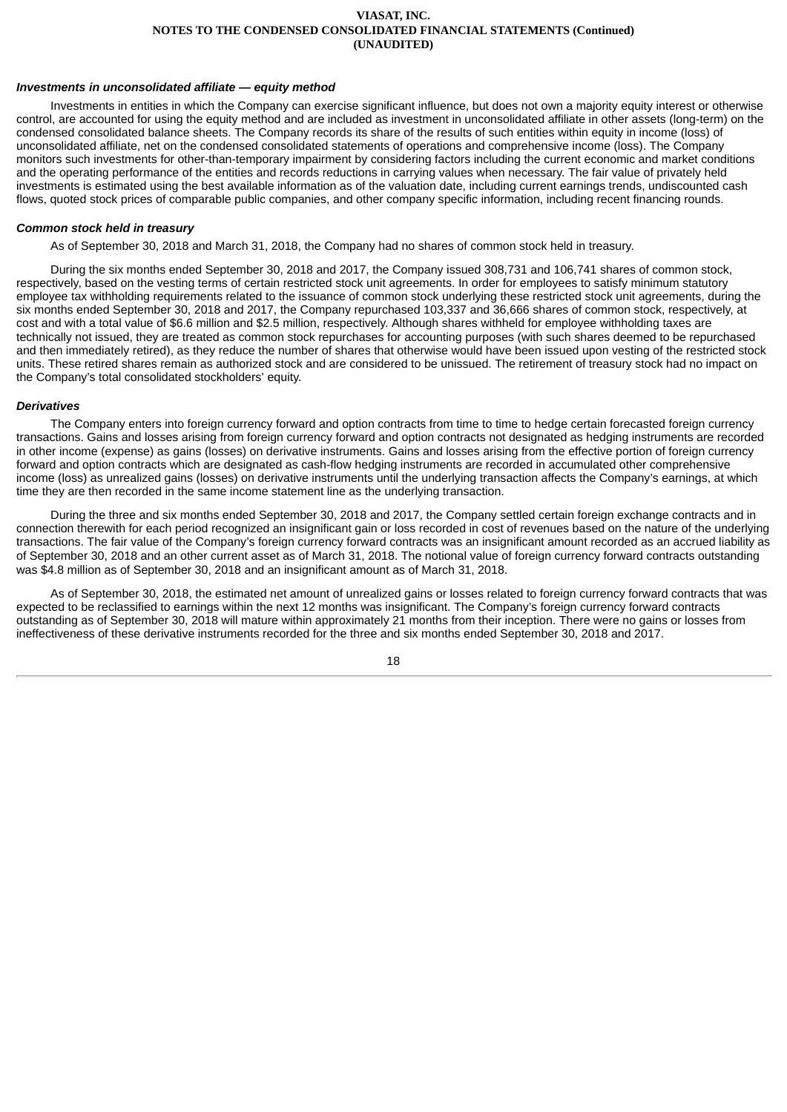#### *Investments in unconsolidated affiliate — equity method*

Investments in entities in which the Company can exercise significant influence, but does not own a majority equity interest or otherwise control, are accounted for using the equity method and are included as investment in unconsolidated affiliate in other assets (long-term) on the condensed consolidated balance sheets. The Company records its share of the results of such entities within equity in income (loss) of unconsolidated affiliate, net on the condensed consolidated statements of operations and comprehensive income (loss). The Company monitors such investments for other-than-temporary impairment by considering factors including the current economic and market conditions and the operating performance of the entities and records reductions in carrying values when necessary. The fair value of privately held investments is estimated using the best available information as of the valuation date, including current earnings trends, undiscounted cash flows, quoted stock prices of comparable public companies, and other company specific information, including recent financing rounds.

#### *Common stock held in treasury*

As of September 30, 2018 and March 31, 2018, the Company had no shares of common stock held in treasury.

During the six months ended September 30, 2018 and 2017, the Company issued 308,731 and 106,741 shares of common stock, respectively, based on the vesting terms of certain restricted stock unit agreements. In order for employees to satisfy minimum statutory employee tax withholding requirements related to the issuance of common stock underlying these restricted stock unit agreements, during the six months ended September 30, 2018 and 2017, the Company repurchased 103,337 and 36,666 shares of common stock, respectively, at cost and with a total value of \$6.6 million and \$2.5 million, respectively. Although shares withheld for employee withholding taxes are technically not issued, they are treated as common stock repurchases for accounting purposes (with such shares deemed to be repurchased and then immediately retired), as they reduce the number of shares that otherwise would have been issued upon vesting of the restricted stock units. These retired shares remain as authorized stock and are considered to be unissued. The retirement of treasury stock had no impact on the Company's total consolidated stockholders' equity.

#### *Derivatives*

The Company enters into foreign currency forward and option contracts from time to time to hedge certain forecasted foreign currency transactions. Gains and losses arising from foreign currency forward and option contracts not designated as hedging instruments are recorded in other income (expense) as gains (losses) on derivative instruments. Gains and losses arising from the effective portion of foreign currency forward and option contracts which are designated as cash-flow hedging instruments are recorded in accumulated other comprehensive income (loss) as unrealized gains (losses) on derivative instruments until the underlying transaction affects the Company's earnings, at which time they are then recorded in the same income statement line as the underlying transaction.

During the three and six months ended September 30, 2018 and 2017, the Company settled certain foreign exchange contracts and in connection therewith for each period recognized an insignificant gain or loss recorded in cost of revenues based on the nature of the underlying transactions. The fair value of the Company's foreign currency forward contracts was an insignificant amount recorded as an accrued liability as of September 30, 2018 and an other current asset as of March 31, 2018. The notional value of foreign currency forward contracts outstanding was \$4.8 million as of September 30, 2018 and an insignificant amount as of March 31, 2018.

As of September 30, 2018, the estimated net amount of unrealized gains or losses related to foreign currency forward contracts that was expected to be reclassified to earnings within the next 12 months was insignificant. The Company's foreign currency forward contracts outstanding as of September 30, 2018 will mature within approximately 21 months from their inception. There were no gains or losses from ineffectiveness of these derivative instruments recorded for the three and six months ended September 30, 2018 and 2017.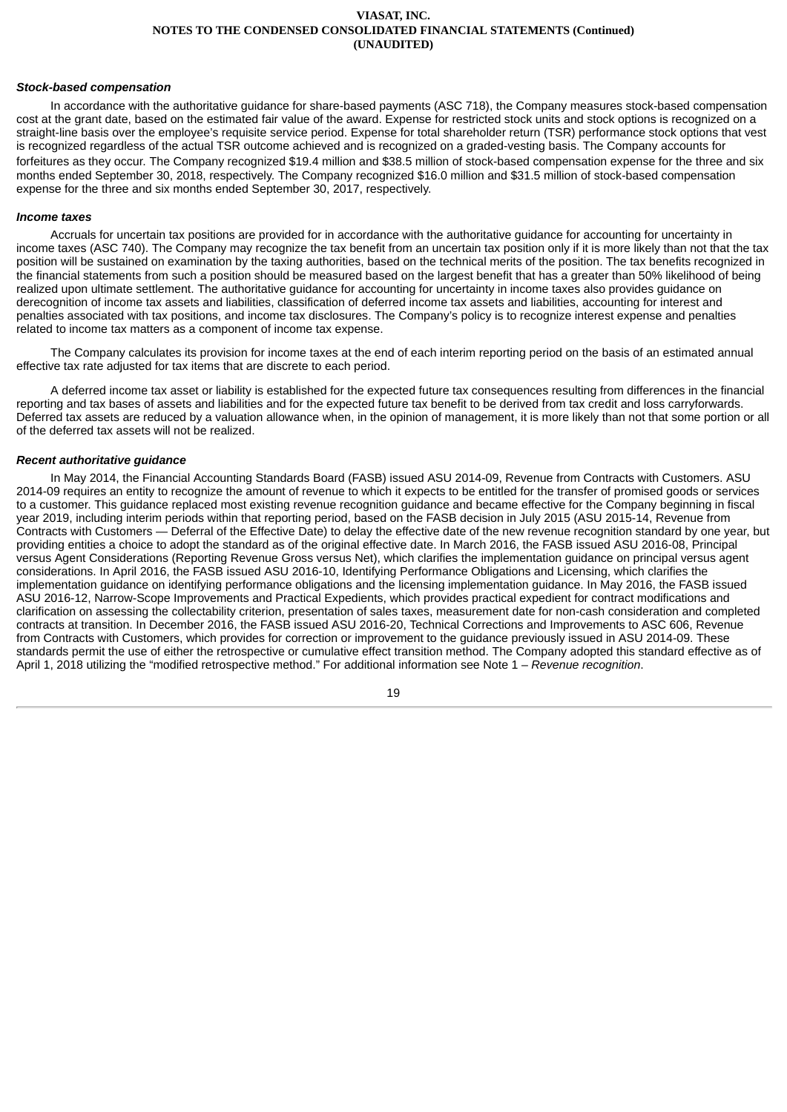#### *Stock-based compensation*

In accordance with the authoritative guidance for share-based payments (ASC 718), the Company measures stock-based compensation cost at the grant date, based on the estimated fair value of the award. Expense for restricted stock units and stock options is recognized on a straight-line basis over the employee's requisite service period. Expense for total shareholder return (TSR) performance stock options that vest is recognized regardless of the actual TSR outcome achieved and is recognized on a graded-vesting basis. The Company accounts for forfeitures as they occur. The Company recognized \$19.4 million and \$38.5 million of stock-based compensation expense for the three and six months ended September 30, 2018, respectively. The Company recognized \$16.0 million and \$31.5 million of stock-based compensation expense for the three and six months ended September 30, 2017, respectively.

#### *Income taxes*

Accruals for uncertain tax positions are provided for in accordance with the authoritative guidance for accounting for uncertainty in income taxes (ASC 740). The Company may recognize the tax benefit from an uncertain tax position only if it is more likely than not that the tax position will be sustained on examination by the taxing authorities, based on the technical merits of the position. The tax benefits recognized in the financial statements from such a position should be measured based on the largest benefit that has a greater than 50% likelihood of being realized upon ultimate settlement. The authoritative guidance for accounting for uncertainty in income taxes also provides guidance on derecognition of income tax assets and liabilities, classification of deferred income tax assets and liabilities, accounting for interest and penalties associated with tax positions, and income tax disclosures. The Company's policy is to recognize interest expense and penalties related to income tax matters as a component of income tax expense.

The Company calculates its provision for income taxes at the end of each interim reporting period on the basis of an estimated annual effective tax rate adjusted for tax items that are discrete to each period.

A deferred income tax asset or liability is established for the expected future tax consequences resulting from differences in the financial reporting and tax bases of assets and liabilities and for the expected future tax benefit to be derived from tax credit and loss carryforwards. Deferred tax assets are reduced by a valuation allowance when, in the opinion of management, it is more likely than not that some portion or all of the deferred tax assets will not be realized.

#### *Recent authoritative guidance*

In May 2014, the Financial Accounting Standards Board (FASB) issued ASU 2014-09, Revenue from Contracts with Customers. ASU 2014-09 requires an entity to recognize the amount of revenue to which it expects to be entitled for the transfer of promised goods or services to a customer. This guidance replaced most existing revenue recognition guidance and became effective for the Company beginning in fiscal year 2019, including interim periods within that reporting period, based on the FASB decision in July 2015 (ASU 2015-14, Revenue from Contracts with Customers — Deferral of the Effective Date) to delay the effective date of the new revenue recognition standard by one year, but providing entities a choice to adopt the standard as of the original effective date. In March 2016, the FASB issued ASU 2016-08, Principal versus Agent Considerations (Reporting Revenue Gross versus Net), which clarifies the implementation guidance on principal versus agent considerations. In April 2016, the FASB issued ASU 2016-10, Identifying Performance Obligations and Licensing, which clarifies the implementation guidance on identifying performance obligations and the licensing implementation guidance. In May 2016, the FASB issued ASU 2016-12, Narrow-Scope Improvements and Practical Expedients, which provides practical expedient for contract modifications and clarification on assessing the collectability criterion, presentation of sales taxes, measurement date for non-cash consideration and completed contracts at transition. In December 2016, the FASB issued ASU 2016-20, Technical Corrections and Improvements to ASC 606, Revenue from Contracts with Customers, which provides for correction or improvement to the guidance previously issued in ASU 2014-09. These standards permit the use of either the retrospective or cumulative effect transition method. The Company adopted this standard effective as of April 1, 2018 utilizing the "modified retrospective method." For additional information see Note 1 – *Revenue recognition*.

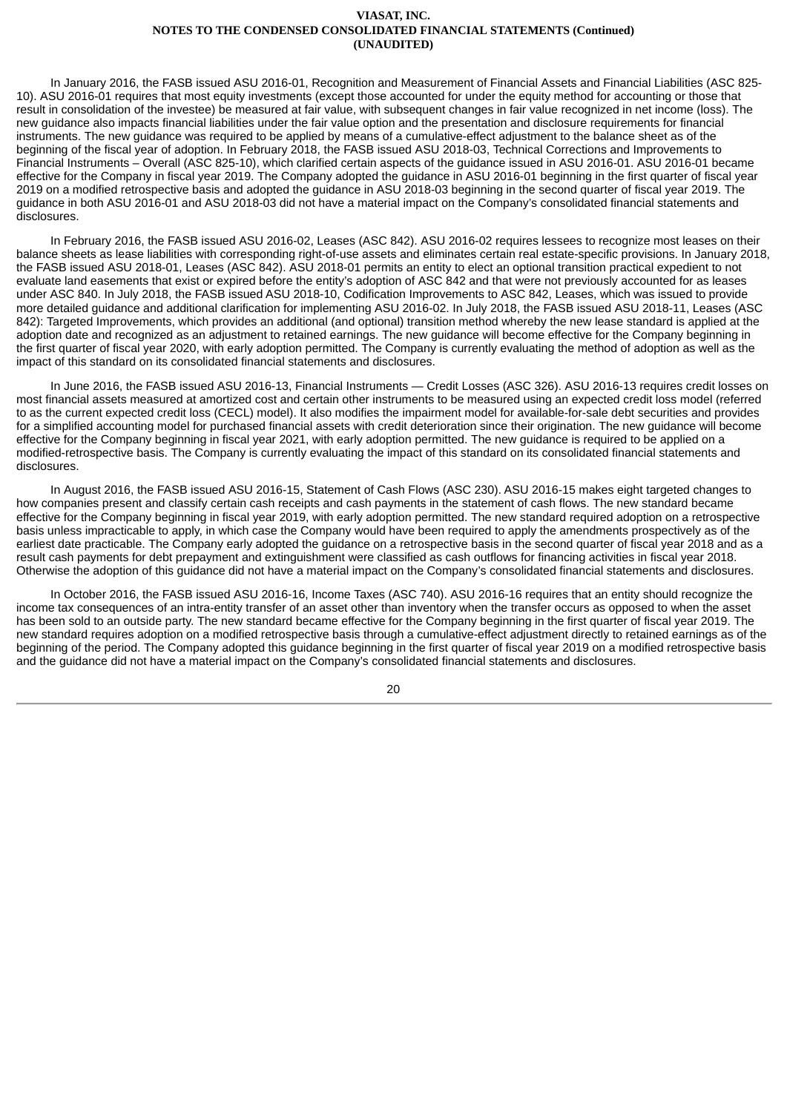In January 2016, the FASB issued ASU 2016-01, Recognition and Measurement of Financial Assets and Financial Liabilities (ASC 825- 10). ASU 2016-01 requires that most equity investments (except those accounted for under the equity method for accounting or those that result in consolidation of the investee) be measured at fair value, with subsequent changes in fair value recognized in net income (loss). The new guidance also impacts financial liabilities under the fair value option and the presentation and disclosure requirements for financial instruments. The new guidance was required to be applied by means of a cumulative-effect adjustment to the balance sheet as of the beginning of the fiscal year of adoption. In February 2018, the FASB issued ASU 2018-03, Technical Corrections and Improvements to Financial Instruments – Overall (ASC 825-10), which clarified certain aspects of the guidance issued in ASU 2016-01. ASU 2016-01 became effective for the Company in fiscal year 2019. The Company adopted the guidance in ASU 2016-01 beginning in the first quarter of fiscal year 2019 on a modified retrospective basis and adopted the guidance in ASU 2018-03 beginning in the second quarter of fiscal year 2019. The guidance in both ASU 2016-01 and ASU 2018-03 did not have a material impact on the Company's consolidated financial statements and disclosures.

In February 2016, the FASB issued ASU 2016-02, Leases (ASC 842). ASU 2016-02 requires lessees to recognize most leases on their balance sheets as lease liabilities with corresponding right-of-use assets and eliminates certain real estate-specific provisions. In January 2018, the FASB issued ASU 2018-01, Leases (ASC 842). ASU 2018-01 permits an entity to elect an optional transition practical expedient to not evaluate land easements that exist or expired before the entity's adoption of ASC 842 and that were not previously accounted for as leases under ASC 840. In July 2018, the FASB issued ASU 2018-10, Codification Improvements to ASC 842, Leases, which was issued to provide more detailed guidance and additional clarification for implementing ASU 2016-02. In July 2018, the FASB issued ASU 2018-11, Leases (ASC 842): Targeted Improvements, which provides an additional (and optional) transition method whereby the new lease standard is applied at the adoption date and recognized as an adjustment to retained earnings. The new guidance will become effective for the Company beginning in the first quarter of fiscal year 2020, with early adoption permitted. The Company is currently evaluating the method of adoption as well as the impact of this standard on its consolidated financial statements and disclosures.

In June 2016, the FASB issued ASU 2016-13, Financial Instruments — Credit Losses (ASC 326). ASU 2016-13 requires credit losses on most financial assets measured at amortized cost and certain other instruments to be measured using an expected credit loss model (referred to as the current expected credit loss (CECL) model). It also modifies the impairment model for available-for-sale debt securities and provides for a simplified accounting model for purchased financial assets with credit deterioration since their origination. The new guidance will become effective for the Company beginning in fiscal year 2021, with early adoption permitted. The new guidance is required to be applied on a modified-retrospective basis. The Company is currently evaluating the impact of this standard on its consolidated financial statements and disclosures.

In August 2016, the FASB issued ASU 2016-15, Statement of Cash Flows (ASC 230). ASU 2016-15 makes eight targeted changes to how companies present and classify certain cash receipts and cash payments in the statement of cash flows. The new standard became effective for the Company beginning in fiscal year 2019, with early adoption permitted. The new standard required adoption on a retrospective basis unless impracticable to apply, in which case the Company would have been required to apply the amendments prospectively as of the earliest date practicable. The Company early adopted the guidance on a retrospective basis in the second quarter of fiscal year 2018 and as a result cash payments for debt prepayment and extinguishment were classified as cash outflows for financing activities in fiscal year 2018. Otherwise the adoption of this guidance did not have a material impact on the Company's consolidated financial statements and disclosures.

In October 2016, the FASB issued ASU 2016-16, Income Taxes (ASC 740). ASU 2016-16 requires that an entity should recognize the income tax consequences of an intra-entity transfer of an asset other than inventory when the transfer occurs as opposed to when the asset has been sold to an outside party. The new standard became effective for the Company beginning in the first quarter of fiscal year 2019. The new standard requires adoption on a modified retrospective basis through a cumulative-effect adjustment directly to retained earnings as of the beginning of the period. The Company adopted this guidance beginning in the first quarter of fiscal year 2019 on a modified retrospective basis and the guidance did not have a material impact on the Company's consolidated financial statements and disclosures.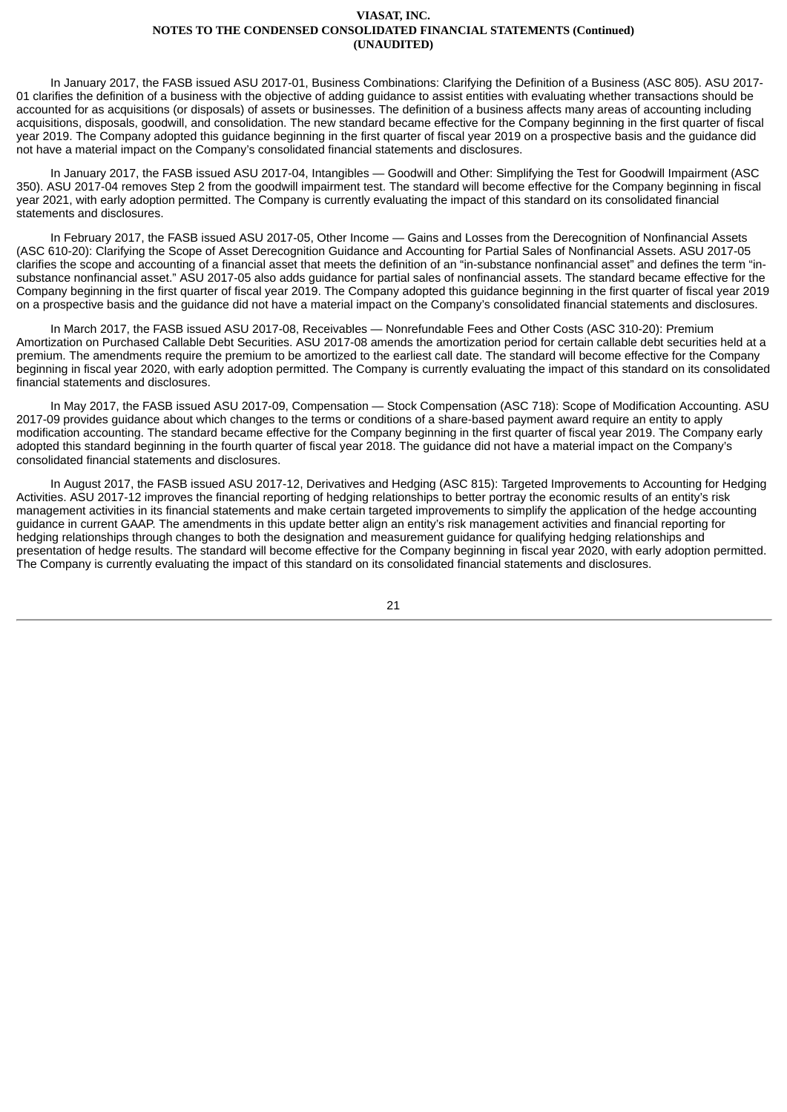In January 2017, the FASB issued ASU 2017-01, Business Combinations: Clarifying the Definition of a Business (ASC 805). ASU 2017- 01 clarifies the definition of a business with the objective of adding guidance to assist entities with evaluating whether transactions should be accounted for as acquisitions (or disposals) of assets or businesses. The definition of a business affects many areas of accounting including acquisitions, disposals, goodwill, and consolidation. The new standard became effective for the Company beginning in the first quarter of fiscal year 2019. The Company adopted this guidance beginning in the first quarter of fiscal year 2019 on a prospective basis and the guidance did not have a material impact on the Company's consolidated financial statements and disclosures.

In January 2017, the FASB issued ASU 2017-04, Intangibles — Goodwill and Other: Simplifying the Test for Goodwill Impairment (ASC 350). ASU 2017-04 removes Step 2 from the goodwill impairment test. The standard will become effective for the Company beginning in fiscal year 2021, with early adoption permitted. The Company is currently evaluating the impact of this standard on its consolidated financial statements and disclosures.

In February 2017, the FASB issued ASU 2017-05, Other Income — Gains and Losses from the Derecognition of Nonfinancial Assets (ASC 610-20): Clarifying the Scope of Asset Derecognition Guidance and Accounting for Partial Sales of Nonfinancial Assets. ASU 2017-05 clarifies the scope and accounting of a financial asset that meets the definition of an "in-substance nonfinancial asset" and defines the term "insubstance nonfinancial asset." ASU 2017-05 also adds guidance for partial sales of nonfinancial assets. The standard became effective for the Company beginning in the first quarter of fiscal year 2019. The Company adopted this guidance beginning in the first quarter of fiscal year 2019 on a prospective basis and the guidance did not have a material impact on the Company's consolidated financial statements and disclosures.

In March 2017, the FASB issued ASU 2017-08, Receivables — Nonrefundable Fees and Other Costs (ASC 310-20): Premium Amortization on Purchased Callable Debt Securities. ASU 2017-08 amends the amortization period for certain callable debt securities held at a premium. The amendments require the premium to be amortized to the earliest call date. The standard will become effective for the Company beginning in fiscal year 2020, with early adoption permitted. The Company is currently evaluating the impact of this standard on its consolidated financial statements and disclosures.

In May 2017, the FASB issued ASU 2017-09, Compensation — Stock Compensation (ASC 718): Scope of Modification Accounting. ASU 2017-09 provides guidance about which changes to the terms or conditions of a share-based payment award require an entity to apply modification accounting. The standard became effective for the Company beginning in the first quarter of fiscal year 2019. The Company early adopted this standard beginning in the fourth quarter of fiscal year 2018. The guidance did not have a material impact on the Company's consolidated financial statements and disclosures.

In August 2017, the FASB issued ASU 2017-12, Derivatives and Hedging (ASC 815): Targeted Improvements to Accounting for Hedging Activities. ASU 2017-12 improves the financial reporting of hedging relationships to better portray the economic results of an entity's risk management activities in its financial statements and make certain targeted improvements to simplify the application of the hedge accounting guidance in current GAAP. The amendments in this update better align an entity's risk management activities and financial reporting for hedging relationships through changes to both the designation and measurement guidance for qualifying hedging relationships and presentation of hedge results. The standard will become effective for the Company beginning in fiscal year 2020, with early adoption permitted. The Company is currently evaluating the impact of this standard on its consolidated financial statements and disclosures.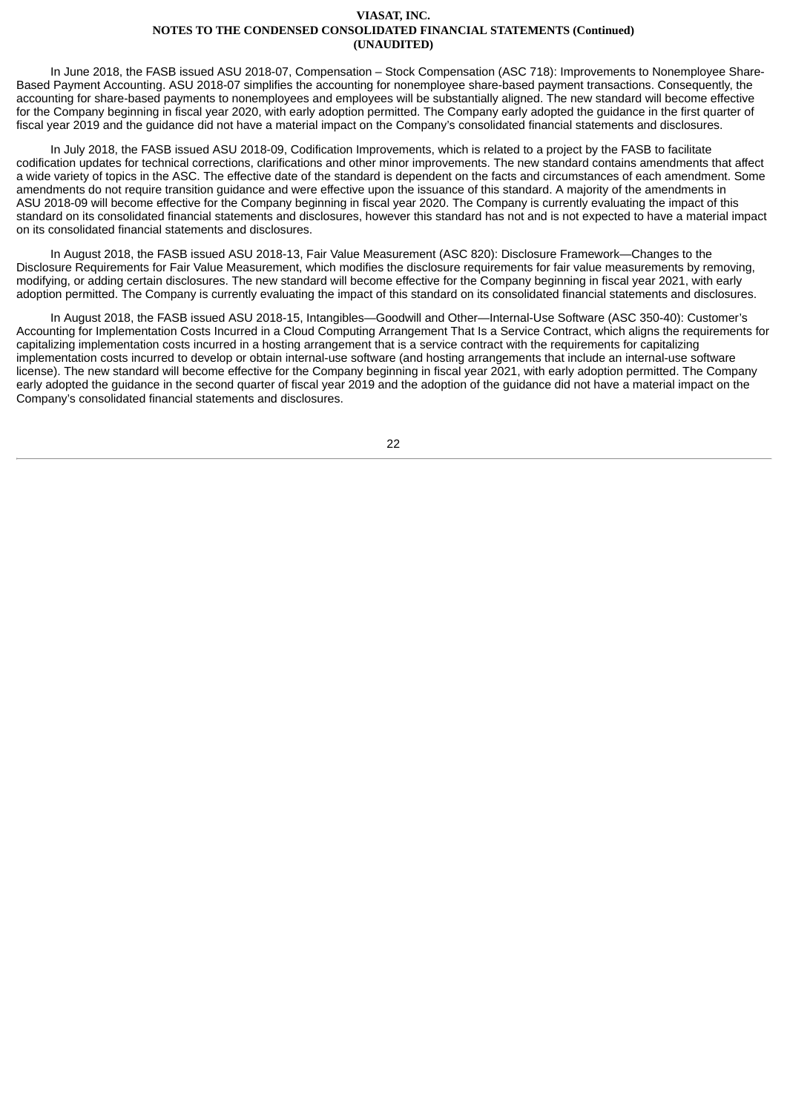In June 2018, the FASB issued ASU 2018-07, Compensation – Stock Compensation (ASC 718): Improvements to Nonemployee Share-Based Payment Accounting. ASU 2018-07 simplifies the accounting for nonemployee share-based payment transactions. Consequently, the accounting for share-based payments to nonemployees and employees will be substantially aligned. The new standard will become effective for the Company beginning in fiscal year 2020, with early adoption permitted. The Company early adopted the guidance in the first quarter of fiscal year 2019 and the guidance did not have a material impact on the Company's consolidated financial statements and disclosures.

In July 2018, the FASB issued ASU 2018-09, Codification Improvements, which is related to a project by the FASB to facilitate codification updates for technical corrections, clarifications and other minor improvements. The new standard contains amendments that affect a wide variety of topics in the ASC. The effective date of the standard is dependent on the facts and circumstances of each amendment. Some amendments do not require transition guidance and were effective upon the issuance of this standard. A majority of the amendments in ASU 2018-09 will become effective for the Company beginning in fiscal year 2020. The Company is currently evaluating the impact of this standard on its consolidated financial statements and disclosures, however this standard has not and is not expected to have a material impact on its consolidated financial statements and disclosures.

In August 2018, the FASB issued ASU 2018-13, Fair Value Measurement (ASC 820): Disclosure Framework—Changes to the Disclosure Requirements for Fair Value Measurement, which modifies the disclosure requirements for fair value measurements by removing, modifying, or adding certain disclosures. The new standard will become effective for the Company beginning in fiscal year 2021, with early adoption permitted. The Company is currently evaluating the impact of this standard on its consolidated financial statements and disclosures.

In August 2018, the FASB issued ASU 2018-15, Intangibles—Goodwill and Other—Internal-Use Software (ASC 350-40): Customer's Accounting for Implementation Costs Incurred in a Cloud Computing Arrangement That Is a Service Contract, which aligns the requirements for capitalizing implementation costs incurred in a hosting arrangement that is a service contract with the requirements for capitalizing implementation costs incurred to develop or obtain internal-use software (and hosting arrangements that include an internal-use software license). The new standard will become effective for the Company beginning in fiscal year 2021, with early adoption permitted. The Company early adopted the guidance in the second quarter of fiscal year 2019 and the adoption of the guidance did not have a material impact on the Company's consolidated financial statements and disclosures.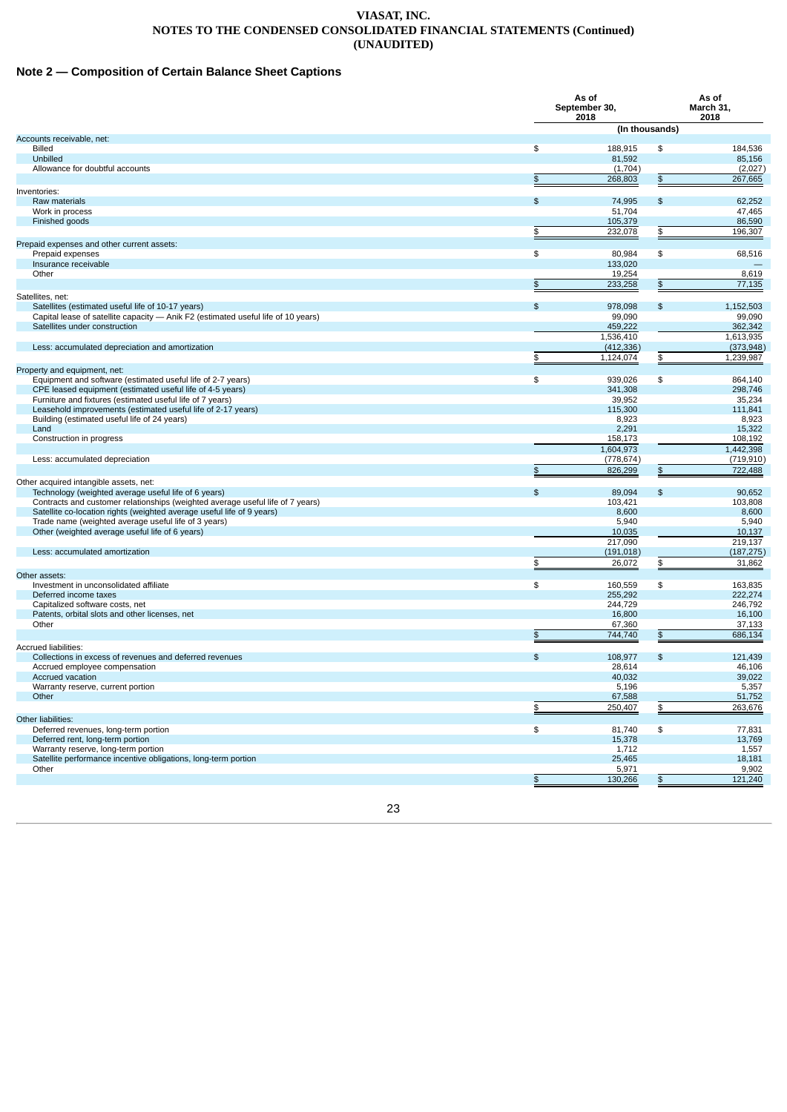### **Note 2 — Composition of Certain Balance Sheet Captions**

|                                                                                                                                | As of<br>September 30,<br>2018 | As of<br>March 31,<br>2018          |
|--------------------------------------------------------------------------------------------------------------------------------|--------------------------------|-------------------------------------|
|                                                                                                                                |                                | (In thousands)                      |
| Accounts receivable, net:                                                                                                      |                                | \$                                  |
| Billed<br>Unbilled                                                                                                             | \$<br>188,915<br>81,592        | 184,536<br>85,156                   |
| Allowance for doubtful accounts                                                                                                | (1,704)                        | (2,027)                             |
|                                                                                                                                | $\frac{1}{2}$<br>268,803       | $\,$<br>267,665                     |
| Inventories:                                                                                                                   |                                |                                     |
| Raw materials                                                                                                                  | \$<br>74,995                   | 62,252<br>\$                        |
| Work in process                                                                                                                | 51,704                         | 47,465                              |
| Finished goods                                                                                                                 | 105,379                        | 86,590                              |
|                                                                                                                                | 232,078<br>\$                  | 196,307<br>\$                       |
| Prepaid expenses and other current assets:                                                                                     |                                |                                     |
| Prepaid expenses                                                                                                               | \$<br>80,984                   | \$<br>68,516                        |
| Insurance receivable<br>Other                                                                                                  | 133,020                        |                                     |
|                                                                                                                                | 19,254<br>233,258<br>\$        | 8,619<br>77,135                     |
| Satellites, net:                                                                                                               |                                | \$                                  |
| Satellites (estimated useful life of 10-17 years)                                                                              | \$<br>978,098                  | 1,152,503<br>\$                     |
| Capital lease of satellite capacity - Anik F2 (estimated useful life of 10 years)                                              | 99,090                         | 99,090                              |
| Satellites under construction                                                                                                  | 459,222                        | 362,342                             |
|                                                                                                                                | 1,536,410                      | 1,613,935                           |
| Less: accumulated depreciation and amortization                                                                                | (412, 336)                     | (373,948)                           |
|                                                                                                                                | \$<br>1,124,074                | 1,239,987<br>\$                     |
| Property and equipment, net:                                                                                                   |                                |                                     |
| Equipment and software (estimated useful life of 2-7 years)                                                                    | \$<br>939,026                  | \$<br>864,140                       |
| CPE leased equipment (estimated useful life of 4-5 years)                                                                      | 341,308                        | 298,746                             |
| Furniture and fixtures (estimated useful life of 7 years)                                                                      | 39,952                         | 35,234                              |
| Leasehold improvements (estimated useful life of 2-17 years)<br>Building (estimated useful life of 24 years)                   | 115,300                        | 111,841                             |
| Land                                                                                                                           | 8,923<br>2,291                 | 8,923<br>15,322                     |
| Construction in progress                                                                                                       | 158,173                        | 108,192                             |
|                                                                                                                                | 1,604,973                      | 1.442.398                           |
| Less: accumulated depreciation                                                                                                 | (778, 674)                     | (719, 910)                          |
|                                                                                                                                | 826,299<br>\$                  | 722,488<br>\$                       |
| Other acquired intangible assets, net:                                                                                         |                                |                                     |
| Technology (weighted average useful life of 6 years)                                                                           | \$<br>89,094                   | 90,652<br>\$                        |
| Contracts and customer relationships (weighted average useful life of 7 years)                                                 | 103,421                        | 103,808                             |
| Satellite co-location rights (weighted average useful life of 9 years)<br>Trade name (weighted average useful life of 3 years) | 8,600<br>5,940                 | 8,600<br>5,940                      |
| Other (weighted average useful life of 6 years)                                                                                | 10,035                         | 10,137                              |
|                                                                                                                                | 217,090                        | 219,137                             |
| Less: accumulated amortization                                                                                                 | (191, 018)                     | (187, 275)                          |
|                                                                                                                                | \$<br>26,072                   | 31,862<br>\$                        |
| Other assets:                                                                                                                  |                                |                                     |
| Investment in unconsolidated affiliate                                                                                         | \$<br>160,559                  | \$<br>163,835                       |
| Deferred income taxes                                                                                                          | 255,292                        | 222,274                             |
| Capitalized software costs, net                                                                                                | 244,729                        | 246,792                             |
| Patents, orbital slots and other licenses, net                                                                                 | 16,800                         | 16,100                              |
| Other                                                                                                                          | 67,360                         | 37,133                              |
|                                                                                                                                | \$<br>744,740                  | 686,134<br>\$                       |
| Accrued liabilities:                                                                                                           |                                |                                     |
| Collections in excess of revenues and deferred revenues<br>Accrued employee compensation                                       | \$<br>108,977<br>28,614        | $\mathfrak{S}$<br>121,439<br>46,106 |
| Accrued vacation                                                                                                               | 40,032                         | 39,022                              |
| Warranty reserve, current portion                                                                                              | 5,196                          | 5,357                               |
| Other                                                                                                                          | 67,588                         | 51,752                              |
|                                                                                                                                | \$<br>250,407                  | 263,676<br>\$                       |
| Other liabilities:                                                                                                             |                                |                                     |
| Deferred revenues, long-term portion                                                                                           | \$<br>81,740                   | \$<br>77,831                        |
| Deferred rent, long-term portion                                                                                               | 15,378                         | 13,769                              |
| Warranty reserve, long-term portion                                                                                            | 1,712                          | 1,557                               |
| Satellite performance incentive obligations, long-term portion                                                                 | 25,465                         | 18,181                              |
| Other                                                                                                                          | 5,971<br>$\, \, \$$<br>130,266 | 9,902<br>121,240                    |
|                                                                                                                                |                                | \$                                  |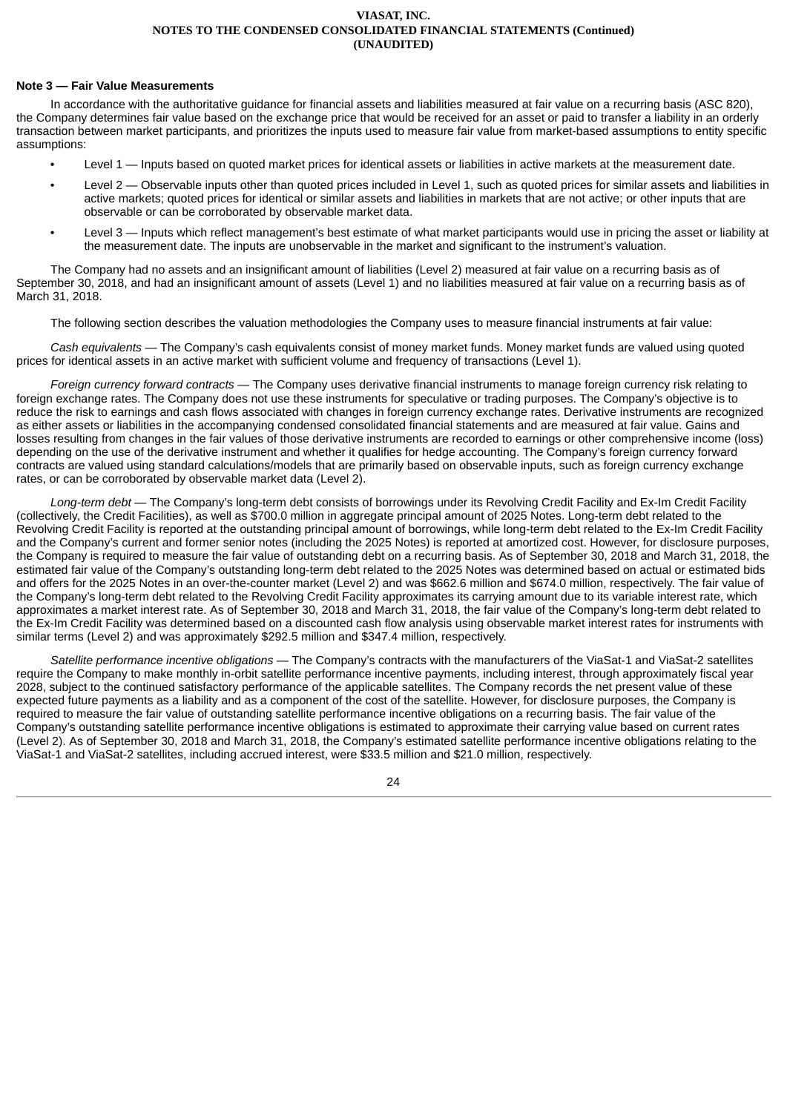#### **Note 3 — Fair Value Measurements**

In accordance with the authoritative guidance for financial assets and liabilities measured at fair value on a recurring basis (ASC 820), the Company determines fair value based on the exchange price that would be received for an asset or paid to transfer a liability in an orderly transaction between market participants, and prioritizes the inputs used to measure fair value from market-based assumptions to entity specific assumptions:

- Level 1 Inputs based on quoted market prices for identical assets or liabilities in active markets at the measurement date.
- Level 2 Observable inputs other than quoted prices included in Level 1, such as quoted prices for similar assets and liabilities in active markets; quoted prices for identical or similar assets and liabilities in markets that are not active; or other inputs that are observable or can be corroborated by observable market data.
- Level 3 Inputs which reflect management's best estimate of what market participants would use in pricing the asset or liability at the measurement date. The inputs are unobservable in the market and significant to the instrument's valuation.

The Company had no assets and an insignificant amount of liabilities (Level 2) measured at fair value on a recurring basis as of September 30, 2018, and had an insignificant amount of assets (Level 1) and no liabilities measured at fair value on a recurring basis as of March 31, 2018.

The following section describes the valuation methodologies the Company uses to measure financial instruments at fair value:

*Cash equivalents* — The Company's cash equivalents consist of money market funds. Money market funds are valued using quoted prices for identical assets in an active market with sufficient volume and frequency of transactions (Level 1).

*Foreign currency forward contracts* — The Company uses derivative financial instruments to manage foreign currency risk relating to foreign exchange rates. The Company does not use these instruments for speculative or trading purposes. The Company's objective is to reduce the risk to earnings and cash flows associated with changes in foreign currency exchange rates. Derivative instruments are recognized as either assets or liabilities in the accompanying condensed consolidated financial statements and are measured at fair value. Gains and losses resulting from changes in the fair values of those derivative instruments are recorded to earnings or other comprehensive income (loss) depending on the use of the derivative instrument and whether it qualifies for hedge accounting. The Company's foreign currency forward contracts are valued using standard calculations/models that are primarily based on observable inputs, such as foreign currency exchange rates, or can be corroborated by observable market data (Level 2).

*Long-term debt* — The Company's long-term debt consists of borrowings under its Revolving Credit Facility and Ex-Im Credit Facility (collectively, the Credit Facilities), as well as \$700.0 million in aggregate principal amount of 2025 Notes. Long-term debt related to the Revolving Credit Facility is reported at the outstanding principal amount of borrowings, while long-term debt related to the Ex-Im Credit Facility and the Company's current and former senior notes (including the 2025 Notes) is reported at amortized cost. However, for disclosure purposes, the Company is required to measure the fair value of outstanding debt on a recurring basis. As of September 30, 2018 and March 31, 2018, the estimated fair value of the Company's outstanding long-term debt related to the 2025 Notes was determined based on actual or estimated bids and offers for the 2025 Notes in an over-the-counter market (Level 2) and was \$662.6 million and \$674.0 million, respectively. The fair value of the Company's long-term debt related to the Revolving Credit Facility approximates its carrying amount due to its variable interest rate, which approximates a market interest rate. As of September 30, 2018 and March 31, 2018, the fair value of the Company's long-term debt related to the Ex-Im Credit Facility was determined based on a discounted cash flow analysis using observable market interest rates for instruments with similar terms (Level 2) and was approximately \$292.5 million and \$347.4 million, respectively.

*Satellite performance incentive obligations* — The Company's contracts with the manufacturers of the ViaSat-1 and ViaSat-2 satellites require the Company to make monthly in-orbit satellite performance incentive payments, including interest, through approximately fiscal year 2028, subject to the continued satisfactory performance of the applicable satellites. The Company records the net present value of these expected future payments as a liability and as a component of the cost of the satellite. However, for disclosure purposes, the Company is required to measure the fair value of outstanding satellite performance incentive obligations on a recurring basis. The fair value of the Company's outstanding satellite performance incentive obligations is estimated to approximate their carrying value based on current rates (Level 2). As of September 30, 2018 and March 31, 2018, the Company's estimated satellite performance incentive obligations relating to the ViaSat-1 and ViaSat-2 satellites, including accrued interest, were \$33.5 million and \$21.0 million, respectively.

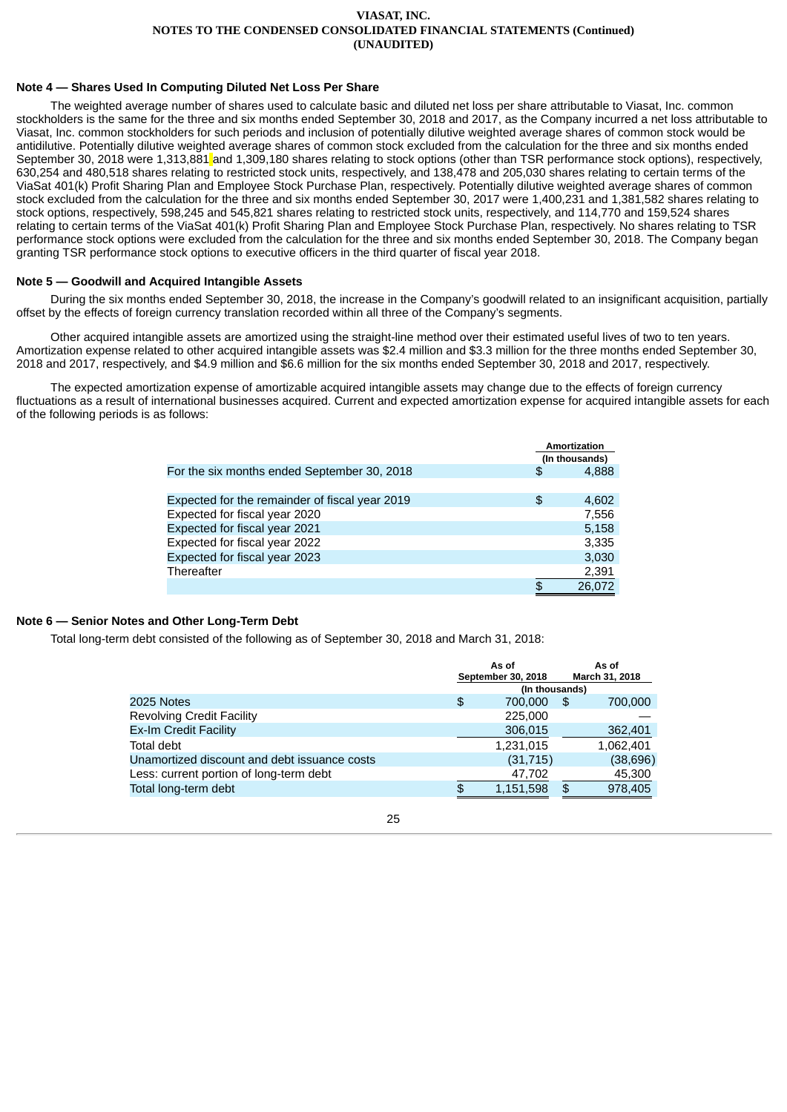#### **Note 4 — Shares Used In Computing Diluted Net Loss Per Share**

The weighted average number of shares used to calculate basic and diluted net loss per share attributable to Viasat, Inc. common stockholders is the same for the three and six months ended September 30, 2018 and 2017, as the Company incurred a net loss attributable to Viasat, Inc. common stockholders for such periods and inclusion of potentially dilutive weighted average shares of common stock would be antidilutive. Potentially dilutive weighted average shares of common stock excluded from the calculation for the three and six months ended September 30, 2018 were 1,313,881 and 1,309,180 shares relating to stock options (other than TSR performance stock options), respectively, 630,254 and 480,518 shares relating to restricted stock units, respectively, and 138,478 and 205,030 shares relating to certain terms of the ViaSat 401(k) Profit Sharing Plan and Employee Stock Purchase Plan, respectively. Potentially dilutive weighted average shares of common stock excluded from the calculation for the three and six months ended September 30, 2017 were 1,400,231 and 1,381,582 shares relating to stock options, respectively, 598,245 and 545,821 shares relating to restricted stock units, respectively, and 114,770 and 159,524 shares relating to certain terms of the ViaSat 401(k) Profit Sharing Plan and Employee Stock Purchase Plan, respectively. No shares relating to TSR performance stock options were excluded from the calculation for the three and six months ended September 30, 2018. The Company began granting TSR performance stock options to executive officers in the third quarter of fiscal year 2018.

#### **Note 5 — Goodwill and Acquired Intangible Assets**

During the six months ended September 30, 2018, the increase in the Company's goodwill related to an insignificant acquisition, partially offset by the effects of foreign currency translation recorded within all three of the Company's segments.

Other acquired intangible assets are amortized using the straight-line method over their estimated useful lives of two to ten years. Amortization expense related to other acquired intangible assets was \$2.4 million and \$3.3 million for the three months ended September 30, 2018 and 2017, respectively, and \$4.9 million and \$6.6 million for the six months ended September 30, 2018 and 2017, respectively.

The expected amortization expense of amortizable acquired intangible assets may change due to the effects of foreign currency fluctuations as a result of international businesses acquired. Current and expected amortization expense for acquired intangible assets for each of the following periods is as follows:

|                                                |    | Amortization<br>(In thousands) |
|------------------------------------------------|----|--------------------------------|
| For the six months ended September 30, 2018    | \$ | 4.888                          |
|                                                |    |                                |
| Expected for the remainder of fiscal year 2019 | \$ | 4,602                          |
| Expected for fiscal year 2020                  |    | 7,556                          |
| Expected for fiscal year 2021                  |    | 5,158                          |
| Expected for fiscal year 2022                  |    | 3,335                          |
| Expected for fiscal year 2023                  |    | 3,030                          |
| Thereafter                                     |    | 2,391                          |
|                                                | £  | 26.072                         |

#### **Note 6 — Senior Notes and Other Long-Term Debt**

Total long-term debt consisted of the following as of September 30, 2018 and March 31, 2018:

|                                              | As of<br>September 30, 2018 | As of<br>March 31, 2018 |
|----------------------------------------------|-----------------------------|-------------------------|
|                                              | (In thousands)              |                         |
| 2025 Notes                                   | \$<br>700,000               | \$<br>700,000           |
| <b>Revolving Credit Facility</b>             | 225,000                     |                         |
| <b>Ex-Im Credit Facility</b>                 | 306,015                     | 362,401                 |
| Total debt                                   | 1,231,015                   | 1,062,401               |
| Unamortized discount and debt issuance costs | (31, 715)                   | (38, 696)               |
| Less: current portion of long-term debt      | 47,702                      | 45,300                  |
| Total long-term debt                         | 1,151,598                   | \$<br>978,405           |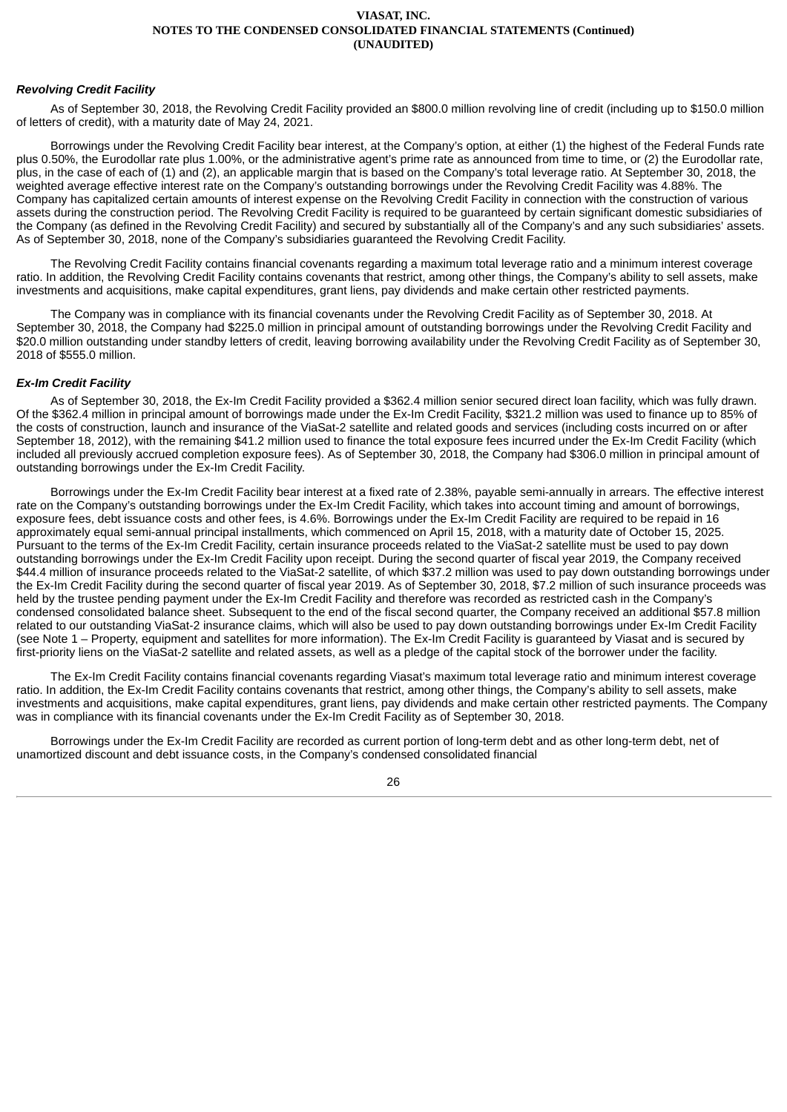#### *Revolving Credit Facility*

As of September 30, 2018, the Revolving Credit Facility provided an \$800.0 million revolving line of credit (including up to \$150.0 million of letters of credit), with a maturity date of May 24, 2021.

Borrowings under the Revolving Credit Facility bear interest, at the Company's option, at either (1) the highest of the Federal Funds rate plus 0.50%, the Eurodollar rate plus 1.00%, or the administrative agent's prime rate as announced from time to time, or (2) the Eurodollar rate, plus, in the case of each of (1) and (2), an applicable margin that is based on the Company's total leverage ratio. At September 30, 2018, the weighted average effective interest rate on the Company's outstanding borrowings under the Revolving Credit Facility was 4.88%. The Company has capitalized certain amounts of interest expense on the Revolving Credit Facility in connection with the construction of various assets during the construction period. The Revolving Credit Facility is required to be guaranteed by certain significant domestic subsidiaries of the Company (as defined in the Revolving Credit Facility) and secured by substantially all of the Company's and any such subsidiaries' assets. As of September 30, 2018, none of the Company's subsidiaries guaranteed the Revolving Credit Facility.

The Revolving Credit Facility contains financial covenants regarding a maximum total leverage ratio and a minimum interest coverage ratio. In addition, the Revolving Credit Facility contains covenants that restrict, among other things, the Company's ability to sell assets, make investments and acquisitions, make capital expenditures, grant liens, pay dividends and make certain other restricted payments.

The Company was in compliance with its financial covenants under the Revolving Credit Facility as of September 30, 2018. At September 30, 2018, the Company had \$225.0 million in principal amount of outstanding borrowings under the Revolving Credit Facility and \$20.0 million outstanding under standby letters of credit, leaving borrowing availability under the Revolving Credit Facility as of September 30, 2018 of \$555.0 million.

#### *Ex-Im Credit Facility*

As of September 30, 2018, the Ex-Im Credit Facility provided a \$362.4 million senior secured direct loan facility, which was fully drawn. Of the \$362.4 million in principal amount of borrowings made under the Ex-Im Credit Facility, \$321.2 million was used to finance up to 85% of the costs of construction, launch and insurance of the ViaSat-2 satellite and related goods and services (including costs incurred on or after September 18, 2012), with the remaining \$41.2 million used to finance the total exposure fees incurred under the Ex-Im Credit Facility (which included all previously accrued completion exposure fees). As of September 30, 2018, the Company had \$306.0 million in principal amount of outstanding borrowings under the Ex-Im Credit Facility.

Borrowings under the Ex-Im Credit Facility bear interest at a fixed rate of 2.38%, payable semi-annually in arrears. The effective interest rate on the Company's outstanding borrowings under the Ex-Im Credit Facility, which takes into account timing and amount of borrowings, exposure fees, debt issuance costs and other fees, is 4.6%. Borrowings under the Ex-Im Credit Facility are required to be repaid in 16 approximately equal semi-annual principal installments, which commenced on April 15, 2018, with a maturity date of October 15, 2025. Pursuant to the terms of the Ex-Im Credit Facility, certain insurance proceeds related to the ViaSat-2 satellite must be used to pay down outstanding borrowings under the Ex-Im Credit Facility upon receipt. During the second quarter of fiscal year 2019, the Company received \$44.4 million of insurance proceeds related to the ViaSat-2 satellite, of which \$37.2 million was used to pay down outstanding borrowings under the Ex-Im Credit Facility during the second quarter of fiscal year 2019. As of September 30, 2018, \$7.2 million of such insurance proceeds was held by the trustee pending payment under the Ex-Im Credit Facility and therefore was recorded as restricted cash in the Company's condensed consolidated balance sheet. Subsequent to the end of the fiscal second quarter, the Company received an additional \$57.8 million related to our outstanding ViaSat-2 insurance claims, which will also be used to pay down outstanding borrowings under Ex-Im Credit Facility (see Note 1 – Property, equipment and satellites for more information). The Ex-Im Credit Facility is guaranteed by Viasat and is secured by first-priority liens on the ViaSat-2 satellite and related assets, as well as a pledge of the capital stock of the borrower under the facility.

The Ex-Im Credit Facility contains financial covenants regarding Viasat's maximum total leverage ratio and minimum interest coverage ratio. In addition, the Ex-Im Credit Facility contains covenants that restrict, among other things, the Company's ability to sell assets, make investments and acquisitions, make capital expenditures, grant liens, pay dividends and make certain other restricted payments. The Company was in compliance with its financial covenants under the Ex-Im Credit Facility as of September 30, 2018.

Borrowings under the Ex-Im Credit Facility are recorded as current portion of long-term debt and as other long-term debt, net of unamortized discount and debt issuance costs, in the Company's condensed consolidated financial

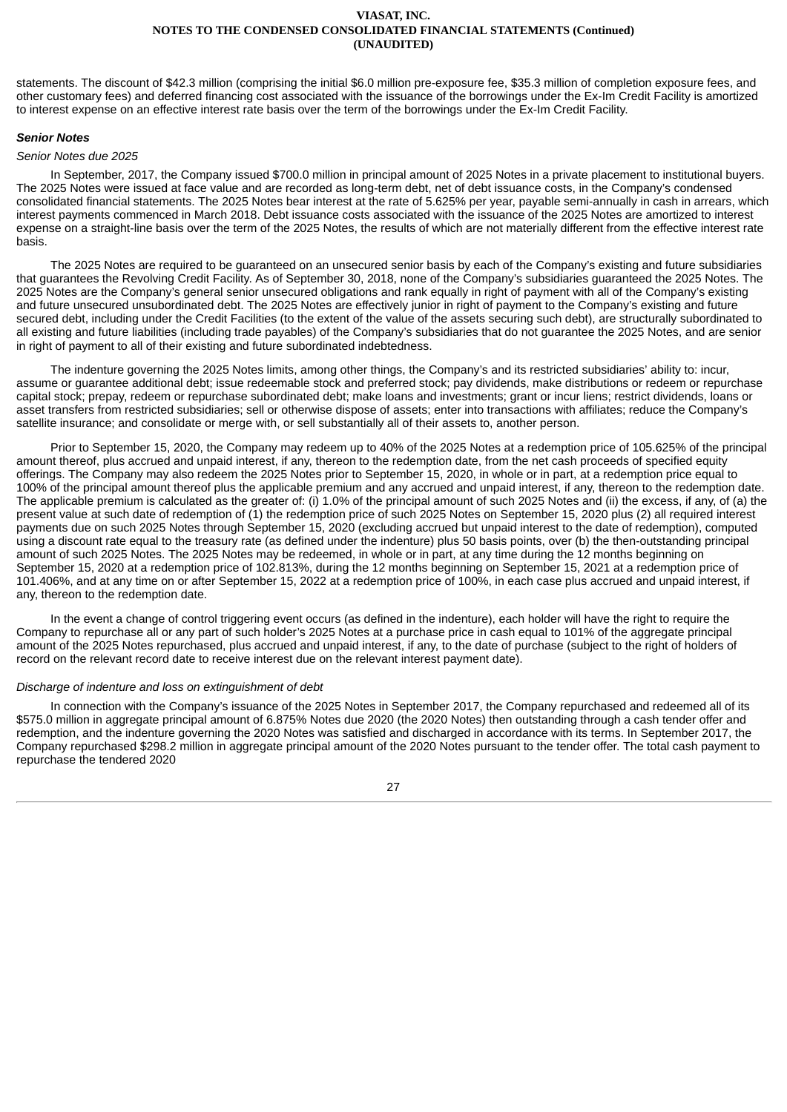statements. The discount of \$42.3 million (comprising the initial \$6.0 million pre-exposure fee, \$35.3 million of completion exposure fees, and other customary fees) and deferred financing cost associated with the issuance of the borrowings under the Ex-Im Credit Facility is amortized to interest expense on an effective interest rate basis over the term of the borrowings under the Ex-Im Credit Facility.

#### *Senior Notes*

#### *Senior Notes due 2025*

In September, 2017, the Company issued \$700.0 million in principal amount of 2025 Notes in a private placement to institutional buyers. The 2025 Notes were issued at face value and are recorded as long-term debt, net of debt issuance costs, in the Company's condensed consolidated financial statements. The 2025 Notes bear interest at the rate of 5.625% per year, payable semi-annually in cash in arrears, which interest payments commenced in March 2018. Debt issuance costs associated with the issuance of the 2025 Notes are amortized to interest expense on a straight-line basis over the term of the 2025 Notes, the results of which are not materially different from the effective interest rate basis.

The 2025 Notes are required to be guaranteed on an unsecured senior basis by each of the Company's existing and future subsidiaries that guarantees the Revolving Credit Facility. As of September 30, 2018, none of the Company's subsidiaries guaranteed the 2025 Notes. The 2025 Notes are the Company's general senior unsecured obligations and rank equally in right of payment with all of the Company's existing and future unsecured unsubordinated debt. The 2025 Notes are effectively junior in right of payment to the Company's existing and future secured debt, including under the Credit Facilities (to the extent of the value of the assets securing such debt), are structurally subordinated to all existing and future liabilities (including trade payables) of the Company's subsidiaries that do not guarantee the 2025 Notes, and are senior in right of payment to all of their existing and future subordinated indebtedness.

The indenture governing the 2025 Notes limits, among other things, the Company's and its restricted subsidiaries' ability to: incur, assume or guarantee additional debt; issue redeemable stock and preferred stock; pay dividends, make distributions or redeem or repurchase capital stock; prepay, redeem or repurchase subordinated debt; make loans and investments; grant or incur liens; restrict dividends, loans or asset transfers from restricted subsidiaries; sell or otherwise dispose of assets; enter into transactions with affiliates; reduce the Company's satellite insurance; and consolidate or merge with, or sell substantially all of their assets to, another person.

Prior to September 15, 2020, the Company may redeem up to 40% of the 2025 Notes at a redemption price of 105.625% of the principal amount thereof, plus accrued and unpaid interest, if any, thereon to the redemption date, from the net cash proceeds of specified equity offerings. The Company may also redeem the 2025 Notes prior to September 15, 2020, in whole or in part, at a redemption price equal to 100% of the principal amount thereof plus the applicable premium and any accrued and unpaid interest, if any, thereon to the redemption date. The applicable premium is calculated as the greater of: (i) 1.0% of the principal amount of such 2025 Notes and (ii) the excess, if any, of (a) the present value at such date of redemption of (1) the redemption price of such 2025 Notes on September 15, 2020 plus (2) all required interest payments due on such 2025 Notes through September 15, 2020 (excluding accrued but unpaid interest to the date of redemption), computed using a discount rate equal to the treasury rate (as defined under the indenture) plus 50 basis points, over (b) the then-outstanding principal amount of such 2025 Notes. The 2025 Notes may be redeemed, in whole or in part, at any time during the 12 months beginning on September 15, 2020 at a redemption price of 102.813%, during the 12 months beginning on September 15, 2021 at a redemption price of 101.406%, and at any time on or after September 15, 2022 at a redemption price of 100%, in each case plus accrued and unpaid interest, if any, thereon to the redemption date.

In the event a change of control triggering event occurs (as defined in the indenture), each holder will have the right to require the Company to repurchase all or any part of such holder's 2025 Notes at a purchase price in cash equal to 101% of the aggregate principal amount of the 2025 Notes repurchased, plus accrued and unpaid interest, if any, to the date of purchase (subject to the right of holders of record on the relevant record date to receive interest due on the relevant interest payment date).

#### *Discharge of indenture and loss on extinguishment of debt*

In connection with the Company's issuance of the 2025 Notes in September 2017, the Company repurchased and redeemed all of its \$575.0 million in aggregate principal amount of 6.875% Notes due 2020 (the 2020 Notes) then outstanding through a cash tender offer and redemption, and the indenture governing the 2020 Notes was satisfied and discharged in accordance with its terms. In September 2017, the Company repurchased \$298.2 million in aggregate principal amount of the 2020 Notes pursuant to the tender offer. The total cash payment to repurchase the tendered 2020

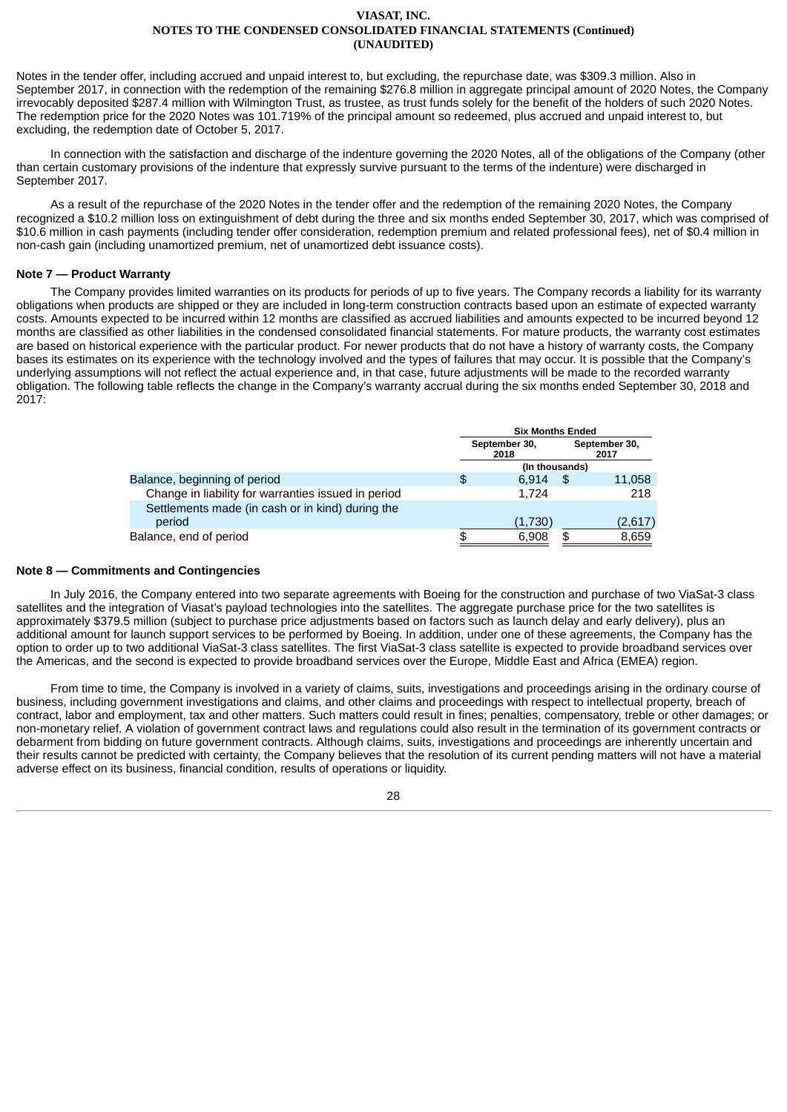Notes in the tender offer, including accrued and unpaid interest to, but excluding, the repurchase date, was \$309.3 million. Also in September 2017, in connection with the redemption of the remaining \$276.8 million in aggregate principal amount of 2020 Notes, the Company irrevocably deposited \$287.4 million with Wilmington Trust, as trustee, as trust funds solely for the benefit of the holders of such 2020 Notes. The redemption price for the 2020 Notes was 101.719% of the principal amount so redeemed, plus accrued and unpaid interest to, but excluding, the redemption date of October 5, 2017.

In connection with the satisfaction and discharge of the indenture governing the 2020 Notes, all of the obligations of the Company (other than certain customary provisions of the indenture that expressly survive pursuant to the terms of the indenture) were discharged in September 2017.

As a result of the repurchase of the 2020 Notes in the tender offer and the redemption of the remaining 2020 Notes, the Company recognized a \$10.2 million loss on extinguishment of debt during the three and six months ended September 30, 2017, which was comprised of \$10.6 million in cash payments (including tender offer consideration, redemption premium and related professional fees), net of \$0.4 million in non-cash gain (including unamortized premium, net of unamortized debt issuance costs).

#### **Note 7 — Product Warranty**

The Company provides limited warranties on its products for periods of up to five years. The Company records a liability for its warranty obligations when products are shipped or they are included in long-term construction contracts based upon an estimate of expected warranty costs. Amounts expected to be incurred within 12 months are classified as accrued liabilities and amounts expected to be incurred beyond 12 months are classified as other liabilities in the condensed consolidated financial statements. For mature products, the warranty cost estimates are based on historical experience with the particular product. For newer products that do not have a history of warranty costs, the Company bases its estimates on its experience with the technology involved and the types of failures that may occur. It is possible that the Company's underlying assumptions will not reflect the actual experience and, in that case, future adjustments will be made to the recorded warranty obligation. The following table reflects the change in the Company's warranty accrual during the six months ended September 30, 2018 and  $2017$ 

|                                                     | <b>Six Months Ended</b> |                       |    |                       |  |  |
|-----------------------------------------------------|-------------------------|-----------------------|----|-----------------------|--|--|
|                                                     |                         | September 30,<br>2018 |    | September 30,<br>2017 |  |  |
|                                                     | (In thousands)          |                       |    |                       |  |  |
| Balance, beginning of period                        | \$                      | 6.914                 | \$ | 11,058                |  |  |
| Change in liability for warranties issued in period |                         | 1.724                 |    | 218                   |  |  |
| Settlements made (in cash or in kind) during the    |                         |                       |    |                       |  |  |
| period                                              |                         | (1,730)               |    | (2,617)               |  |  |
| Balance, end of period                              | \$                      | 6.908                 | \$ | 8,659                 |  |  |

#### **Note 8 — Commitments and Contingencies**

In July 2016, the Company entered into two separate agreements with Boeing for the construction and purchase of two ViaSat-3 class satellites and the integration of Viasat's payload technologies into the satellites. The aggregate purchase price for the two satellites is approximately \$379.5 million (subject to purchase price adjustments based on factors such as launch delay and early delivery), plus an additional amount for launch support services to be performed by Boeing. In addition, under one of these agreements, the Company has the option to order up to two additional ViaSat-3 class satellites. The first ViaSat-3 class satellite is expected to provide broadband services over the Americas, and the second is expected to provide broadband services over the Europe, Middle East and Africa (EMEA) region.

From time to time, the Company is involved in a variety of claims, suits, investigations and proceedings arising in the ordinary course of business, including government investigations and claims, and other claims and proceedings with respect to intellectual property, breach of contract, labor and employment, tax and other matters. Such matters could result in fines; penalties, compensatory, treble or other damages; or non-monetary relief. A violation of government contract laws and regulations could also result in the termination of its government contracts or debarment from bidding on future government contracts. Although claims, suits, investigations and proceedings are inherently uncertain and their results cannot be predicted with certainty, the Company believes that the resolution of its current pending matters will not have a material adverse effect on its business, financial condition, results of operations or liquidity.

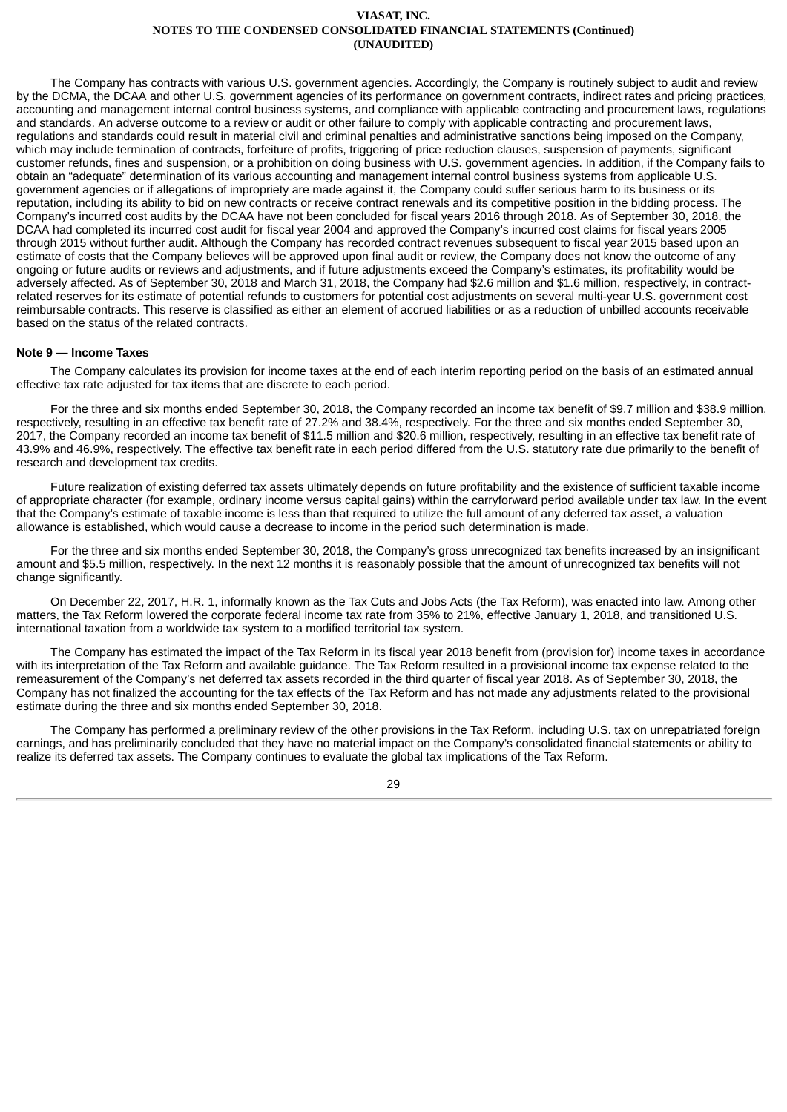The Company has contracts with various U.S. government agencies. Accordingly, the Company is routinely subject to audit and review by the DCMA, the DCAA and other U.S. government agencies of its performance on government contracts, indirect rates and pricing practices, accounting and management internal control business systems, and compliance with applicable contracting and procurement laws, regulations and standards. An adverse outcome to a review or audit or other failure to comply with applicable contracting and procurement laws, regulations and standards could result in material civil and criminal penalties and administrative sanctions being imposed on the Company, which may include termination of contracts, forfeiture of profits, triggering of price reduction clauses, suspension of payments, significant customer refunds, fines and suspension, or a prohibition on doing business with U.S. government agencies. In addition, if the Company fails to obtain an "adequate" determination of its various accounting and management internal control business systems from applicable U.S. government agencies or if allegations of impropriety are made against it, the Company could suffer serious harm to its business or its reputation, including its ability to bid on new contracts or receive contract renewals and its competitive position in the bidding process. The Company's incurred cost audits by the DCAA have not been concluded for fiscal years 2016 through 2018. As of September 30, 2018, the DCAA had completed its incurred cost audit for fiscal year 2004 and approved the Company's incurred cost claims for fiscal years 2005 through 2015 without further audit. Although the Company has recorded contract revenues subsequent to fiscal year 2015 based upon an estimate of costs that the Company believes will be approved upon final audit or review, the Company does not know the outcome of any ongoing or future audits or reviews and adjustments, and if future adjustments exceed the Company's estimates, its profitability would be adversely affected. As of September 30, 2018 and March 31, 2018, the Company had \$2.6 million and \$1.6 million, respectively, in contractrelated reserves for its estimate of potential refunds to customers for potential cost adjustments on several multi-year U.S. government cost reimbursable contracts. This reserve is classified as either an element of accrued liabilities or as a reduction of unbilled accounts receivable based on the status of the related contracts.

#### **Note 9 — Income Taxes**

The Company calculates its provision for income taxes at the end of each interim reporting period on the basis of an estimated annual effective tax rate adjusted for tax items that are discrete to each period.

For the three and six months ended September 30, 2018, the Company recorded an income tax benefit of \$9.7 million and \$38.9 million, respectively, resulting in an effective tax benefit rate of 27.2% and 38.4%, respectively. For the three and six months ended September 30, 2017, the Company recorded an income tax benefit of \$11.5 million and \$20.6 million, respectively, resulting in an effective tax benefit rate of 43.9% and 46.9%, respectively. The effective tax benefit rate in each period differed from the U.S. statutory rate due primarily to the benefit of research and development tax credits.

Future realization of existing deferred tax assets ultimately depends on future profitability and the existence of sufficient taxable income of appropriate character (for example, ordinary income versus capital gains) within the carryforward period available under tax law. In the event that the Company's estimate of taxable income is less than that required to utilize the full amount of any deferred tax asset, a valuation allowance is established, which would cause a decrease to income in the period such determination is made.

For the three and six months ended September 30, 2018, the Company's gross unrecognized tax benefits increased by an insignificant amount and \$5.5 million, respectively. In the next 12 months it is reasonably possible that the amount of unrecognized tax benefits will not change significantly.

On December 22, 2017, H.R. 1, informally known as the Tax Cuts and Jobs Acts (the Tax Reform), was enacted into law. Among other matters, the Tax Reform lowered the corporate federal income tax rate from 35% to 21%, effective January 1, 2018, and transitioned U.S. international taxation from a worldwide tax system to a modified territorial tax system.

The Company has estimated the impact of the Tax Reform in its fiscal year 2018 benefit from (provision for) income taxes in accordance with its interpretation of the Tax Reform and available guidance. The Tax Reform resulted in a provisional income tax expense related to the remeasurement of the Company's net deferred tax assets recorded in the third quarter of fiscal year 2018. As of September 30, 2018, the Company has not finalized the accounting for the tax effects of the Tax Reform and has not made any adjustments related to the provisional estimate during the three and six months ended September 30, 2018.

The Company has performed a preliminary review of the other provisions in the Tax Reform, including U.S. tax on unrepatriated foreign earnings, and has preliminarily concluded that they have no material impact on the Company's consolidated financial statements or ability to realize its deferred tax assets. The Company continues to evaluate the global tax implications of the Tax Reform.

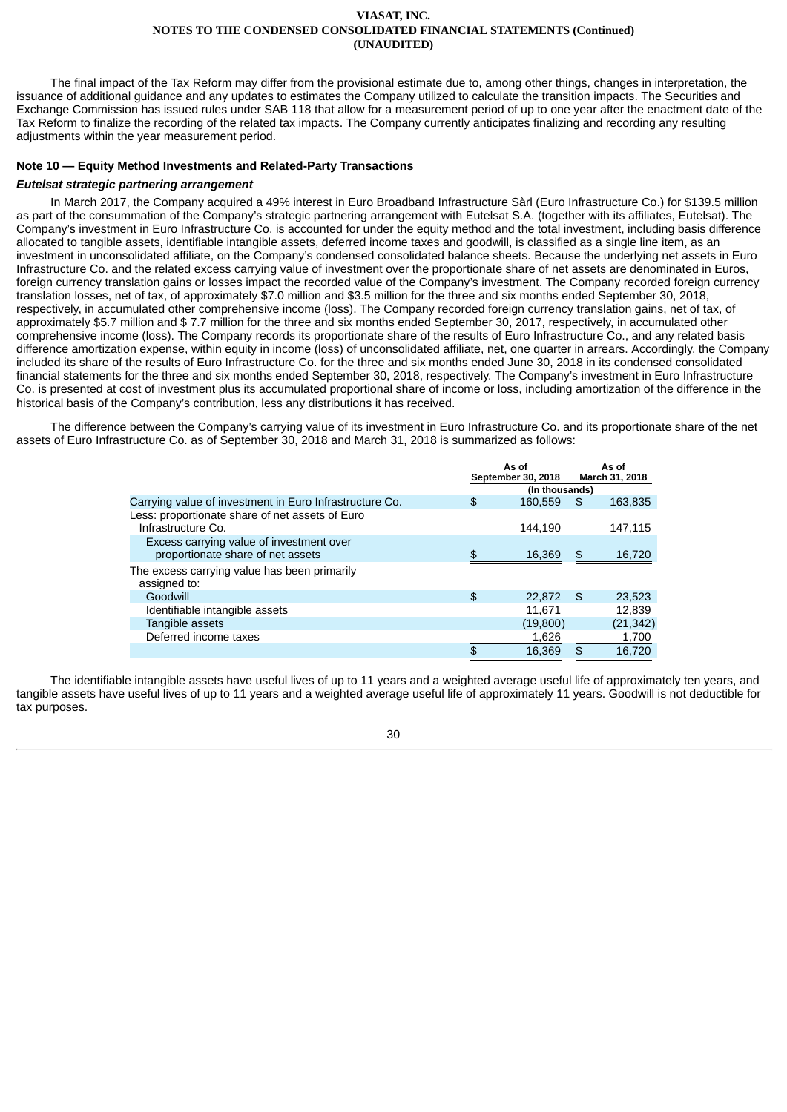The final impact of the Tax Reform may differ from the provisional estimate due to, among other things, changes in interpretation, the issuance of additional guidance and any updates to estimates the Company utilized to calculate the transition impacts. The Securities and Exchange Commission has issued rules under SAB 118 that allow for a measurement period of up to one year after the enactment date of the Tax Reform to finalize the recording of the related tax impacts. The Company currently anticipates finalizing and recording any resulting adjustments within the year measurement period.

#### **Note 10 — Equity Method Investments and Related-Party Transactions**

#### *Eutelsat strategic partnering arrangement*

In March 2017, the Company acquired a 49% interest in Euro Broadband Infrastructure Sàrl (Euro Infrastructure Co.) for \$139.5 million as part of the consummation of the Company's strategic partnering arrangement with Eutelsat S.A. (together with its affiliates, Eutelsat). The Company's investment in Euro Infrastructure Co. is accounted for under the equity method and the total investment, including basis difference allocated to tangible assets, identifiable intangible assets, deferred income taxes and goodwill, is classified as a single line item, as an investment in unconsolidated affiliate, on the Company's condensed consolidated balance sheets. Because the underlying net assets in Euro Infrastructure Co. and the related excess carrying value of investment over the proportionate share of net assets are denominated in Euros, foreign currency translation gains or losses impact the recorded value of the Company's investment. The Company recorded foreign currency translation losses, net of tax, of approximately \$7.0 million and \$3.5 million for the three and six months ended September 30, 2018, respectively, in accumulated other comprehensive income (loss). The Company recorded foreign currency translation gains, net of tax, of approximately \$5.7 million and \$ 7.7 million for the three and six months ended September 30, 2017, respectively, in accumulated other comprehensive income (loss). The Company records its proportionate share of the results of Euro Infrastructure Co., and any related basis difference amortization expense, within equity in income (loss) of unconsolidated affiliate, net, one quarter in arrears. Accordingly, the Company included its share of the results of Euro Infrastructure Co. for the three and six months ended June 30, 2018 in its condensed consolidated financial statements for the three and six months ended September 30, 2018, respectively. The Company's investment in Euro Infrastructure Co. is presented at cost of investment plus its accumulated proportional share of income or loss, including amortization of the difference in the historical basis of the Company's contribution, less any distributions it has received.

The difference between the Company's carrying value of its investment in Euro Infrastructure Co. and its proportionate share of the net assets of Euro Infrastructure Co. as of September 30, 2018 and March 31, 2018 is summarized as follows:

|                                                                               | As of<br>September 30, 2018 | As of<br>March 31, 2018 |  |
|-------------------------------------------------------------------------------|-----------------------------|-------------------------|--|
|                                                                               | (In thousands)              |                         |  |
| Carrying value of investment in Euro Infrastructure Co.                       | \$<br>160.559               | \$<br>163.835           |  |
| Less: proportionate share of net assets of Euro<br>Infrastructure Co.         | 144,190                     | 147,115                 |  |
| Excess carrying value of investment over<br>proportionate share of net assets | \$<br>16,369                | \$<br>16,720            |  |
| The excess carrying value has been primarily<br>assigned to:                  |                             |                         |  |
| Goodwill                                                                      | \$<br>22,872                | \$<br>23,523            |  |
| Identifiable intangible assets                                                | 11.671                      | 12,839                  |  |
| Tangible assets                                                               | (19, 800)                   | (21, 342)               |  |
| Deferred income taxes                                                         | 1,626                       | 1,700                   |  |
|                                                                               | 16.369                      | \$<br>16.720            |  |

The identifiable intangible assets have useful lives of up to 11 years and a weighted average useful life of approximately ten years, and tangible assets have useful lives of up to 11 years and a weighted average useful life of approximately 11 years. Goodwill is not deductible for tax purposes.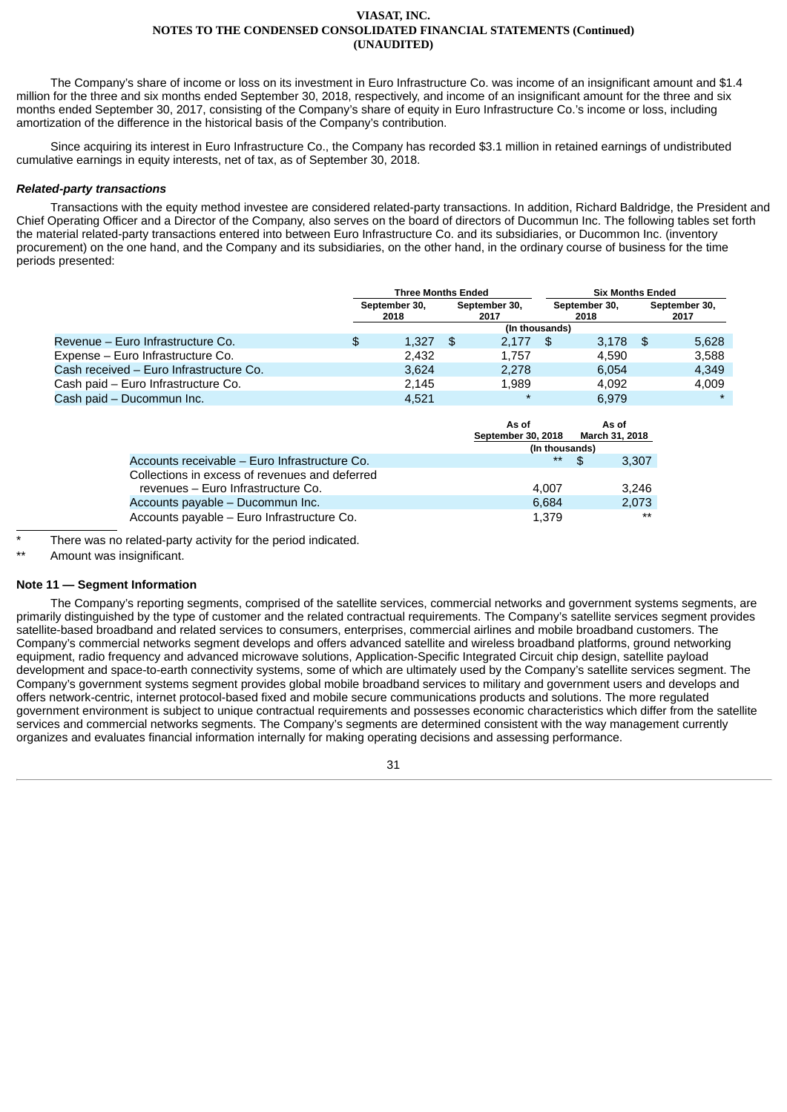The Company's share of income or loss on its investment in Euro Infrastructure Co. was income of an insignificant amount and \$1.4 million for the three and six months ended September 30, 2018, respectively, and income of an insignificant amount for the three and six months ended September 30, 2017, consisting of the Company's share of equity in Euro Infrastructure Co.'s income or loss, including amortization of the difference in the historical basis of the Company's contribution.

Since acquiring its interest in Euro Infrastructure Co., the Company has recorded \$3.1 million in retained earnings of undistributed cumulative earnings in equity interests, net of tax, as of September 30, 2018.

#### *Related-party transactions*

Transactions with the equity method investee are considered related-party transactions. In addition, Richard Baldridge, the President and Chief Operating Officer and a Director of the Company, also serves on the board of directors of Ducommun Inc. The following tables set forth the material related-party transactions entered into between Euro Infrastructure Co. and its subsidiaries, or Ducommon Inc. (inventory procurement) on the one hand, and the Company and its subsidiaries, on the other hand, in the ordinary course of business for the time periods presented:

|                                         |    | <b>Three Months Ended</b>                      |      |         | <b>Six Months Ended</b> |               |      |         |                       |
|-----------------------------------------|----|------------------------------------------------|------|---------|-------------------------|---------------|------|---------|-----------------------|
|                                         |    | September 30,<br>September 30,<br>2018<br>2017 |      | 2018    |                         | September 30. |      |         | September 30,<br>2017 |
|                                         |    |                                                |      |         | (In thousands)          |               |      |         |                       |
| Revenue – Euro Infrastructure Co.       | \$ | 1.327                                          | - SG | 2.177   | - \$                    | 3.178         | - \$ | 5,628   |                       |
| Expense - Euro Infrastructure Co.       |    | 2.432                                          |      | 1.757   |                         | 4.590         |      | 3,588   |                       |
| Cash received - Euro Infrastructure Co. |    | 3.624                                          |      | 2.278   |                         | 6.054         |      | 4.349   |                       |
| Cash paid - Euro Infrastructure Co.     |    | 2.145                                          |      | 1.989   |                         | 4.092         |      | 4.009   |                       |
| Cash paid - Ducommun Inc.               |    | 4.521                                          |      | $\star$ |                         | 6.979         |      | $\star$ |                       |

|                                                | As of<br><b>September 30, 2018</b> | As of<br><b>March 31, 2018</b> |
|------------------------------------------------|------------------------------------|--------------------------------|
|                                                | (In thousands)                     |                                |
| Accounts receivable – Euro Infrastructure Co.  | $***$                              | 3.307<br>\$.                   |
| Collections in excess of revenues and deferred |                                    |                                |
| revenues – Euro Infrastructure Co.             | 4.007                              | 3.246                          |
| Accounts payable - Ducommun Inc.               | 6.684                              | 2,073                          |
| Accounts payable - Euro Infrastructure Co.     | 1.379                              | $**$                           |

There was no related-party activity for the period indicated.

Amount was insignificant.

#### **Note 11 — Segment Information**

The Company's reporting segments, comprised of the satellite services, commercial networks and government systems segments, are primarily distinguished by the type of customer and the related contractual requirements. The Company's satellite services segment provides satellite-based broadband and related services to consumers, enterprises, commercial airlines and mobile broadband customers. The Company's commercial networks segment develops and offers advanced satellite and wireless broadband platforms, ground networking equipment, radio frequency and advanced microwave solutions, Application-Specific Integrated Circuit chip design, satellite payload development and space-to-earth connectivity systems, some of which are ultimately used by the Company's satellite services segment. The Company's government systems segment provides global mobile broadband services to military and government users and develops and offers network-centric, internet protocol-based fixed and mobile secure communications products and solutions. The more regulated government environment is subject to unique contractual requirements and possesses economic characteristics which differ from the satellite services and commercial networks segments. The Company's segments are determined consistent with the way management currently organizes and evaluates financial information internally for making operating decisions and assessing performance.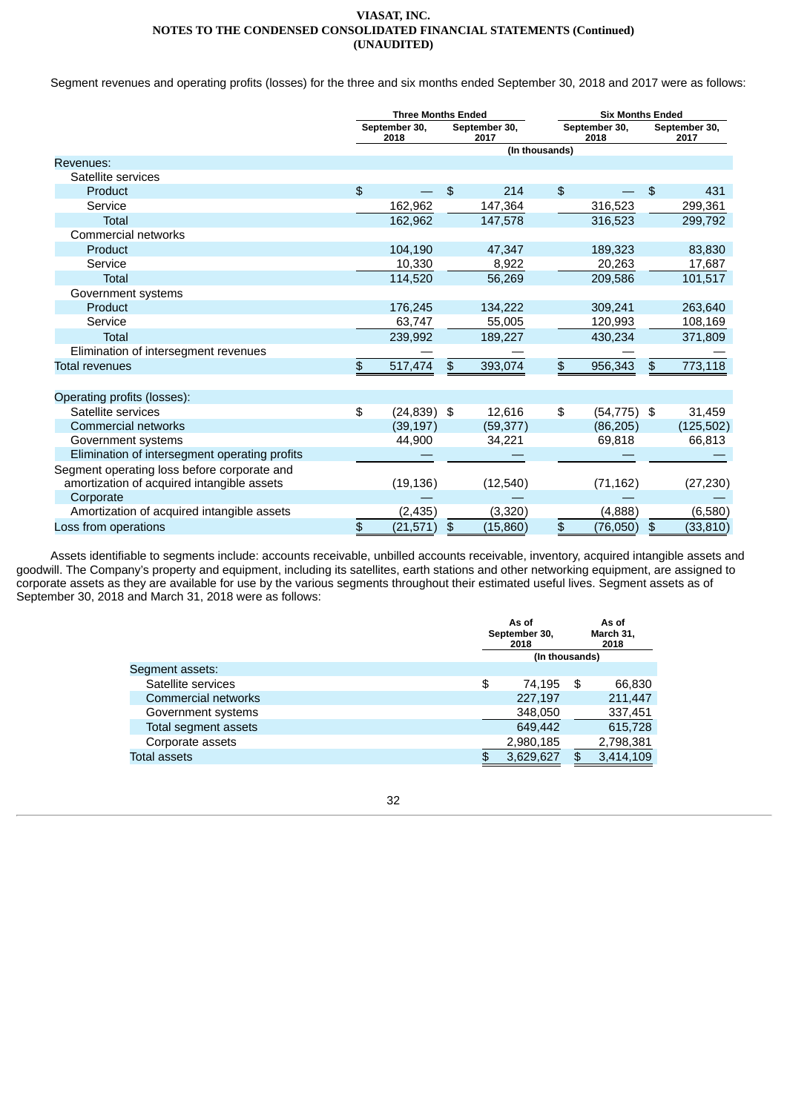Segment revenues and operating profits (losses) for the three and six months ended September 30, 2018 and 2017 were as follows:

|                                               | <b>Three Months Ended</b> |                       |                | <b>Six Months Ended</b> |                |               |                       |
|-----------------------------------------------|---------------------------|-----------------------|----------------|-------------------------|----------------|---------------|-----------------------|
|                                               | September 30,<br>2018     | September 30,<br>2017 |                | September 30,<br>2018   |                |               | September 30,<br>2017 |
|                                               |                           |                       | (In thousands) |                         |                |               |                       |
| Revenues:                                     |                           |                       |                |                         |                |               |                       |
| Satellite services                            |                           |                       |                |                         |                |               |                       |
| Product                                       | \$                        | \$                    | 214            | \$                      |                | \$            | 431                   |
| Service                                       | 162,962                   |                       | 147,364        |                         | 316,523        |               | 299,361               |
| Total                                         | 162,962                   |                       | 147,578        |                         | 316,523        |               | 299,792               |
| <b>Commercial networks</b>                    |                           |                       |                |                         |                |               |                       |
| Product                                       | 104.190                   |                       | 47,347         |                         | 189.323        |               | 83,830                |
| Service                                       | 10,330                    |                       | 8,922          |                         | 20,263         |               | 17,687                |
| <b>Total</b>                                  | 114,520                   |                       | 56,269         |                         | 209,586        |               | 101,517               |
| Government systems                            |                           |                       |                |                         |                |               |                       |
| Product                                       | 176,245                   |                       | 134,222        |                         | 309.241        |               | 263,640               |
| Service                                       | 63,747                    |                       | 55,005         |                         | 120,993        |               | 108,169               |
| <b>Total</b>                                  | 239,992                   |                       | 189,227        |                         | 430,234        |               | 371,809               |
| Elimination of intersegment revenues          |                           |                       |                |                         |                |               |                       |
| <b>Total revenues</b>                         | \$<br>517,474             | $\mathfrak{P}$        | 393,074        | \$                      | 956,343        | \$            | 773,118               |
|                                               |                           |                       |                |                         |                |               |                       |
| Operating profits (losses):                   |                           |                       |                |                         |                |               |                       |
| Satellite services                            | \$<br>$(24, 839)$ \$      |                       | 12,616         | \$                      | $(54, 775)$ \$ |               | 31,459                |
| <b>Commercial networks</b>                    | (39, 197)                 |                       | (59, 377)      |                         | (86, 205)      |               | (125, 502)            |
| Government systems                            | 44,900                    |                       | 34,221         |                         | 69,818         |               | 66,813                |
| Elimination of intersegment operating profits |                           |                       |                |                         |                |               |                       |
| Segment operating loss before corporate and   |                           |                       |                |                         |                |               |                       |
| amortization of acquired intangible assets    | (19, 136)                 |                       | (12, 540)      |                         | (71, 162)      |               | (27, 230)             |
| Corporate                                     |                           |                       |                |                         |                |               |                       |
| Amortization of acquired intangible assets    | (2, 435)                  |                       | (3, 320)       |                         | (4,888)        |               | (6,580)               |
| Loss from operations                          | \$<br>(21, 571)           | $\frac{4}{5}$         | (15, 860)      | \$                      | (76,050)       | $\frac{4}{5}$ | (33, 810)             |

Assets identifiable to segments include: accounts receivable, unbilled accounts receivable, inventory, acquired intangible assets and goodwill. The Company's property and equipment, including its satellites, earth stations and other networking equipment, are assigned to corporate assets as they are available for use by the various segments throughout their estimated useful lives. Segment assets as of September 30, 2018 and March 31, 2018 were as follows:

|                      |    | As of<br>September 30,<br>2018 |    | As of<br>March 31,<br>2018 |
|----------------------|----|--------------------------------|----|----------------------------|
|                      |    | (In thousands)                 |    |                            |
| Segment assets:      |    |                                |    |                            |
| Satellite services   | \$ | 74.195                         | \$ | 66,830                     |
| Commercial networks  |    | 227,197                        |    | 211,447                    |
| Government systems   |    | 348,050                        |    | 337,451                    |
| Total segment assets |    | 649,442                        |    | 615,728                    |
| Corporate assets     |    | 2,980,185                      |    | 2,798,381                  |
| <b>Total assets</b>  | £. | 3,629,627                      | ፍ  | 3,414,109                  |
|                      |    |                                |    |                            |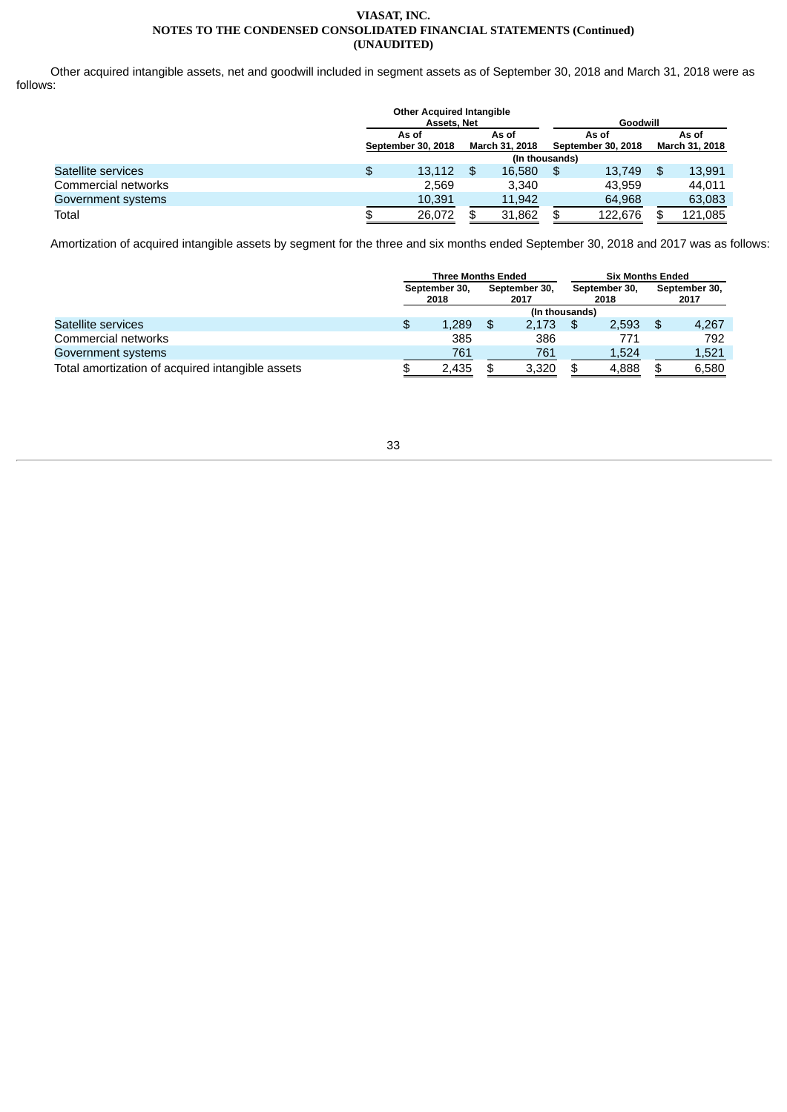Other acquired intangible assets, net and goodwill included in segment assets as of September 30, 2018 and March 31, 2018 were as follows:

|                     |                             | <b>Other Acquired Intangible</b> |  |                                |          |                                    |                                |         |  |
|---------------------|-----------------------------|----------------------------------|--|--------------------------------|----------|------------------------------------|--------------------------------|---------|--|
|                     |                             | Assets, Net                      |  |                                | Goodwill |                                    |                                |         |  |
|                     | As of<br>September 30, 2018 |                                  |  | As of<br><b>March 31, 2018</b> |          | As of<br><b>September 30, 2018</b> | As of<br><b>March 31, 2018</b> |         |  |
|                     |                             |                                  |  | (In thousands)                 |          |                                    |                                |         |  |
| Satellite services  | \$                          | 13.112                           |  | 16,580                         | \$       | 13.749                             |                                | 13.991  |  |
| Commercial networks |                             | 2.569                            |  | 3.340                          |          | 43.959                             |                                | 44.011  |  |
| Government systems  |                             | 10.391                           |  | 11.942                         |          | 64.968                             |                                | 63.083  |  |
| Total               | ሖ                           | 26.072                           |  | 31,862                         | £.       | 122.676                            |                                | 121.085 |  |

Amortization of acquired intangible assets by segment for the three and six months ended September 30, 2018 and 2017 was as follows:

|                                                  | <b>Three Months Ended</b> |       |                       |       | <b>Six Months Ended</b> |       |                       |       |
|--------------------------------------------------|---------------------------|-------|-----------------------|-------|-------------------------|-------|-----------------------|-------|
|                                                  | September 30.<br>2018     |       | September 30.<br>2017 |       | September 30.<br>2018   |       | September 30,<br>2017 |       |
|                                                  | (In thousands)            |       |                       |       |                         |       |                       |       |
| Satellite services                               |                           | 1,289 | \$                    | 2.173 |                         | 2.593 |                       | 4,267 |
| Commercial networks                              |                           | 385   |                       | 386   |                         | 771   |                       | 792   |
| Government systems                               |                           | 761   |                       | 761   |                         | 1.524 |                       | 1,521 |
| Total amortization of acquired intangible assets |                           | 2,435 |                       | 3,320 |                         | 4,888 |                       | 6,580 |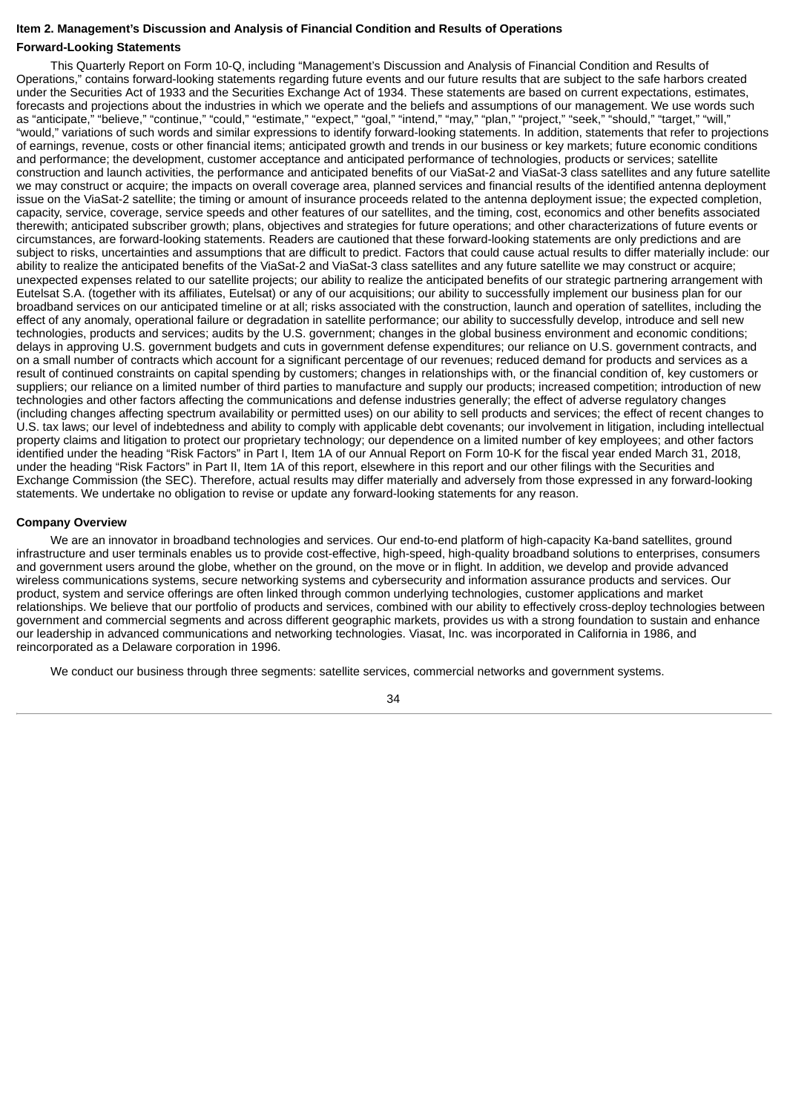#### <span id="page-33-0"></span>**Item 2. Management's Discussion and Analysis of Financial Condition and Results of Operations Forward-Looking Statements**

This Quarterly Report on Form 10-Q, including "Management's Discussion and Analysis of Financial Condition and Results of Operations," contains forward-looking statements regarding future events and our future results that are subject to the safe harbors created under the Securities Act of 1933 and the Securities Exchange Act of 1934. These statements are based on current expectations, estimates, forecasts and projections about the industries in which we operate and the beliefs and assumptions of our management. We use words such as "anticipate," "believe," "continue," "could," "estimate," "expect," "goal," "intend," "may," "plan," "project," "seek," "should," "target," "will," "would," variations of such words and similar expressions to identify forward-looking statements. In addition, statements that refer to projections of earnings, revenue, costs or other financial items; anticipated growth and trends in our business or key markets; future economic conditions and performance; the development, customer acceptance and anticipated performance of technologies, products or services; satellite construction and launch activities, the performance and anticipated benefits of our ViaSat-2 and ViaSat-3 class satellites and any future satellite we may construct or acquire; the impacts on overall coverage area, planned services and financial results of the identified antenna deployment issue on the ViaSat-2 satellite; the timing or amount of insurance proceeds related to the antenna deployment issue; the expected completion, capacity, service, coverage, service speeds and other features of our satellites, and the timing, cost, economics and other benefits associated therewith; anticipated subscriber growth; plans, objectives and strategies for future operations; and other characterizations of future events or circumstances, are forward-looking statements. Readers are cautioned that these forward-looking statements are only predictions and are subject to risks, uncertainties and assumptions that are difficult to predict. Factors that could cause actual results to differ materially include: our ability to realize the anticipated benefits of the ViaSat-2 and ViaSat-3 class satellites and any future satellite we may construct or acquire; unexpected expenses related to our satellite projects; our ability to realize the anticipated benefits of our strategic partnering arrangement with Eutelsat S.A. (together with its affiliates, Eutelsat) or any of our acquisitions; our ability to successfully implement our business plan for our broadband services on our anticipated timeline or at all; risks associated with the construction, launch and operation of satellites, including the effect of any anomaly, operational failure or degradation in satellite performance; our ability to successfully develop, introduce and sell new technologies, products and services; audits by the U.S. government; changes in the global business environment and economic conditions; delays in approving U.S. government budgets and cuts in government defense expenditures; our reliance on U.S. government contracts, and on a small number of contracts which account for a significant percentage of our revenues; reduced demand for products and services as a result of continued constraints on capital spending by customers; changes in relationships with, or the financial condition of, key customers or suppliers; our reliance on a limited number of third parties to manufacture and supply our products; increased competition; introduction of new technologies and other factors affecting the communications and defense industries generally; the effect of adverse regulatory changes (including changes affecting spectrum availability or permitted uses) on our ability to sell products and services; the effect of recent changes to U.S. tax laws; our level of indebtedness and ability to comply with applicable debt covenants; our involvement in litigation, including intellectual property claims and litigation to protect our proprietary technology; our dependence on a limited number of key employees; and other factors identified under the heading "Risk Factors" in Part I, Item 1A of our Annual Report on Form 10-K for the fiscal year ended March 31, 2018, under the heading "Risk Factors" in Part II, Item 1A of this report, elsewhere in this report and our other filings with the Securities and Exchange Commission (the SEC). Therefore, actual results may differ materially and adversely from those expressed in any forward-looking statements. We undertake no obligation to revise or update any forward-looking statements for any reason.

#### **Company Overview**

We are an innovator in broadband technologies and services. Our end-to-end platform of high-capacity Ka-band satellites, ground infrastructure and user terminals enables us to provide cost-effective, high-speed, high-quality broadband solutions to enterprises, consumers and government users around the globe, whether on the ground, on the move or in flight. In addition, we develop and provide advanced wireless communications systems, secure networking systems and cybersecurity and information assurance products and services. Our product, system and service offerings are often linked through common underlying technologies, customer applications and market relationships. We believe that our portfolio of products and services, combined with our ability to effectively cross-deploy technologies between government and commercial segments and across different geographic markets, provides us with a strong foundation to sustain and enhance our leadership in advanced communications and networking technologies. Viasat, Inc. was incorporated in California in 1986, and reincorporated as a Delaware corporation in 1996.

We conduct our business through three segments: satellite services, commercial networks and government systems.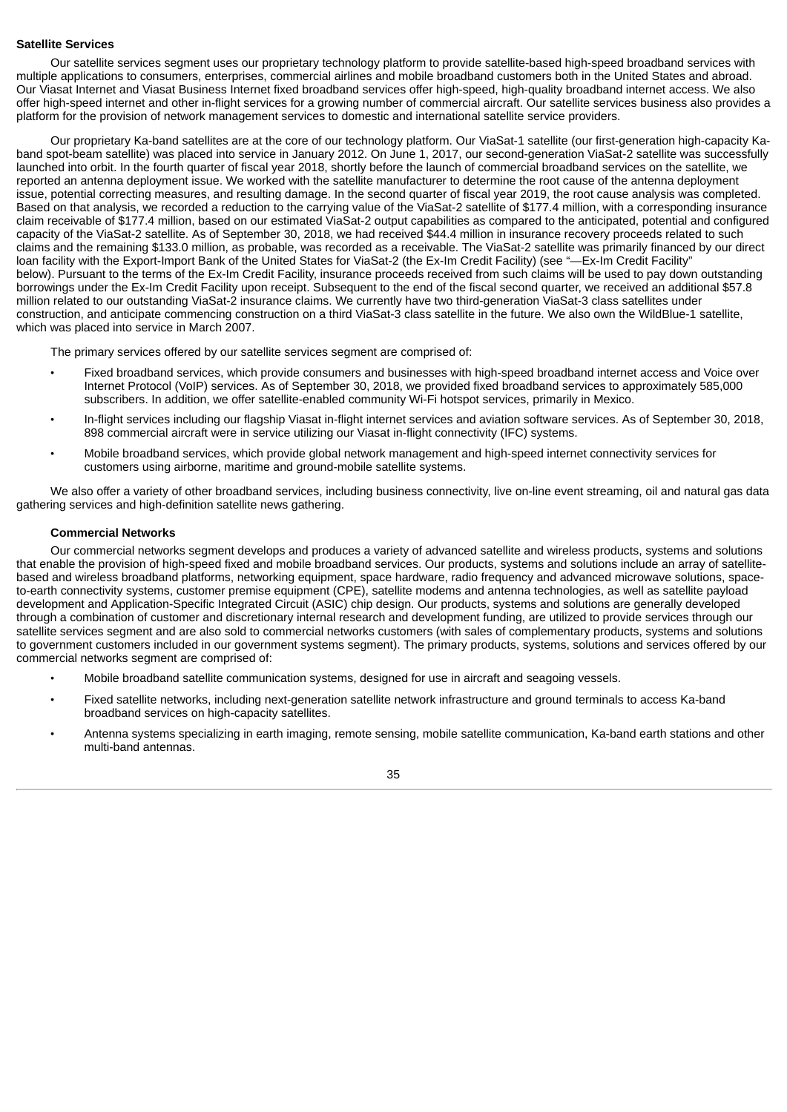#### **Satellite Services**

Our satellite services segment uses our proprietary technology platform to provide satellite-based high-speed broadband services with multiple applications to consumers, enterprises, commercial airlines and mobile broadband customers both in the United States and abroad. Our Viasat Internet and Viasat Business Internet fixed broadband services offer high-speed, high-quality broadband internet access. We also offer high-speed internet and other in-flight services for a growing number of commercial aircraft. Our satellite services business also provides a platform for the provision of network management services to domestic and international satellite service providers.

Our proprietary Ka-band satellites are at the core of our technology platform. Our ViaSat-1 satellite (our first-generation high-capacity Kaband spot-beam satellite) was placed into service in January 2012. On June 1, 2017, our second-generation ViaSat-2 satellite was successfully launched into orbit. In the fourth quarter of fiscal year 2018, shortly before the launch of commercial broadband services on the satellite, we reported an antenna deployment issue. We worked with the satellite manufacturer to determine the root cause of the antenna deployment issue, potential correcting measures, and resulting damage. In the second quarter of fiscal year 2019, the root cause analysis was completed. Based on that analysis, we recorded a reduction to the carrying value of the ViaSat-2 satellite of \$177.4 million, with a corresponding insurance claim receivable of \$177.4 million, based on our estimated ViaSat-2 output capabilities as compared to the anticipated, potential and configured capacity of the ViaSat-2 satellite. As of September 30, 2018, we had received \$44.4 million in insurance recovery proceeds related to such claims and the remaining \$133.0 million, as probable, was recorded as a receivable. The ViaSat-2 satellite was primarily financed by our direct loan facility with the Export-Import Bank of the United States for ViaSat-2 (the Ex-Im Credit Facility) (see "*—*Ex-Im Credit Facility" below). Pursuant to the terms of the Ex-Im Credit Facility, insurance proceeds received from such claims will be used to pay down outstanding borrowings under the Ex-Im Credit Facility upon receipt. Subsequent to the end of the fiscal second quarter, we received an additional \$57.8 million related to our outstanding ViaSat-2 insurance claims. We currently have two third-generation ViaSat-3 class satellites under construction, and anticipate commencing construction on a third ViaSat-3 class satellite in the future. We also own the WildBlue-1 satellite, which was placed into service in March 2007.

The primary services offered by our satellite services segment are comprised of:

- Fixed broadband services, which provide consumers and businesses with high-speed broadband internet access and Voice over Internet Protocol (VoIP) services. As of September 30, 2018, we provided fixed broadband services to approximately 585,000 subscribers. In addition, we offer satellite-enabled community Wi-Fi hotspot services, primarily in Mexico.
- In-flight services including our flagship Viasat in-flight internet services and aviation software services. As of September 30, 2018, 898 commercial aircraft were in service utilizing our Viasat in-flight connectivity (IFC) systems.
- Mobile broadband services, which provide global network management and high-speed internet connectivity services for customers using airborne, maritime and ground-mobile satellite systems.

We also offer a variety of other broadband services, including business connectivity, live on-line event streaming, oil and natural gas data gathering services and high-definition satellite news gathering.

#### **Commercial Networks**

Our commercial networks segment develops and produces a variety of advanced satellite and wireless products, systems and solutions that enable the provision of high-speed fixed and mobile broadband services. Our products, systems and solutions include an array of satellitebased and wireless broadband platforms, networking equipment, space hardware, radio frequency and advanced microwave solutions, spaceto-earth connectivity systems, customer premise equipment (CPE), satellite modems and antenna technologies, as well as satellite payload development and Application-Specific Integrated Circuit (ASIC) chip design. Our products, systems and solutions are generally developed through a combination of customer and discretionary internal research and development funding, are utilized to provide services through our satellite services segment and are also sold to commercial networks customers (with sales of complementary products, systems and solutions to government customers included in our government systems segment). The primary products, systems, solutions and services offered by our commercial networks segment are comprised of:

- Mobile broadband satellite communication systems, designed for use in aircraft and seagoing vessels.
- Fixed satellite networks, including next-generation satellite network infrastructure and ground terminals to access Ka-band broadband services on high-capacity satellites.
- Antenna systems specializing in earth imaging, remote sensing, mobile satellite communication, Ka-band earth stations and other multi-band antennas.

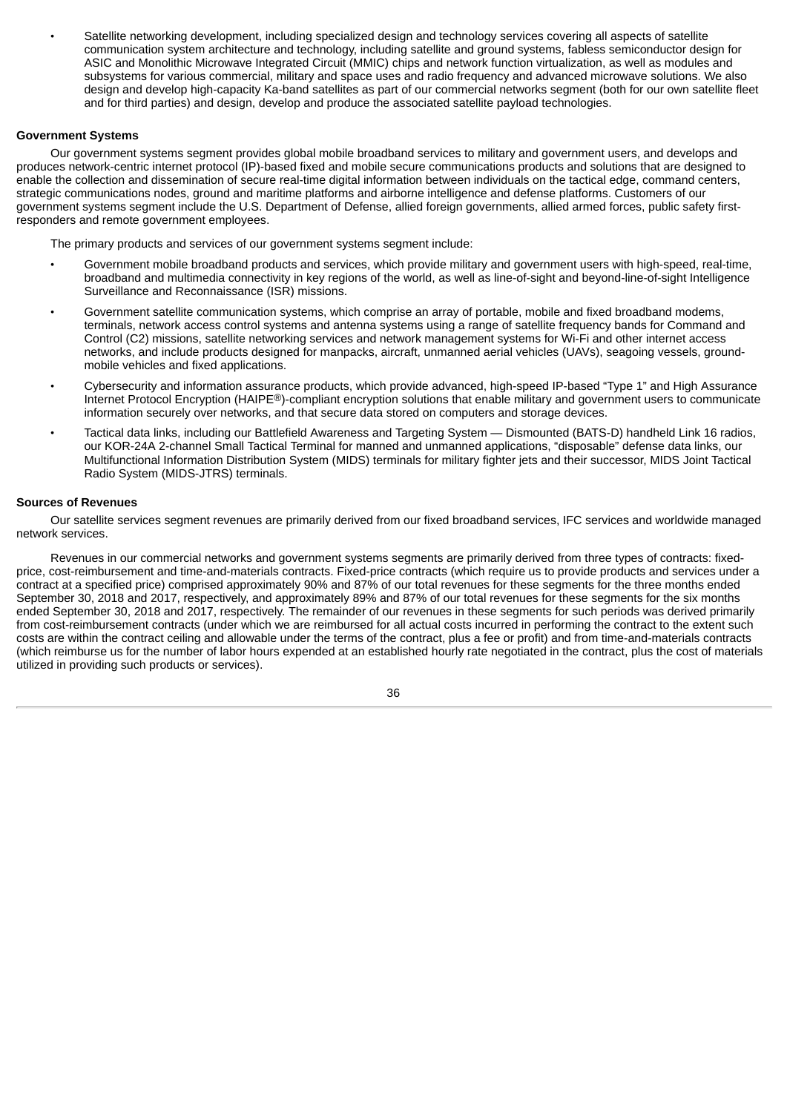• Satellite networking development, including specialized design and technology services covering all aspects of satellite communication system architecture and technology, including satellite and ground systems, fabless semiconductor design for ASIC and Monolithic Microwave Integrated Circuit (MMIC) chips and network function virtualization, as well as modules and subsystems for various commercial, military and space uses and radio frequency and advanced microwave solutions. We also design and develop high-capacity Ka-band satellites as part of our commercial networks segment (both for our own satellite fleet and for third parties) and design, develop and produce the associated satellite payload technologies.

#### **Government Systems**

Our government systems segment provides global mobile broadband services to military and government users, and develops and produces network-centric internet protocol (IP)-based fixed and mobile secure communications products and solutions that are designed to enable the collection and dissemination of secure real-time digital information between individuals on the tactical edge, command centers, strategic communications nodes, ground and maritime platforms and airborne intelligence and defense platforms. Customers of our government systems segment include the U.S. Department of Defense, allied foreign governments, allied armed forces, public safety firstresponders and remote government employees.

The primary products and services of our government systems segment include:

- Government mobile broadband products and services, which provide military and government users with high-speed, real-time, broadband and multimedia connectivity in key regions of the world, as well as line-of-sight and beyond-line-of-sight Intelligence Surveillance and Reconnaissance (ISR) missions.
- Government satellite communication systems, which comprise an array of portable, mobile and fixed broadband modems, terminals, network access control systems and antenna systems using a range of satellite frequency bands for Command and Control (C2) missions, satellite networking services and network management systems for Wi-Fi and other internet access networks, and include products designed for manpacks, aircraft, unmanned aerial vehicles (UAVs), seagoing vessels, groundmobile vehicles and fixed applications.
- Cybersecurity and information assurance products, which provide advanced, high-speed IP-based "Type 1" and High Assurance Internet Protocol Encryption (HAIPE®)-compliant encryption solutions that enable military and government users to communicate information securely over networks, and that secure data stored on computers and storage devices.
- Tactical data links, including our Battlefield Awareness and Targeting System Dismounted (BATS-D) handheld Link 16 radios, our KOR-24A 2-channel Small Tactical Terminal for manned and unmanned applications, "disposable" defense data links, our Multifunctional Information Distribution System (MIDS) terminals for military fighter jets and their successor, MIDS Joint Tactical Radio System (MIDS-JTRS) terminals.

#### **Sources of Revenues**

Our satellite services segment revenues are primarily derived from our fixed broadband services, IFC services and worldwide managed network services.

Revenues in our commercial networks and government systems segments are primarily derived from three types of contracts: fixedprice, cost-reimbursement and time-and-materials contracts. Fixed-price contracts (which require us to provide products and services under a contract at a specified price) comprised approximately 90% and 87% of our total revenues for these segments for the three months ended September 30, 2018 and 2017, respectively, and approximately 89% and 87% of our total revenues for these segments for the six months ended September 30, 2018 and 2017, respectively. The remainder of our revenues in these segments for such periods was derived primarily from cost-reimbursement contracts (under which we are reimbursed for all actual costs incurred in performing the contract to the extent such costs are within the contract ceiling and allowable under the terms of the contract, plus a fee or profit) and from time-and-materials contracts (which reimburse us for the number of labor hours expended at an established hourly rate negotiated in the contract, plus the cost of materials utilized in providing such products or services).

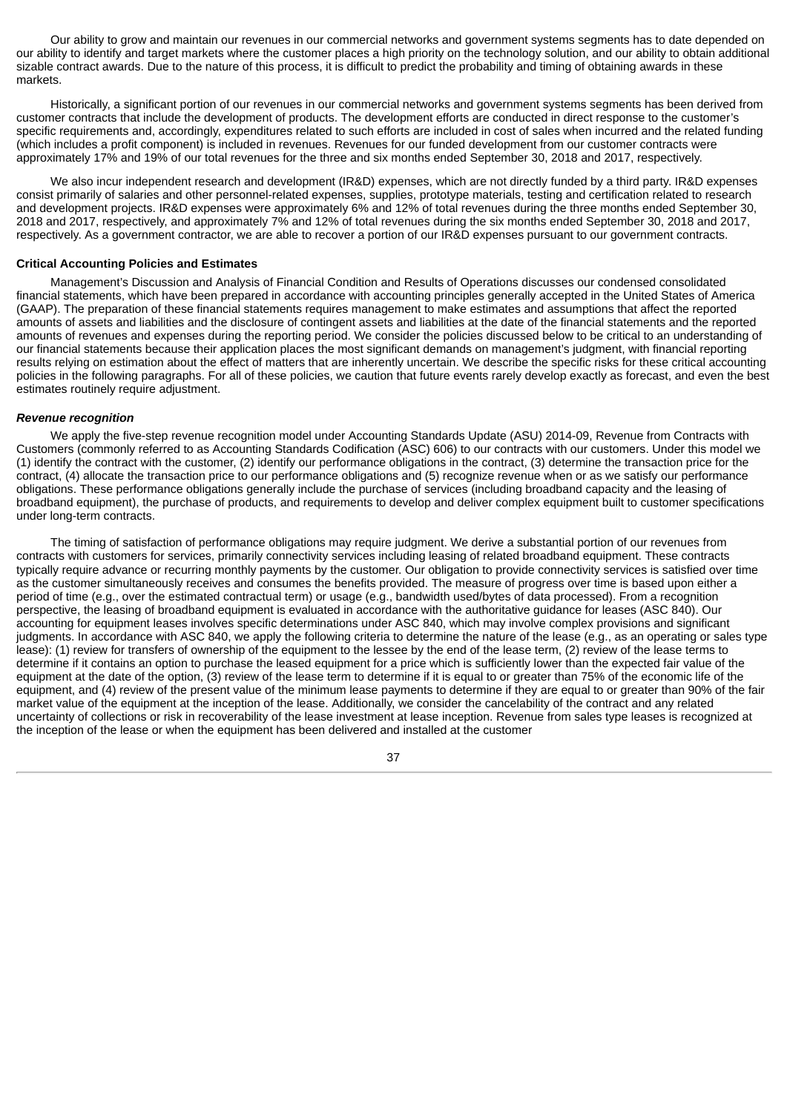Our ability to grow and maintain our revenues in our commercial networks and government systems segments has to date depended on our ability to identify and target markets where the customer places a high priority on the technology solution, and our ability to obtain additional sizable contract awards. Due to the nature of this process, it is difficult to predict the probability and timing of obtaining awards in these markets.

Historically, a significant portion of our revenues in our commercial networks and government systems segments has been derived from customer contracts that include the development of products. The development efforts are conducted in direct response to the customer's specific requirements and, accordingly, expenditures related to such efforts are included in cost of sales when incurred and the related funding (which includes a profit component) is included in revenues. Revenues for our funded development from our customer contracts were approximately 17% and 19% of our total revenues for the three and six months ended September 30, 2018 and 2017, respectively.

We also incur independent research and development (IR&D) expenses, which are not directly funded by a third party. IR&D expenses consist primarily of salaries and other personnel-related expenses, supplies, prototype materials, testing and certification related to research and development projects. IR&D expenses were approximately 6% and 12% of total revenues during the three months ended September 30, 2018 and 2017, respectively, and approximately 7% and 12% of total revenues during the six months ended September 30, 2018 and 2017, respectively. As a government contractor, we are able to recover a portion of our IR&D expenses pursuant to our government contracts.

#### **Critical Accounting Policies and Estimates**

Management's Discussion and Analysis of Financial Condition and Results of Operations discusses our condensed consolidated financial statements, which have been prepared in accordance with accounting principles generally accepted in the United States of America (GAAP). The preparation of these financial statements requires management to make estimates and assumptions that affect the reported amounts of assets and liabilities and the disclosure of contingent assets and liabilities at the date of the financial statements and the reported amounts of revenues and expenses during the reporting period. We consider the policies discussed below to be critical to an understanding of our financial statements because their application places the most significant demands on management's judgment, with financial reporting results relying on estimation about the effect of matters that are inherently uncertain. We describe the specific risks for these critical accounting policies in the following paragraphs. For all of these policies, we caution that future events rarely develop exactly as forecast, and even the best estimates routinely require adjustment.

#### *Revenue recognition*

We apply the five-step revenue recognition model under Accounting Standards Update (ASU) 2014-09, Revenue from Contracts with Customers (commonly referred to as Accounting Standards Codification (ASC) 606) to our contracts with our customers. Under this model we (1) identify the contract with the customer, (2) identify our performance obligations in the contract, (3) determine the transaction price for the contract, (4) allocate the transaction price to our performance obligations and (5) recognize revenue when or as we satisfy our performance obligations. These performance obligations generally include the purchase of services (including broadband capacity and the leasing of broadband equipment), the purchase of products, and requirements to develop and deliver complex equipment built to customer specifications under long-term contracts.

The timing of satisfaction of performance obligations may require judgment. We derive a substantial portion of our revenues from contracts with customers for services, primarily connectivity services including leasing of related broadband equipment. These contracts typically require advance or recurring monthly payments by the customer. Our obligation to provide connectivity services is satisfied over time as the customer simultaneously receives and consumes the benefits provided. The measure of progress over time is based upon either a period of time (e.g., over the estimated contractual term) or usage (e.g., bandwidth used/bytes of data processed). From a recognition perspective, the leasing of broadband equipment is evaluated in accordance with the authoritative guidance for leases (ASC 840). Our accounting for equipment leases involves specific determinations under ASC 840, which may involve complex provisions and significant judgments. In accordance with ASC 840, we apply the following criteria to determine the nature of the lease (e.g., as an operating or sales type lease): (1) review for transfers of ownership of the equipment to the lessee by the end of the lease term, (2) review of the lease terms to determine if it contains an option to purchase the leased equipment for a price which is sufficiently lower than the expected fair value of the equipment at the date of the option, (3) review of the lease term to determine if it is equal to or greater than 75% of the economic life of the equipment, and (4) review of the present value of the minimum lease payments to determine if they are equal to or greater than 90% of the fair market value of the equipment at the inception of the lease. Additionally, we consider the cancelability of the contract and any related uncertainty of collections or risk in recoverability of the lease investment at lease inception. Revenue from sales type leases is recognized at the inception of the lease or when the equipment has been delivered and installed at the customer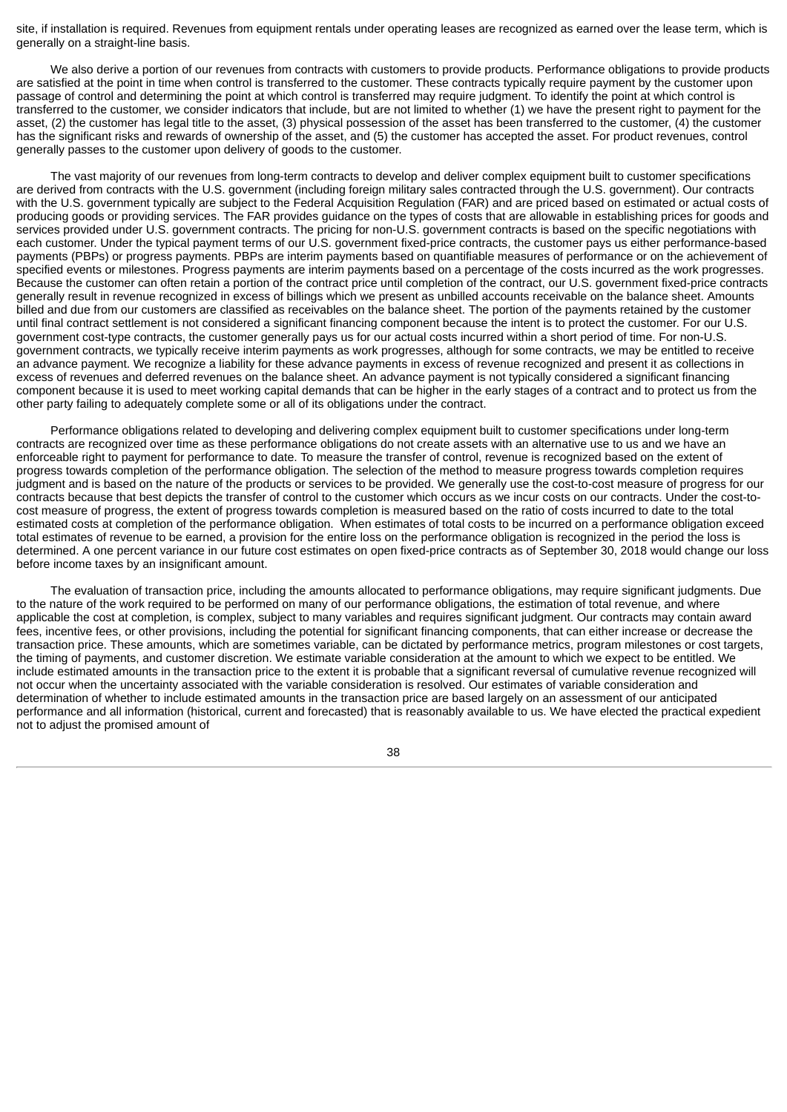site, if installation is required. Revenues from equipment rentals under operating leases are recognized as earned over the lease term, which is generally on a straight-line basis.

We also derive a portion of our revenues from contracts with customers to provide products. Performance obligations to provide products are satisfied at the point in time when control is transferred to the customer. These contracts typically require payment by the customer upon passage of control and determining the point at which control is transferred may require judgment. To identify the point at which control is transferred to the customer, we consider indicators that include, but are not limited to whether (1) we have the present right to payment for the asset, (2) the customer has legal title to the asset, (3) physical possession of the asset has been transferred to the customer, (4) the customer has the significant risks and rewards of ownership of the asset, and (5) the customer has accepted the asset. For product revenues, control generally passes to the customer upon delivery of goods to the customer.

The vast majority of our revenues from long-term contracts to develop and deliver complex equipment built to customer specifications are derived from contracts with the U.S. government (including foreign military sales contracted through the U.S. government). Our contracts with the U.S. government typically are subject to the Federal Acquisition Regulation (FAR) and are priced based on estimated or actual costs of producing goods or providing services. The FAR provides guidance on the types of costs that are allowable in establishing prices for goods and services provided under U.S. government contracts. The pricing for non-U.S. government contracts is based on the specific negotiations with each customer. Under the typical payment terms of our U.S. government fixed-price contracts, the customer pays us either performance-based payments (PBPs) or progress payments. PBPs are interim payments based on quantifiable measures of performance or on the achievement of specified events or milestones. Progress payments are interim payments based on a percentage of the costs incurred as the work progresses. Because the customer can often retain a portion of the contract price until completion of the contract, our U.S. government fixed-price contracts generally result in revenue recognized in excess of billings which we present as unbilled accounts receivable on the balance sheet. Amounts billed and due from our customers are classified as receivables on the balance sheet. The portion of the payments retained by the customer until final contract settlement is not considered a significant financing component because the intent is to protect the customer. For our U.S. government cost-type contracts, the customer generally pays us for our actual costs incurred within a short period of time. For non-U.S. government contracts, we typically receive interim payments as work progresses, although for some contracts, we may be entitled to receive an advance payment. We recognize a liability for these advance payments in excess of revenue recognized and present it as collections in excess of revenues and deferred revenues on the balance sheet. An advance payment is not typically considered a significant financing component because it is used to meet working capital demands that can be higher in the early stages of a contract and to protect us from the other party failing to adequately complete some or all of its obligations under the contract.

Performance obligations related to developing and delivering complex equipment built to customer specifications under long-term contracts are recognized over time as these performance obligations do not create assets with an alternative use to us and we have an enforceable right to payment for performance to date. To measure the transfer of control, revenue is recognized based on the extent of progress towards completion of the performance obligation. The selection of the method to measure progress towards completion requires judgment and is based on the nature of the products or services to be provided. We generally use the cost-to-cost measure of progress for our contracts because that best depicts the transfer of control to the customer which occurs as we incur costs on our contracts. Under the cost-tocost measure of progress, the extent of progress towards completion is measured based on the ratio of costs incurred to date to the total estimated costs at completion of the performance obligation. When estimates of total costs to be incurred on a performance obligation exceed total estimates of revenue to be earned, a provision for the entire loss on the performance obligation is recognized in the period the loss is determined. A one percent variance in our future cost estimates on open fixed-price contracts as of September 30, 2018 would change our loss before income taxes by an insignificant amount.

The evaluation of transaction price, including the amounts allocated to performance obligations, may require significant judgments. Due to the nature of the work required to be performed on many of our performance obligations, the estimation of total revenue, and where applicable the cost at completion, is complex, subject to many variables and requires significant judgment. Our contracts may contain award fees, incentive fees, or other provisions, including the potential for significant financing components, that can either increase or decrease the transaction price. These amounts, which are sometimes variable, can be dictated by performance metrics, program milestones or cost targets, the timing of payments, and customer discretion. We estimate variable consideration at the amount to which we expect to be entitled. We include estimated amounts in the transaction price to the extent it is probable that a significant reversal of cumulative revenue recognized will not occur when the uncertainty associated with the variable consideration is resolved. Our estimates of variable consideration and determination of whether to include estimated amounts in the transaction price are based largely on an assessment of our anticipated performance and all information (historical, current and forecasted) that is reasonably available to us. We have elected the practical expedient not to adjust the promised amount of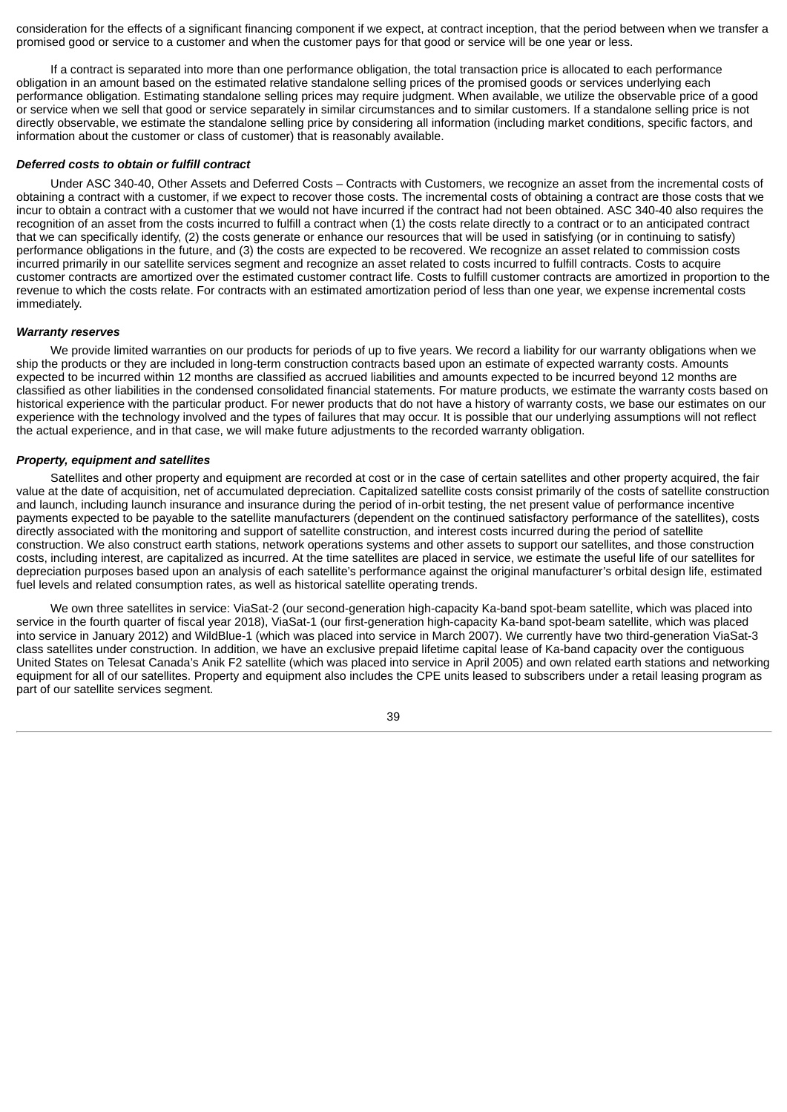consideration for the effects of a significant financing component if we expect, at contract inception, that the period between when we transfer a promised good or service to a customer and when the customer pays for that good or service will be one year or less.

If a contract is separated into more than one performance obligation, the total transaction price is allocated to each performance obligation in an amount based on the estimated relative standalone selling prices of the promised goods or services underlying each performance obligation. Estimating standalone selling prices may require judgment. When available, we utilize the observable price of a good or service when we sell that good or service separately in similar circumstances and to similar customers. If a standalone selling price is not directly observable, we estimate the standalone selling price by considering all information (including market conditions, specific factors, and information about the customer or class of customer) that is reasonably available.

#### *Deferred costs to obtain or fulfill contract*

Under ASC 340-40, Other Assets and Deferred Costs – Contracts with Customers, we recognize an asset from the incremental costs of obtaining a contract with a customer, if we expect to recover those costs. The incremental costs of obtaining a contract are those costs that we incur to obtain a contract with a customer that we would not have incurred if the contract had not been obtained. ASC 340-40 also requires the recognition of an asset from the costs incurred to fulfill a contract when (1) the costs relate directly to a contract or to an anticipated contract that we can specifically identify, (2) the costs generate or enhance our resources that will be used in satisfying (or in continuing to satisfy) performance obligations in the future, and (3) the costs are expected to be recovered. We recognize an asset related to commission costs incurred primarily in our satellite services segment and recognize an asset related to costs incurred to fulfill contracts. Costs to acquire customer contracts are amortized over the estimated customer contract life. Costs to fulfill customer contracts are amortized in proportion to the revenue to which the costs relate. For contracts with an estimated amortization period of less than one year, we expense incremental costs immediately.

#### *Warranty reserves*

We provide limited warranties on our products for periods of up to five years. We record a liability for our warranty obligations when we ship the products or they are included in long-term construction contracts based upon an estimate of expected warranty costs. Amounts expected to be incurred within 12 months are classified as accrued liabilities and amounts expected to be incurred beyond 12 months are classified as other liabilities in the condensed consolidated financial statements. For mature products, we estimate the warranty costs based on historical experience with the particular product. For newer products that do not have a history of warranty costs, we base our estimates on our experience with the technology involved and the types of failures that may occur. It is possible that our underlying assumptions will not reflect the actual experience, and in that case, we will make future adjustments to the recorded warranty obligation.

#### *Property, equipment and satellites*

Satellites and other property and equipment are recorded at cost or in the case of certain satellites and other property acquired, the fair value at the date of acquisition, net of accumulated depreciation. Capitalized satellite costs consist primarily of the costs of satellite construction and launch, including launch insurance and insurance during the period of in-orbit testing, the net present value of performance incentive payments expected to be payable to the satellite manufacturers (dependent on the continued satisfactory performance of the satellites), costs directly associated with the monitoring and support of satellite construction, and interest costs incurred during the period of satellite construction. We also construct earth stations, network operations systems and other assets to support our satellites, and those construction costs, including interest, are capitalized as incurred. At the time satellites are placed in service, we estimate the useful life of our satellites for depreciation purposes based upon an analysis of each satellite's performance against the original manufacturer's orbital design life, estimated fuel levels and related consumption rates, as well as historical satellite operating trends.

We own three satellites in service: ViaSat-2 (our second-generation high-capacity Ka-band spot-beam satellite, which was placed into service in the fourth quarter of fiscal year 2018), ViaSat-1 (our first-generation high-capacity Ka-band spot-beam satellite, which was placed into service in January 2012) and WildBlue-1 (which was placed into service in March 2007). We currently have two third-generation ViaSat-3 class satellites under construction. In addition, we have an exclusive prepaid lifetime capital lease of Ka-band capacity over the contiguous United States on Telesat Canada's Anik F2 satellite (which was placed into service in April 2005) and own related earth stations and networking equipment for all of our satellites. Property and equipment also includes the CPE units leased to subscribers under a retail leasing program as part of our satellite services segment.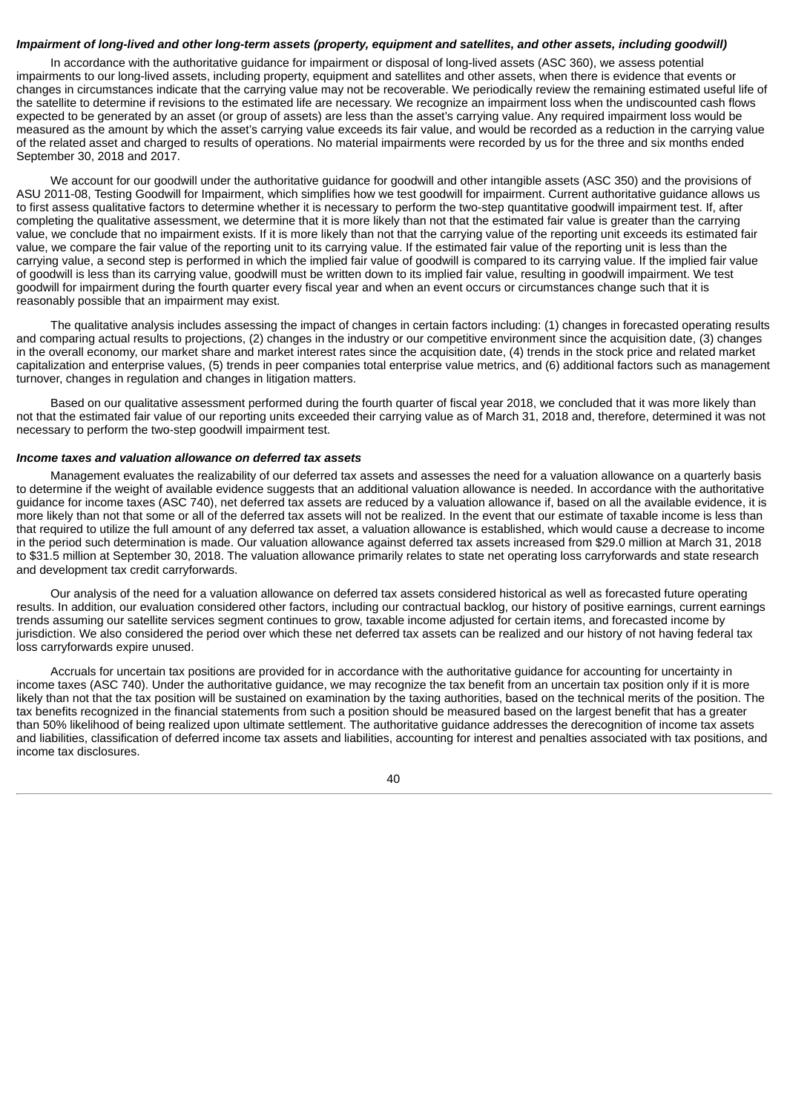#### Impairment of long-lived and other long-term assets (property, equipment and satellites, and other assets, including goodwill)

In accordance with the authoritative guidance for impairment or disposal of long-lived assets (ASC 360), we assess potential impairments to our long-lived assets, including property, equipment and satellites and other assets, when there is evidence that events or changes in circumstances indicate that the carrying value may not be recoverable. We periodically review the remaining estimated useful life of the satellite to determine if revisions to the estimated life are necessary. We recognize an impairment loss when the undiscounted cash flows expected to be generated by an asset (or group of assets) are less than the asset's carrying value. Any required impairment loss would be measured as the amount by which the asset's carrying value exceeds its fair value, and would be recorded as a reduction in the carrying value of the related asset and charged to results of operations. No material impairments were recorded by us for the three and six months ended September 30, 2018 and 2017.

We account for our goodwill under the authoritative guidance for goodwill and other intangible assets (ASC 350) and the provisions of ASU 2011-08, Testing Goodwill for Impairment, which simplifies how we test goodwill for impairment. Current authoritative guidance allows us to first assess qualitative factors to determine whether it is necessary to perform the two-step quantitative goodwill impairment test. If, after completing the qualitative assessment, we determine that it is more likely than not that the estimated fair value is greater than the carrying value, we conclude that no impairment exists. If it is more likely than not that the carrying value of the reporting unit exceeds its estimated fair value, we compare the fair value of the reporting unit to its carrying value. If the estimated fair value of the reporting unit is less than the carrying value, a second step is performed in which the implied fair value of goodwill is compared to its carrying value. If the implied fair value of goodwill is less than its carrying value, goodwill must be written down to its implied fair value, resulting in goodwill impairment. We test goodwill for impairment during the fourth quarter every fiscal year and when an event occurs or circumstances change such that it is reasonably possible that an impairment may exist.

The qualitative analysis includes assessing the impact of changes in certain factors including: (1) changes in forecasted operating results and comparing actual results to projections, (2) changes in the industry or our competitive environment since the acquisition date, (3) changes in the overall economy, our market share and market interest rates since the acquisition date, (4) trends in the stock price and related market capitalization and enterprise values, (5) trends in peer companies total enterprise value metrics, and (6) additional factors such as management turnover, changes in regulation and changes in litigation matters.

Based on our qualitative assessment performed during the fourth quarter of fiscal year 2018, we concluded that it was more likely than not that the estimated fair value of our reporting units exceeded their carrying value as of March 31, 2018 and, therefore, determined it was not necessary to perform the two-step goodwill impairment test.

#### *Income taxes and valuation allowance on deferred tax assets*

Management evaluates the realizability of our deferred tax assets and assesses the need for a valuation allowance on a quarterly basis to determine if the weight of available evidence suggests that an additional valuation allowance is needed. In accordance with the authoritative guidance for income taxes (ASC 740), net deferred tax assets are reduced by a valuation allowance if, based on all the available evidence, it is more likely than not that some or all of the deferred tax assets will not be realized. In the event that our estimate of taxable income is less than that required to utilize the full amount of any deferred tax asset, a valuation allowance is established, which would cause a decrease to income in the period such determination is made. Our valuation allowance against deferred tax assets increased from \$29.0 million at March 31, 2018 to \$31.5 million at September 30, 2018. The valuation allowance primarily relates to state net operating loss carryforwards and state research and development tax credit carryforwards.

Our analysis of the need for a valuation allowance on deferred tax assets considered historical as well as forecasted future operating results. In addition, our evaluation considered other factors, including our contractual backlog, our history of positive earnings, current earnings trends assuming our satellite services segment continues to grow, taxable income adjusted for certain items, and forecasted income by jurisdiction. We also considered the period over which these net deferred tax assets can be realized and our history of not having federal tax loss carryforwards expire unused.

Accruals for uncertain tax positions are provided for in accordance with the authoritative guidance for accounting for uncertainty in income taxes (ASC 740). Under the authoritative guidance, we may recognize the tax benefit from an uncertain tax position only if it is more likely than not that the tax position will be sustained on examination by the taxing authorities, based on the technical merits of the position. The tax benefits recognized in the financial statements from such a position should be measured based on the largest benefit that has a greater than 50% likelihood of being realized upon ultimate settlement. The authoritative guidance addresses the derecognition of income tax assets and liabilities, classification of deferred income tax assets and liabilities, accounting for interest and penalties associated with tax positions, and income tax disclosures.

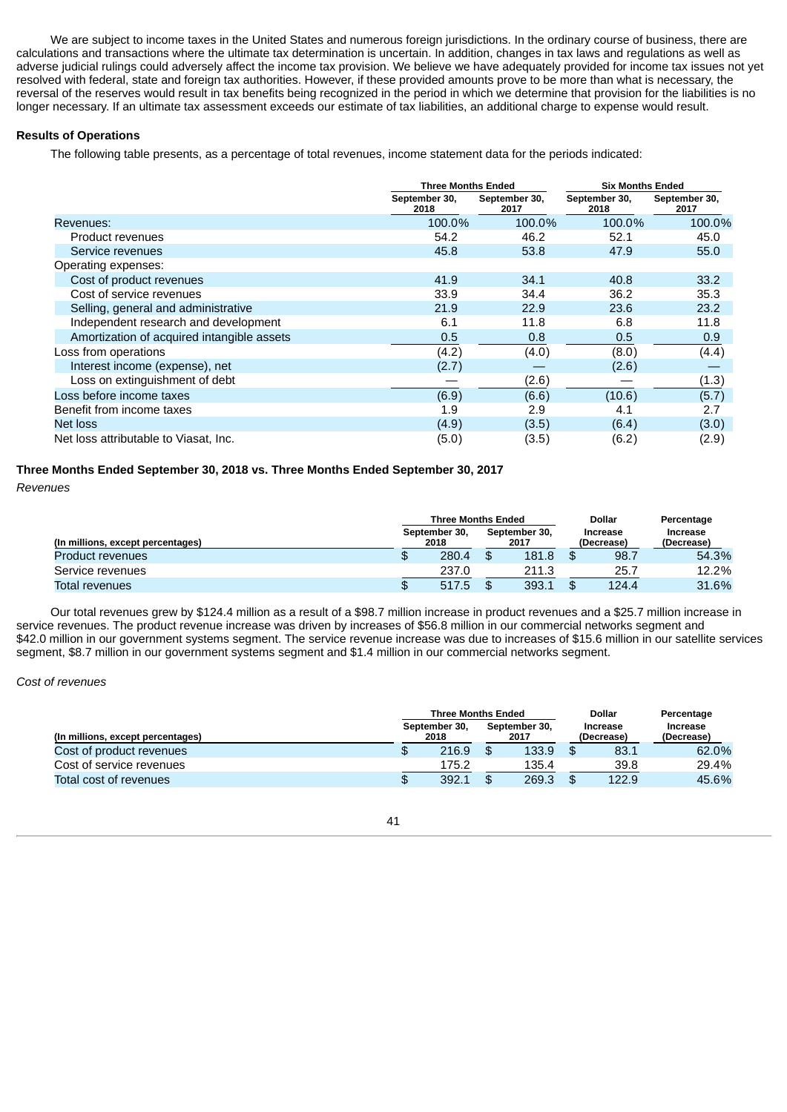We are subject to income taxes in the United States and numerous foreign jurisdictions. In the ordinary course of business, there are calculations and transactions where the ultimate tax determination is uncertain. In addition, changes in tax laws and regulations as well as adverse judicial rulings could adversely affect the income tax provision. We believe we have adequately provided for income tax issues not yet resolved with federal, state and foreign tax authorities. However, if these provided amounts prove to be more than what is necessary, the reversal of the reserves would result in tax benefits being recognized in the period in which we determine that provision for the liabilities is no longer necessary. If an ultimate tax assessment exceeds our estimate of tax liabilities, an additional charge to expense would result.

#### **Results of Operations**

The following table presents, as a percentage of total revenues, income statement data for the periods indicated:

|                                            | <b>Three Months Ended</b> |                       | <b>Six Months Ended</b> |                       |  |
|--------------------------------------------|---------------------------|-----------------------|-------------------------|-----------------------|--|
|                                            | September 30,<br>2018     | September 30,<br>2017 | September 30,<br>2018   | September 30,<br>2017 |  |
| Revenues:                                  | 100.0%                    | 100.0%                | 100.0%                  | 100.0%                |  |
| Product revenues                           | 54.2                      | 46.2                  | 52.1                    | 45.0                  |  |
| Service revenues                           | 45.8                      | 53.8                  | 47.9                    | 55.0                  |  |
| Operating expenses:                        |                           |                       |                         |                       |  |
| Cost of product revenues                   | 41.9                      | 34.1                  | 40.8                    | 33.2                  |  |
| Cost of service revenues                   | 33.9                      | 34.4                  | 36.2                    | 35.3                  |  |
| Selling, general and administrative        | 21.9                      | 22.9                  | 23.6                    | 23.2                  |  |
| Independent research and development       | 6.1                       | 11.8                  | 6.8                     | 11.8                  |  |
| Amortization of acquired intangible assets | 0.5                       | 0.8                   | 0.5                     | 0.9                   |  |
| Loss from operations                       | (4.2)                     | (4.0)                 | (8.0)                   | (4.4)                 |  |
| Interest income (expense), net             | (2.7)                     |                       | (2.6)                   |                       |  |
| Loss on extinguishment of debt             |                           | (2.6)                 |                         | (1.3)                 |  |
| Loss before income taxes                   | (6.9)                     | (6.6)                 | (10.6)                  | (5.7)                 |  |
| Benefit from income taxes                  | 1.9                       | 2.9                   | 4.1                     | 2.7                   |  |
| Net loss                                   | (4.9)                     | (3.5)                 | (6.4)                   | (3.0)                 |  |
| Net loss attributable to Viasat. Inc.      | (5.0)                     | (3.5)                 | (6.2)                   | (2.9)                 |  |

#### **Three Months Ended September 30, 2018 vs. Three Months Ended September 30, 2017**

#### *Revenues*

|                                   |                       | <b>Three Months Ended</b> |                       |       | <b>Dollar</b>                 |       | Percentage                    |  |
|-----------------------------------|-----------------------|---------------------------|-----------------------|-------|-------------------------------|-------|-------------------------------|--|
| (In millions, except percentages) | September 30.<br>2018 |                           | September 30.<br>2017 |       | <b>Increase</b><br>(Decrease) |       | <b>Increase</b><br>(Decrease) |  |
| <b>Product revenues</b>           | \$                    | 280.4                     |                       | 181.8 |                               | 98.7  | 54.3%                         |  |
| Service revenues                  |                       | 237.0                     |                       | 211.3 |                               | 25.7  | 12.2%                         |  |
| Total revenues                    | \$                    | 517.5                     |                       | 393.1 |                               | 124.4 | 31.6%                         |  |

Our total revenues grew by \$124.4 million as a result of a \$98.7 million increase in product revenues and a \$25.7 million increase in service revenues. The product revenue increase was driven by increases of \$56.8 million in our commercial networks segment and \$42.0 million in our government systems segment. The service revenue increase was due to increases of \$15.6 million in our satellite services segment, \$8.7 million in our government systems segment and \$1.4 million in our commercial networks segment.

#### *Cost of revenues*

|                                   |                       | <b>Three Months Ended</b> |                       |       | <b>Dollar</b>                 |       | Percentage                    |  |
|-----------------------------------|-----------------------|---------------------------|-----------------------|-------|-------------------------------|-------|-------------------------------|--|
| (In millions, except percentages) | September 30.<br>2018 |                           | September 30.<br>2017 |       | <b>Increase</b><br>(Decrease) |       | <b>Increase</b><br>(Decrease) |  |
| Cost of product revenues          |                       | 216.9                     |                       | 133.9 |                               | 83.1  | 62.0%                         |  |
| Cost of service revenues          |                       | 175.2                     |                       | 135.4 |                               | 39.8  | 29.4%                         |  |
| Total cost of revenues            | £.                    | 392.1                     |                       | 269.3 |                               | 122.9 | 45.6%                         |  |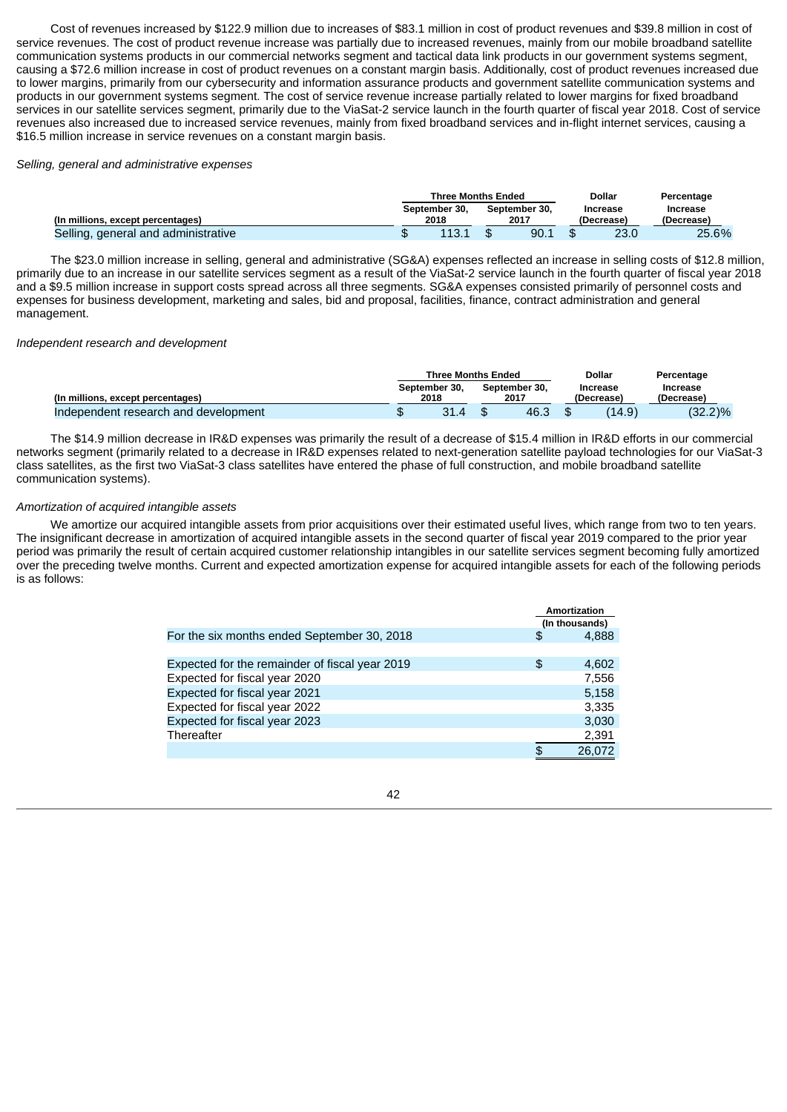Cost of revenues increased by \$122.9 million due to increases of \$83.1 million in cost of product revenues and \$39.8 million in cost of service revenues. The cost of product revenue increase was partially due to increased revenues, mainly from our mobile broadband satellite communication systems products in our commercial networks segment and tactical data link products in our government systems segment, causing a \$72.6 million increase in cost of product revenues on a constant margin basis. Additionally, cost of product revenues increased due to lower margins, primarily from our cybersecurity and information assurance products and government satellite communication systems and products in our government systems segment. The cost of service revenue increase partially related to lower margins for fixed broadband services in our satellite services segment, primarily due to the ViaSat-2 service launch in the fourth quarter of fiscal year 2018. Cost of service revenues also increased due to increased service revenues, mainly from fixed broadband services and in-flight internet services, causing a \$16.5 million increase in service revenues on a constant margin basis.

#### *Selling, general and administrative expenses*

|                                     |               | <b>Three Months Ended</b> |  |               | <b>Dollar</b> |                 | Percentage      |
|-------------------------------------|---------------|---------------------------|--|---------------|---------------|-----------------|-----------------|
|                                     | September 30. |                           |  | September 30. |               | <b>Increase</b> | <b>Increase</b> |
| (In millions, except percentages)   |               | 2018                      |  | 2017          |               | (Decrease)      | (Decrease)      |
| Selling, general and administrative |               | 113.1                     |  | 90.1          |               | 23.0            | 25.6%           |

The \$23.0 million increase in selling, general and administrative (SG&A) expenses reflected an increase in selling costs of \$12.8 million, primarily due to an increase in our satellite services segment as a result of the ViaSat-2 service launch in the fourth quarter of fiscal year 2018 and a \$9.5 million increase in support costs spread across all three segments. SG&A expenses consisted primarily of personnel costs and expenses for business development, marketing and sales, bid and proposal, facilities, finance, contract administration and general management.

#### *Independent research and development*

|                                      | <b>Three Months Ended</b> |           |  |                       |                               | Dollar |                               |
|--------------------------------------|---------------------------|-----------|--|-----------------------|-------------------------------|--------|-------------------------------|
| (In millions, except percentages)    | September 30.<br>2018     |           |  | September 30.<br>2017 | <b>Increase</b><br>(Decrease) |        | <b>Increase</b><br>(Decrease) |
|                                      |                           |           |  |                       |                               |        |                               |
| Independent research and development | \$                        | 31.4<br>Δ |  | 46.3                  |                               | (14.9) | $(32.2)\%$                    |

The \$14.9 million decrease in IR&D expenses was primarily the result of a decrease of \$15.4 million in IR&D efforts in our commercial networks segment (primarily related to a decrease in IR&D expenses related to next-generation satellite payload technologies for our ViaSat-3 class satellites, as the first two ViaSat-3 class satellites have entered the phase of full construction, and mobile broadband satellite communication systems).

#### *Amortization of acquired intangible assets*

We amortize our acquired intangible assets from prior acquisitions over their estimated useful lives, which range from two to ten years. The insignificant decrease in amortization of acquired intangible assets in the second quarter of fiscal year 2019 compared to the prior year period was primarily the result of certain acquired customer relationship intangibles in our satellite services segment becoming fully amortized over the preceding twelve months. Current and expected amortization expense for acquired intangible assets for each of the following periods is as follows:

|                                                | Amortization   |
|------------------------------------------------|----------------|
|                                                | (In thousands) |
| For the six months ended September 30, 2018    | \$<br>4,888    |
|                                                |                |
| Expected for the remainder of fiscal year 2019 | \$<br>4,602    |
| Expected for fiscal year 2020                  | 7.556          |
| Expected for fiscal year 2021                  | 5,158          |
| Expected for fiscal year 2022                  | 3.335          |
| Expected for fiscal year 2023                  | 3,030          |
| Thereafter                                     | 2,391          |
|                                                | \$<br>26,072   |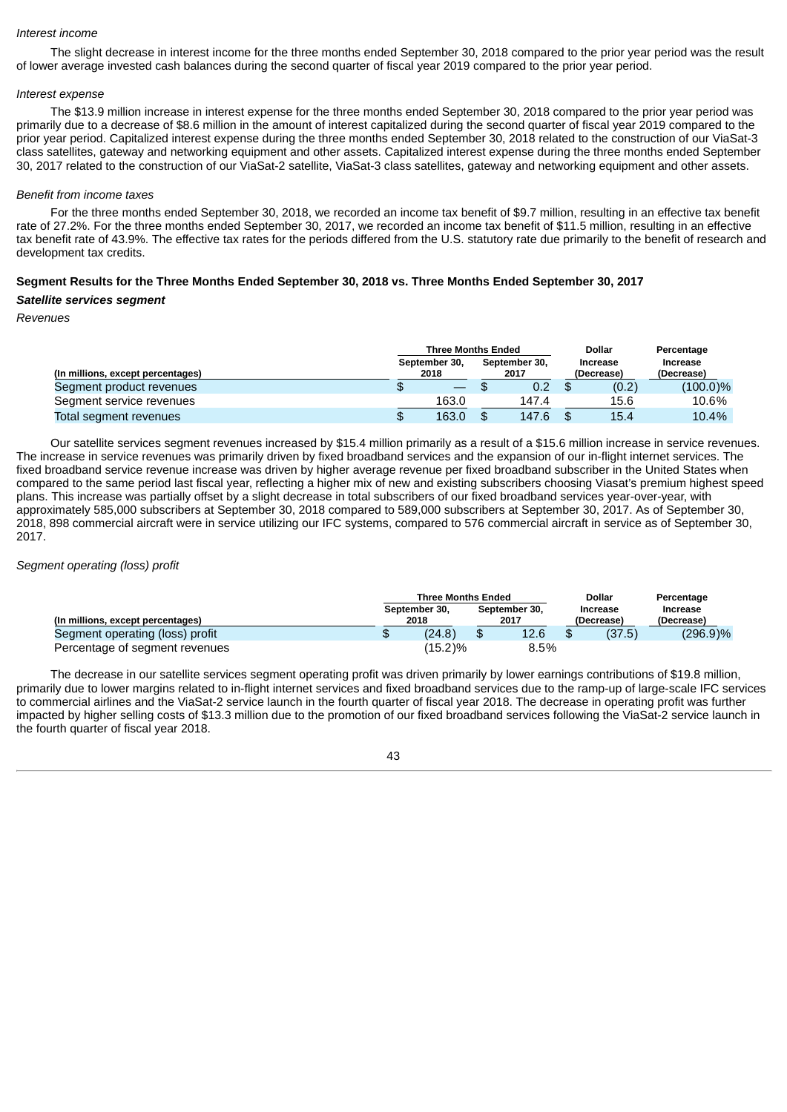#### *Interest income*

The slight decrease in interest income for the three months ended September 30, 2018 compared to the prior year period was the result of lower average invested cash balances during the second quarter of fiscal year 2019 compared to the prior year period.

#### *Interest expense*

The \$13.9 million increase in interest expense for the three months ended September 30, 2018 compared to the prior year period was primarily due to a decrease of \$8.6 million in the amount of interest capitalized during the second quarter of fiscal year 2019 compared to the prior year period. Capitalized interest expense during the three months ended September 30, 2018 related to the construction of our ViaSat-3 class satellites, gateway and networking equipment and other assets. Capitalized interest expense during the three months ended September 30, 2017 related to the construction of our ViaSat-2 satellite, ViaSat-3 class satellites, gateway and networking equipment and other assets.

#### *Benefit from income taxes*

For the three months ended September 30, 2018, we recorded an income tax benefit of \$9.7 million, resulting in an effective tax benefit rate of 27.2%. For the three months ended September 30, 2017, we recorded an income tax benefit of \$11.5 million, resulting in an effective tax benefit rate of 43.9%. The effective tax rates for the periods differed from the U.S. statutory rate due primarily to the benefit of research and development tax credits.

#### **Segment Results for the Three Months Ended September 30, 2018 vs. Three Months Ended September 30, 2017** *Satellite services segment*

*Revenues*

|                                   | <b>Three Months Ended</b> |       |  |               |            |                 | Percentage      |
|-----------------------------------|---------------------------|-------|--|---------------|------------|-----------------|-----------------|
|                                   | September 30.             |       |  | September 30. |            | <b>Increase</b> | <b>Increase</b> |
| (In millions, except percentages) | 2018                      |       |  | 2017          | (Decrease) |                 | (Decrease)      |
| Segment product revenues          |                           |       |  | 0.2           |            | (0.2)           | $(100.0)\%$     |
| Segment service revenues          |                           | 163.0 |  | 147.4         |            | 15.6            | 10.6%           |
| Total segment revenues            | \$                        | 163.0 |  | 147.6         |            | 15.4            | 10.4%           |

Our satellite services segment revenues increased by \$15.4 million primarily as a result of a \$15.6 million increase in service revenues. The increase in service revenues was primarily driven by fixed broadband services and the expansion of our in-flight internet services. The fixed broadband service revenue increase was driven by higher average revenue per fixed broadband subscriber in the United States when compared to the same period last fiscal year, reflecting a higher mix of new and existing subscribers choosing Viasat's premium highest speed plans. This increase was partially offset by a slight decrease in total subscribers of our fixed broadband services year-over-year, with approximately 585,000 subscribers at September 30, 2018 compared to 589,000 subscribers at September 30, 2017. As of September 30, 2018, 898 commercial aircraft were in service utilizing our IFC systems, compared to 576 commercial aircraft in service as of September 30, 2017.

*Segment operating (loss) profit*

|                                   |               | <b>Three Months Ended</b> |  |               |  | Dollar          | Percentage      |
|-----------------------------------|---------------|---------------------------|--|---------------|--|-----------------|-----------------|
|                                   | September 30. |                           |  | September 30. |  | <b>Increase</b> | <b>Increase</b> |
| (In millions, except percentages) |               | 2018                      |  | 2017          |  | (Decrease)      | (Decrease)      |
| Segment operating (loss) profit   |               | (24.8)                    |  | 12.6          |  | (37.5)          | $(296.9)\%$     |
| Percentage of segment revenues    |               | $(15.2)\%$                |  | 8.5%          |  |                 |                 |

The decrease in our satellite services segment operating profit was driven primarily by lower earnings contributions of \$19.8 million, primarily due to lower margins related to in-flight internet services and fixed broadband services due to the ramp-up of large-scale IFC services to commercial airlines and the ViaSat-2 service launch in the fourth quarter of fiscal year 2018. The decrease in operating profit was further impacted by higher selling costs of \$13.3 million due to the promotion of our fixed broadband services following the ViaSat-2 service launch in the fourth quarter of fiscal year 2018.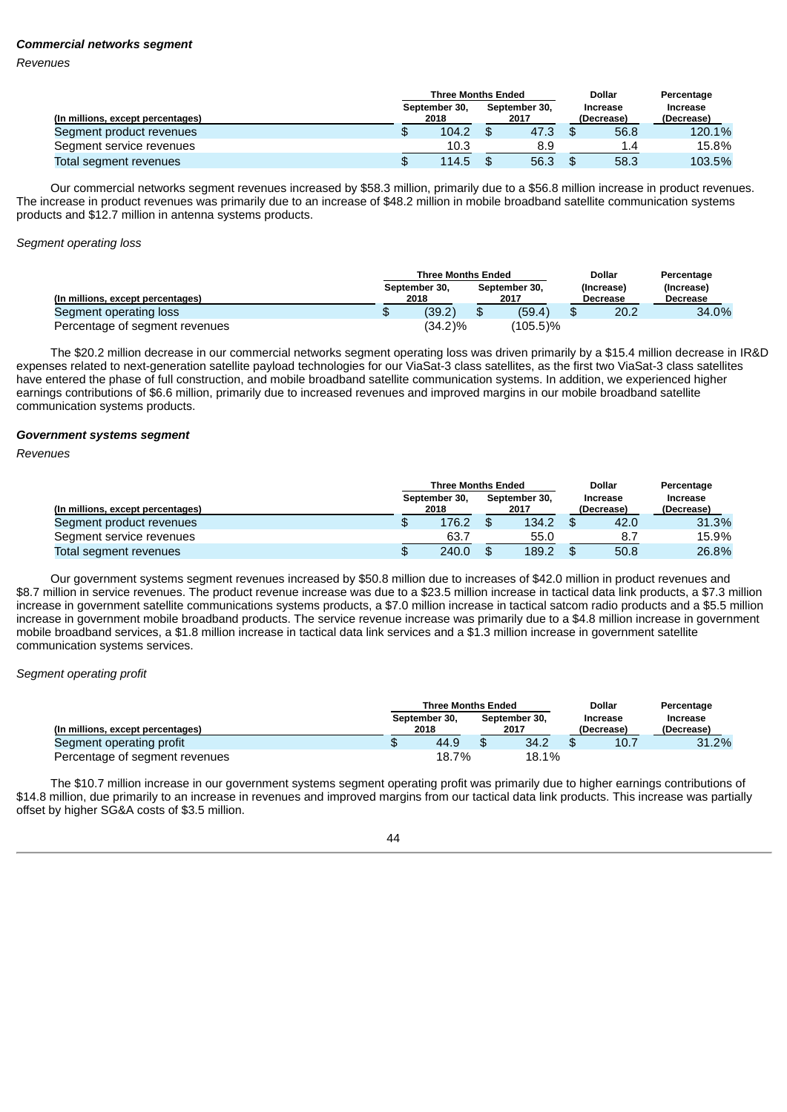#### *Commercial networks segment*

*Revenues*

|                                   |    |                       | <b>Three Months Ended</b> |                       |      |                               | <b>Dollar</b> | Percentage                    |  |
|-----------------------------------|----|-----------------------|---------------------------|-----------------------|------|-------------------------------|---------------|-------------------------------|--|
| (In millions, except percentages) |    | September 30,<br>2018 |                           | September 30.<br>2017 |      | <b>Increase</b><br>(Decrease) |               | <b>Increase</b><br>(Decrease) |  |
| Segment product revenues          | \$ |                       | 104.2                     |                       | 47.3 |                               | 56.8          | 120.1%                        |  |
| Segment service revenues          |    |                       | 10.3                      |                       | 8.9  |                               | 1.4           | 15.8%                         |  |
| Total segment revenues            | S  |                       | 114.5                     |                       | 56.3 |                               | 58.3          | 103.5%                        |  |

Our commercial networks segment revenues increased by \$58.3 million, primarily due to a \$56.8 million increase in product revenues. The increase in product revenues was primarily due to an increase of \$48.2 million in mobile broadband satellite communication systems products and \$12.7 million in antenna systems products.

#### *Segment operating loss*

|                                   |               | <b>Three Months Ended</b> |  |               | <b>Dollar</b>   | Percentage |                 |
|-----------------------------------|---------------|---------------------------|--|---------------|-----------------|------------|-----------------|
|                                   | September 30. |                           |  | September 30. | (Increase)      | (Increase) |                 |
| (In millions, except percentages) |               | 2018                      |  | 2017          | <b>Decrease</b> |            | <b>Decrease</b> |
| Segment operating loss            |               | (39.2)                    |  | (59.4)        |                 | 20.2       | 34.0%           |
| Percentage of segment revenues    |               | $(34.2)\%$                |  | (105.5)%      |                 |            |                 |

The \$20.2 million decrease in our commercial networks segment operating loss was driven primarily by a \$15.4 million decrease in IR&D expenses related to next-generation satellite payload technologies for our ViaSat-3 class satellites, as the first two ViaSat-3 class satellites have entered the phase of full construction, and mobile broadband satellite communication systems. In addition, we experienced higher earnings contributions of \$6.6 million, primarily due to increased revenues and improved margins in our mobile broadband satellite communication systems products.

#### *Government systems segment*

*Revenues*

|                                   |               | <b>Three Months Ended</b> |               |       | <b>Dollar</b>   |      | Percentage      |  |
|-----------------------------------|---------------|---------------------------|---------------|-------|-----------------|------|-----------------|--|
|                                   | September 30, |                           | September 30. |       | <b>Increase</b> |      | <b>Increase</b> |  |
| (In millions, except percentages) | 2018          |                           |               | 2017  | (Decrease)      |      | (Decrease)      |  |
| Segment product revenues          | \$            | 176.2                     |               | 134.2 |                 | 42.0 | 31.3%           |  |
| Segment service revenues          |               | 63.7                      |               | 55.0  |                 |      | 15.9%           |  |
| Total segment revenues            | S             | 240.0                     | \$            | 189.2 |                 | 50.8 | 26.8%           |  |

Our government systems segment revenues increased by \$50.8 million due to increases of \$42.0 million in product revenues and \$8.7 million in service revenues. The product revenue increase was due to a \$23.5 million increase in tactical data link products, a \$7.3 million increase in government satellite communications systems products, a \$7.0 million increase in tactical satcom radio products and a \$5.5 million increase in government mobile broadband products. The service revenue increase was primarily due to a \$4.8 million increase in government mobile broadband services, a \$1.8 million increase in tactical data link services and a \$1.3 million increase in government satellite communication systems services.

#### *Segment operating profit*

|                                   |               | <b>Three Months Ended</b> |  |               |  | <b>Dollar</b>   | Percentage      |  |
|-----------------------------------|---------------|---------------------------|--|---------------|--|-----------------|-----------------|--|
|                                   | September 30. |                           |  | September 30. |  | <b>Increase</b> | <b>Increase</b> |  |
| (In millions, except percentages) |               | 2018                      |  | 2017          |  | (Decrease)      | (Decrease)      |  |
| Segment operating profit          |               | 44.9                      |  | 34.2          |  | 10.7            | 31.2%           |  |
| Percentage of segment revenues    |               | 18.7%                     |  | 18.1%         |  |                 |                 |  |

The \$10.7 million increase in our government systems segment operating profit was primarily due to higher earnings contributions of \$14.8 million, due primarily to an increase in revenues and improved margins from our tactical data link products. This increase was partially offset by higher SG&A costs of \$3.5 million.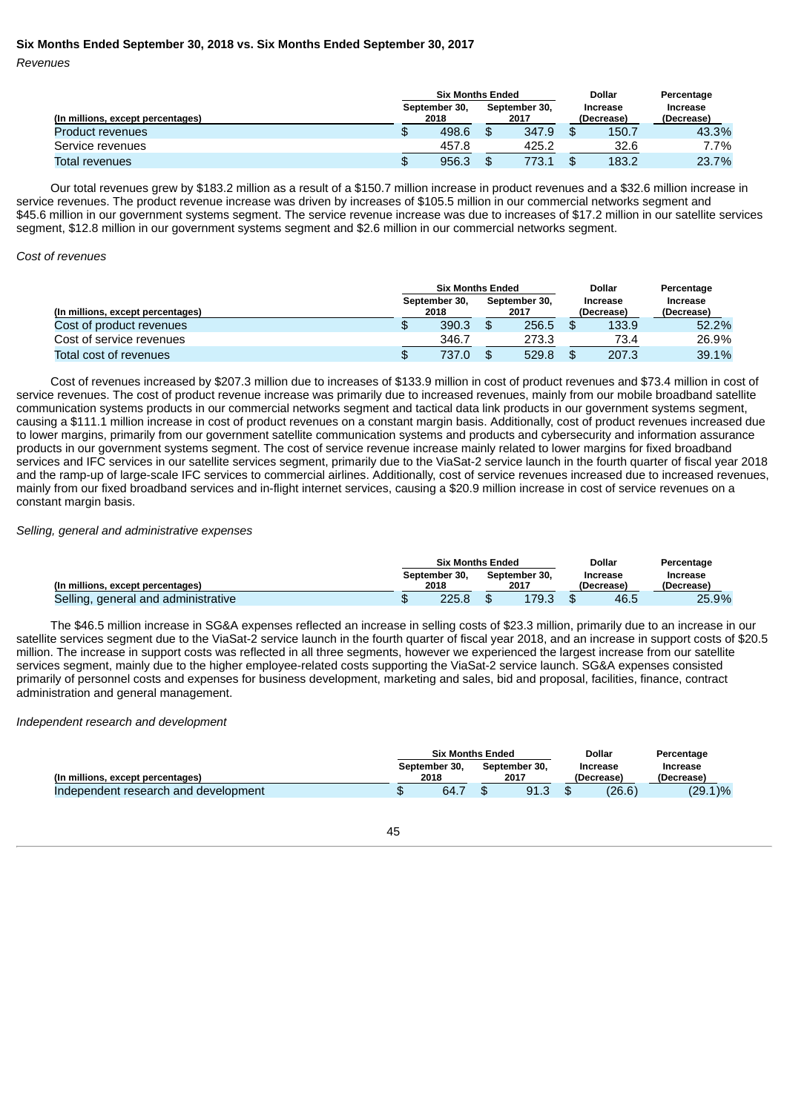#### **Six Months Ended September 30, 2018 vs. Six Months Ended September 30, 2017**

*Revenues*

|                                   |                       | <b>Six Months Ended</b> |                       | <b>Dollar</b> |                               | Percentage |                               |  |
|-----------------------------------|-----------------------|-------------------------|-----------------------|---------------|-------------------------------|------------|-------------------------------|--|
| (In millions, except percentages) | September 30,<br>2018 |                         | September 30.<br>2017 |               | <b>Increase</b><br>(Decrease) |            | <b>Increase</b><br>(Decrease) |  |
| Product revenues                  |                       | 498.6                   |                       | 347.9         |                               | 150.7      | 43.3%                         |  |
| Service revenues                  |                       | 457.8                   |                       | 425.2         |                               | 32.6       | 7.7%                          |  |
| Total revenues                    | ۰Φ                    | 956.3                   | \$                    | 773.1         |                               | 183.2      | 23.7%                         |  |

Our total revenues grew by \$183.2 million as a result of a \$150.7 million increase in product revenues and a \$32.6 million increase in service revenues. The product revenue increase was driven by increases of \$105.5 million in our commercial networks segment and \$45.6 million in our government systems segment. The service revenue increase was due to increases of \$17.2 million in our satellite services segment, \$12.8 million in our government systems segment and \$2.6 million in our commercial networks segment.

#### *Cost of revenues*

|                                   |    | <b>Six Months Ended</b> |  | <b>Dollar</b>         |  | Percentage                    |                               |
|-----------------------------------|----|-------------------------|--|-----------------------|--|-------------------------------|-------------------------------|
| (In millions, except percentages) |    | September 30.<br>2018   |  | September 30.<br>2017 |  | <b>Increase</b><br>(Decrease) | <b>Increase</b><br>(Decrease) |
| Cost of product revenues          | \$ | 390.3                   |  | 256.5                 |  | 133.9                         | 52.2%                         |
| Cost of service revenues          |    | 346.7                   |  | 273.3                 |  | 73.4                          | 26.9%                         |
| Total cost of revenues            | S  | 737.0                   |  | 529.8                 |  | 207.3                         | 39.1%                         |

Cost of revenues increased by \$207.3 million due to increases of \$133.9 million in cost of product revenues and \$73.4 million in cost of service revenues. The cost of product revenue increase was primarily due to increased revenues, mainly from our mobile broadband satellite communication systems products in our commercial networks segment and tactical data link products in our government systems segment, causing a \$111.1 million increase in cost of product revenues on a constant margin basis. Additionally, cost of product revenues increased due to lower margins, primarily from our government satellite communication systems and products and cybersecurity and information assurance products in our government systems segment. The cost of service revenue increase mainly related to lower margins for fixed broadband services and IFC services in our satellite services segment, primarily due to the ViaSat-2 service launch in the fourth quarter of fiscal year 2018 and the ramp-up of large-scale IFC services to commercial airlines. Additionally, cost of service revenues increased due to increased revenues, mainly from our fixed broadband services and in-flight internet services, causing a \$20.9 million increase in cost of service revenues on a constant margin basis.

#### *Selling, general and administrative expenses*

|                                     |                                | <b>Six Months Ended</b> |       |      |       |                 | <b>Dollar</b> | Percentage      |  |
|-------------------------------------|--------------------------------|-------------------------|-------|------|-------|-----------------|---------------|-----------------|--|
|                                     | September 30.<br>September 30. |                         |       |      |       | <b>Increase</b> |               | <b>Increase</b> |  |
| (In millions, except percentages)   |                                | 2018                    |       | 2017 |       | (Decrease)      |               | (Decrease)      |  |
| Selling, general and administrative |                                |                         | 225.8 |      | 179.3 |                 | 46.5          | 25.9%           |  |

The \$46.5 million increase in SG&A expenses reflected an increase in selling costs of \$23.3 million, primarily due to an increase in our satellite services segment due to the ViaSat-2 service launch in the fourth quarter of fiscal year 2018, and an increase in support costs of \$20.5 million. The increase in support costs was reflected in all three segments, however we experienced the largest increase from our satellite services segment, mainly due to the higher employee-related costs supporting the ViaSat-2 service launch. SG&A expenses consisted primarily of personnel costs and expenses for business development, marketing and sales, bid and proposal, facilities, finance, contract administration and general management.

#### *Independent research and development*

|                                      |      | <b>Six Months Ended</b>        |      |      |                 | <b>Dollar</b> | Percentage      |  |
|--------------------------------------|------|--------------------------------|------|------|-----------------|---------------|-----------------|--|
|                                      |      | September 30.<br>September 30. |      |      | <b>Increase</b> |               | <b>Increase</b> |  |
| (In millions, except percentages)    | 2018 |                                | 2017 |      | (Decrease)      |               | (Decrease)      |  |
| Independent research and development |      | 64.7                           |      | 91.3 |                 | (26.6`        | $(29.1)\%$      |  |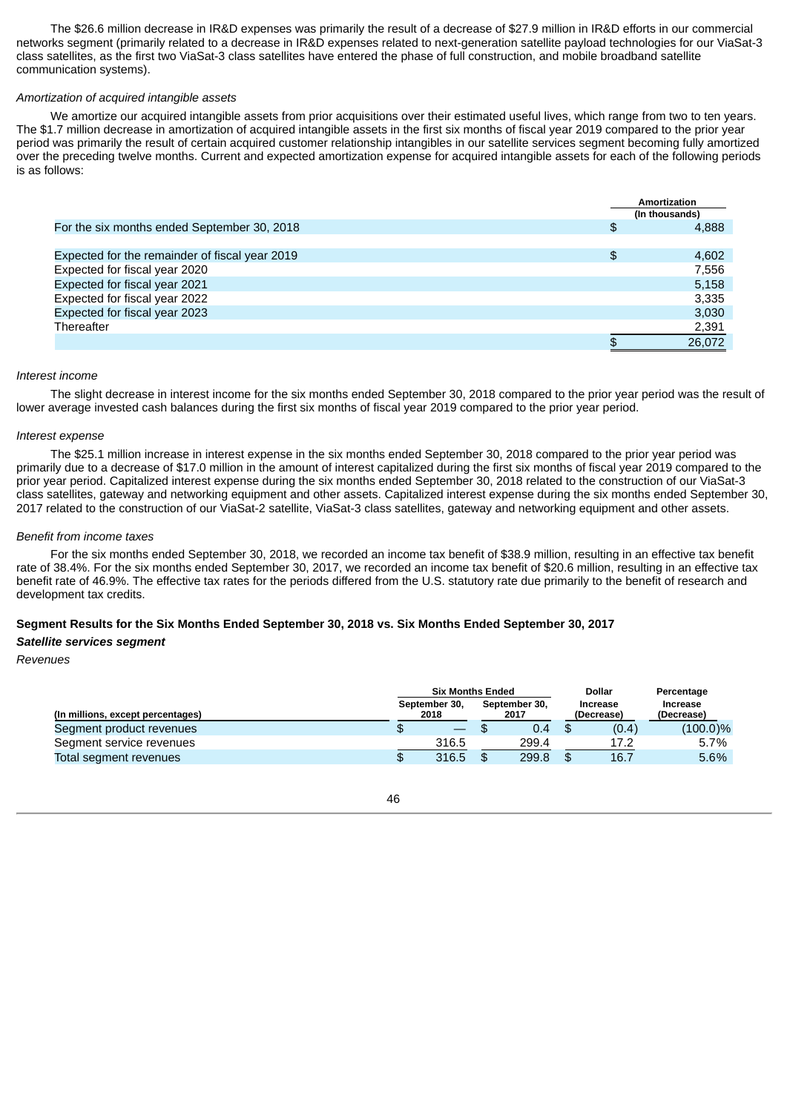The \$26.6 million decrease in IR&D expenses was primarily the result of a decrease of \$27.9 million in IR&D efforts in our commercial networks segment (primarily related to a decrease in IR&D expenses related to next-generation satellite payload technologies for our ViaSat-3 class satellites, as the first two ViaSat-3 class satellites have entered the phase of full construction, and mobile broadband satellite communication systems).

#### *Amortization of acquired intangible assets*

We amortize our acquired intangible assets from prior acquisitions over their estimated useful lives, which range from two to ten years. The \$1.7 million decrease in amortization of acquired intangible assets in the first six months of fiscal year 2019 compared to the prior year period was primarily the result of certain acquired customer relationship intangibles in our satellite services segment becoming fully amortized over the preceding twelve months. Current and expected amortization expense for acquired intangible assets for each of the following periods is as follows:

|                                                | Amortization   |
|------------------------------------------------|----------------|
|                                                | (In thousands) |
| For the six months ended September 30, 2018    | \$<br>4,888    |
|                                                |                |
| Expected for the remainder of fiscal year 2019 | \$<br>4,602    |
| Expected for fiscal year 2020                  | 7.556          |
| Expected for fiscal year 2021                  | 5,158          |
| Expected for fiscal year 2022                  | 3,335          |
| Expected for fiscal year 2023                  | 3,030          |
| Thereafter                                     | 2,391          |
|                                                | 26,072         |

#### *Interest income*

The slight decrease in interest income for the six months ended September 30, 2018 compared to the prior year period was the result of lower average invested cash balances during the first six months of fiscal year 2019 compared to the prior year period.

#### *Interest expense*

The \$25.1 million increase in interest expense in the six months ended September 30, 2018 compared to the prior year period was primarily due to a decrease of \$17.0 million in the amount of interest capitalized during the first six months of fiscal year 2019 compared to the prior year period. Capitalized interest expense during the six months ended September 30, 2018 related to the construction of our ViaSat-3 class satellites, gateway and networking equipment and other assets. Capitalized interest expense during the six months ended September 30, 2017 related to the construction of our ViaSat-2 satellite, ViaSat-3 class satellites, gateway and networking equipment and other assets.

#### *Benefit from income taxes*

For the six months ended September 30, 2018, we recorded an income tax benefit of \$38.9 million, resulting in an effective tax benefit rate of 38.4%. For the six months ended September 30, 2017, we recorded an income tax benefit of \$20.6 million, resulting in an effective tax benefit rate of 46.9%. The effective tax rates for the periods differed from the U.S. statutory rate due primarily to the benefit of research and development tax credits.

#### **Segment Results for the Six Months Ended September 30, 2018 vs. Six Months Ended September 30, 2017**

#### *Satellite services segment*

*Revenues*

|                                   | <b>Six Months Ended</b> |       |  |                       |    |                               | Percentage                    |  |
|-----------------------------------|-------------------------|-------|--|-----------------------|----|-------------------------------|-------------------------------|--|
| (In millions, except percentages) | September 30,<br>2018   |       |  | September 30.<br>2017 |    | <b>Increase</b><br>(Decrease) | <b>Increase</b><br>(Decrease) |  |
| Segment product revenues          |                         |       |  | 0.4                   |    | (0.4)                         | $(100.0)\%$                   |  |
| Segment service revenues          |                         | 316.5 |  | 299.4                 |    | 17.2                          | 5.7%                          |  |
| Total segment revenues            | Ф                       | 316.5 |  | 299.8                 | \$ | 16.7                          | 5.6%                          |  |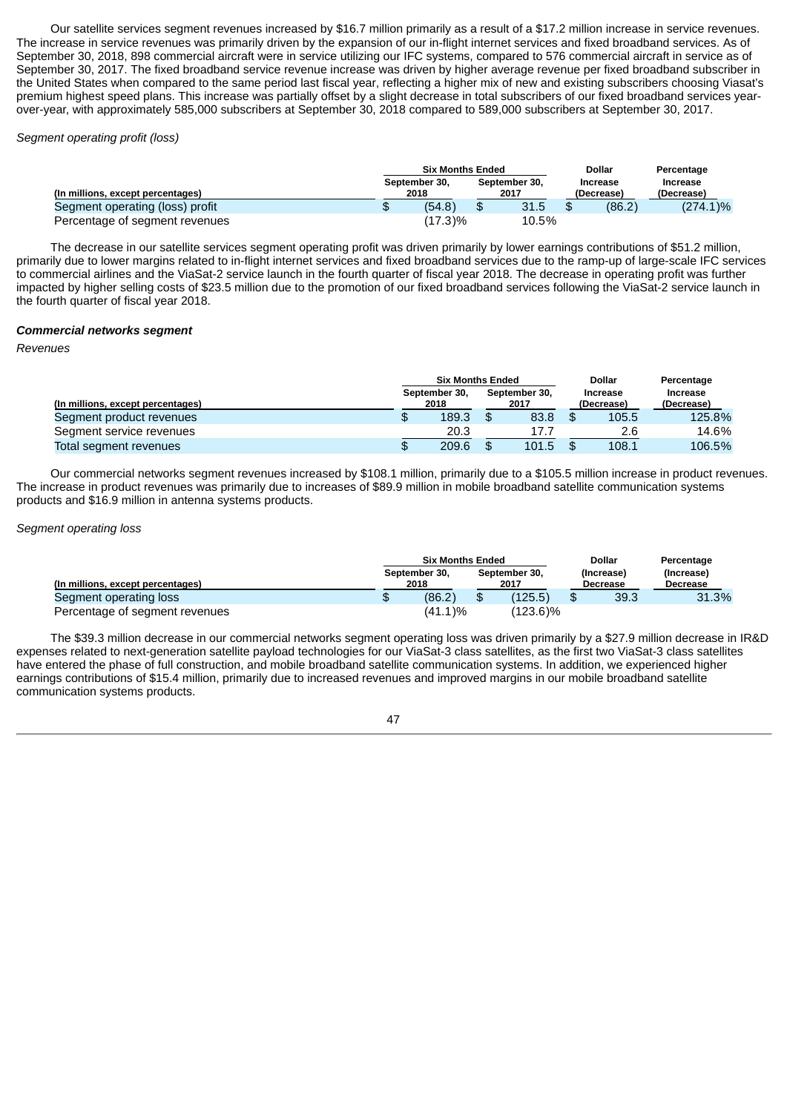Our satellite services segment revenues increased by \$16.7 million primarily as a result of a \$17.2 million increase in service revenues. The increase in service revenues was primarily driven by the expansion of our in-flight internet services and fixed broadband services. As of September 30, 2018, 898 commercial aircraft were in service utilizing our IFC systems, compared to 576 commercial aircraft in service as of September 30, 2017. The fixed broadband service revenue increase was driven by higher average revenue per fixed broadband subscriber in the United States when compared to the same period last fiscal year, reflecting a higher mix of new and existing subscribers choosing Viasat's premium highest speed plans. This increase was partially offset by a slight decrease in total subscribers of our fixed broadband services yearover-year, with approximately 585,000 subscribers at September 30, 2018 compared to 589,000 subscribers at September 30, 2017.

#### *Segment operating profit (loss)*

|                                   |      | <b>Six Months Ended</b> | <b>Dollar</b> |       | Percentage      |            |                               |
|-----------------------------------|------|-------------------------|---------------|-------|-----------------|------------|-------------------------------|
|                                   |      | September 30.           | September 30. |       | <b>Increase</b> |            | <b>Increase</b><br>(Decrease) |
| (In millions, except percentages) | 2018 |                         |               | 2017  |                 | (Decrease) |                               |
| Segment operating (loss) profit   | \$   | (54.8)                  |               | 31.5  |                 | (86.2)     | $(274.1)\%$                   |
| Percentage of segment revenues    |      | (17.3)%                 |               | 10.5% |                 |            |                               |

The decrease in our satellite services segment operating profit was driven primarily by lower earnings contributions of \$51.2 million, primarily due to lower margins related to in-flight internet services and fixed broadband services due to the ramp-up of large-scale IFC services to commercial airlines and the ViaSat-2 service launch in the fourth quarter of fiscal year 2018. The decrease in operating profit was further impacted by higher selling costs of \$23.5 million due to the promotion of our fixed broadband services following the ViaSat-2 service launch in the fourth quarter of fiscal year 2018.

#### *Commercial networks segment*

#### *Revenues*

|                                   |                       | <b>Six Months Ended</b> |                       |       | <b>Dollar</b>                 |       | Percentage                    |  |
|-----------------------------------|-----------------------|-------------------------|-----------------------|-------|-------------------------------|-------|-------------------------------|--|
| (In millions, except percentages) | September 30.<br>2018 |                         | September 30.<br>2017 |       | <b>Increase</b><br>(Decrease) |       | <b>Increase</b><br>(Decrease) |  |
| Segment product revenues          |                       | 189.3                   |                       | 83.8  |                               | 105.5 | 125.8%                        |  |
| Segment service revenues          |                       | 20.3                    |                       | 17.7  |                               | 2.6   | 14.6%                         |  |
| Total segment revenues            | ۰D                    | 209.6                   | \$.                   | 101.5 |                               | 108.1 | 106.5%                        |  |

Our commercial networks segment revenues increased by \$108.1 million, primarily due to a \$105.5 million increase in product revenues. The increase in product revenues was primarily due to increases of \$89.9 million in mobile broadband satellite communication systems products and \$16.9 million in antenna systems products.

#### *Segment operating loss*

|                                   |   | <b>Six Months Ended</b> |               |             |                 | <b>Dollar</b> | Percentage      |
|-----------------------------------|---|-------------------------|---------------|-------------|-----------------|---------------|-----------------|
|                                   |   | September 30.           | September 30. |             | (Increase)      |               | (Increase)      |
| (In millions, except percentages) |   | 2018                    | 2017          |             | <b>Decrease</b> |               | <b>Decrease</b> |
| Segment operating loss            | Ф | (86.2)                  |               | (125.5)     |                 | 39.3          | 31.3%           |
| Percentage of segment revenues    |   | (41.1)%                 |               | $(123.6)\%$ |                 |               |                 |

The \$39.3 million decrease in our commercial networks segment operating loss was driven primarily by a \$27.9 million decrease in IR&D expenses related to next-generation satellite payload technologies for our ViaSat-3 class satellites, as the first two ViaSat-3 class satellites have entered the phase of full construction, and mobile broadband satellite communication systems. In addition, we experienced higher earnings contributions of \$15.4 million, primarily due to increased revenues and improved margins in our mobile broadband satellite communication systems products.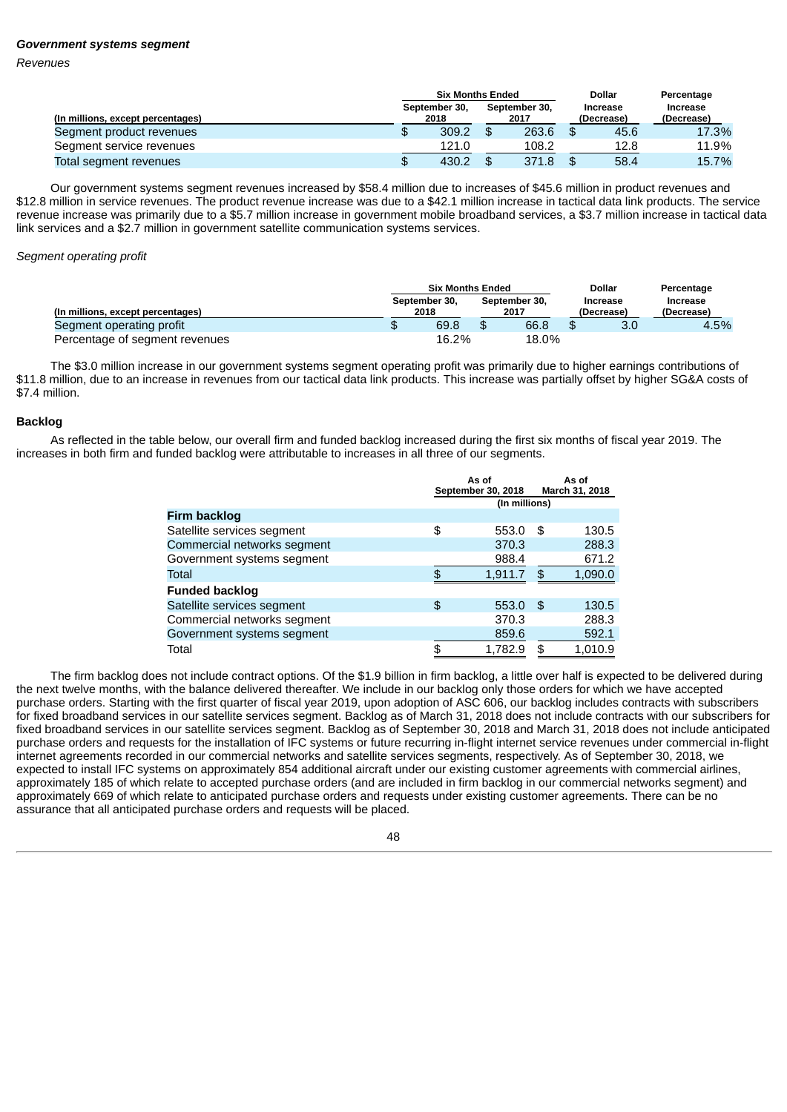#### *Government systems segment*

*Revenues*

| (In millions, except percentages)<br>Segment product revenues |                       | <b>Six Months Ended</b> |                       | <b>Dollar</b> |                               | Percentage |                               |
|---------------------------------------------------------------|-----------------------|-------------------------|-----------------------|---------------|-------------------------------|------------|-------------------------------|
|                                                               | September 30.<br>2018 |                         | September 30.<br>2017 |               | <b>Increase</b><br>(Decrease) |            | <b>Increase</b><br>(Decrease) |
|                                                               | \$                    | 309.2                   |                       | 263.6         |                               | 45.6       | 17.3%                         |
| Segment service revenues                                      |                       | 121.0                   |                       | 108.2         |                               | 12.8       | 11.9%                         |
| Total segment revenues                                        | \$                    | 430.2                   |                       | 371.8         |                               | 58.4       | 15.7%                         |

Our government systems segment revenues increased by \$58.4 million due to increases of \$45.6 million in product revenues and \$12.8 million in service revenues. The product revenue increase was due to a \$42.1 million increase in tactical data link products. The service revenue increase was primarily due to a \$5.7 million increase in government mobile broadband services, a \$3.7 million increase in tactical data link services and a \$2.7 million in government satellite communication systems services.

#### *Segment operating profit*

|                                   | <b>Six Months Ended</b> |               |  |               |  | <b>Dollar</b>   | Percentage      |  |  |
|-----------------------------------|-------------------------|---------------|--|---------------|--|-----------------|-----------------|--|--|
|                                   |                         | September 30. |  | September 30. |  | <b>Increase</b> | <b>Increase</b> |  |  |
| (In millions, except percentages) |                         | 2018          |  | 2017          |  | (Decrease)      | (Decrease)      |  |  |
| Segment operating profit          |                         | 69.8          |  | 66.8          |  |                 | 4.5%            |  |  |
| Percentage of segment revenues    |                         | 16.2%         |  | 18.0%         |  |                 |                 |  |  |

The \$3.0 million increase in our government systems segment operating profit was primarily due to higher earnings contributions of \$11.8 million, due to an increase in revenues from our tactical data link products. This increase was partially offset by higher SG&A costs of \$7.4 million.

#### **Backlog**

As reflected in the table below, our overall firm and funded backlog increased during the first six months of fiscal year 2019. The increases in both firm and funded backlog were attributable to increases in all three of our segments.

|                             | As of | September 30, 2018 | As of<br>March 31, 2018 |         |  |
|-----------------------------|-------|--------------------|-------------------------|---------|--|
|                             |       | (In millions)      |                         |         |  |
| <b>Firm backlog</b>         |       |                    |                         |         |  |
| Satellite services segment  | \$    | 553.0              | \$                      | 130.5   |  |
| Commercial networks segment |       | 370.3              |                         | 288.3   |  |
| Government systems segment  |       | 988.4              |                         | 671.2   |  |
| Total                       | \$    | 1,911.7            | \$                      | 1,090.0 |  |
| <b>Funded backlog</b>       |       |                    |                         |         |  |
| Satellite services segment  | \$    | 553.0              | \$                      | 130.5   |  |
| Commercial networks segment |       | 370.3              |                         | 288.3   |  |
| Government systems segment  |       | 859.6              |                         | 592.1   |  |
| Total                       | \$    | 1.782.9            | \$                      | 1.010.9 |  |

The firm backlog does not include contract options. Of the \$1.9 billion in firm backlog, a little over half is expected to be delivered during the next twelve months, with the balance delivered thereafter. We include in our backlog only those orders for which we have accepted purchase orders. Starting with the first quarter of fiscal year 2019, upon adoption of ASC 606, our backlog includes contracts with subscribers for fixed broadband services in our satellite services segment. Backlog as of March 31, 2018 does not include contracts with our subscribers for fixed broadband services in our satellite services segment. Backlog as of September 30, 2018 and March 31, 2018 does not include anticipated purchase orders and requests for the installation of IFC systems or future recurring in-flight internet service revenues under commercial in-flight internet agreements recorded in our commercial networks and satellite services segments, respectively. As of September 30, 2018, we expected to install IFC systems on approximately 854 additional aircraft under our existing customer agreements with commercial airlines, approximately 185 of which relate to accepted purchase orders (and are included in firm backlog in our commercial networks segment) and approximately 669 of which relate to anticipated purchase orders and requests under existing customer agreements. There can be no assurance that all anticipated purchase orders and requests will be placed.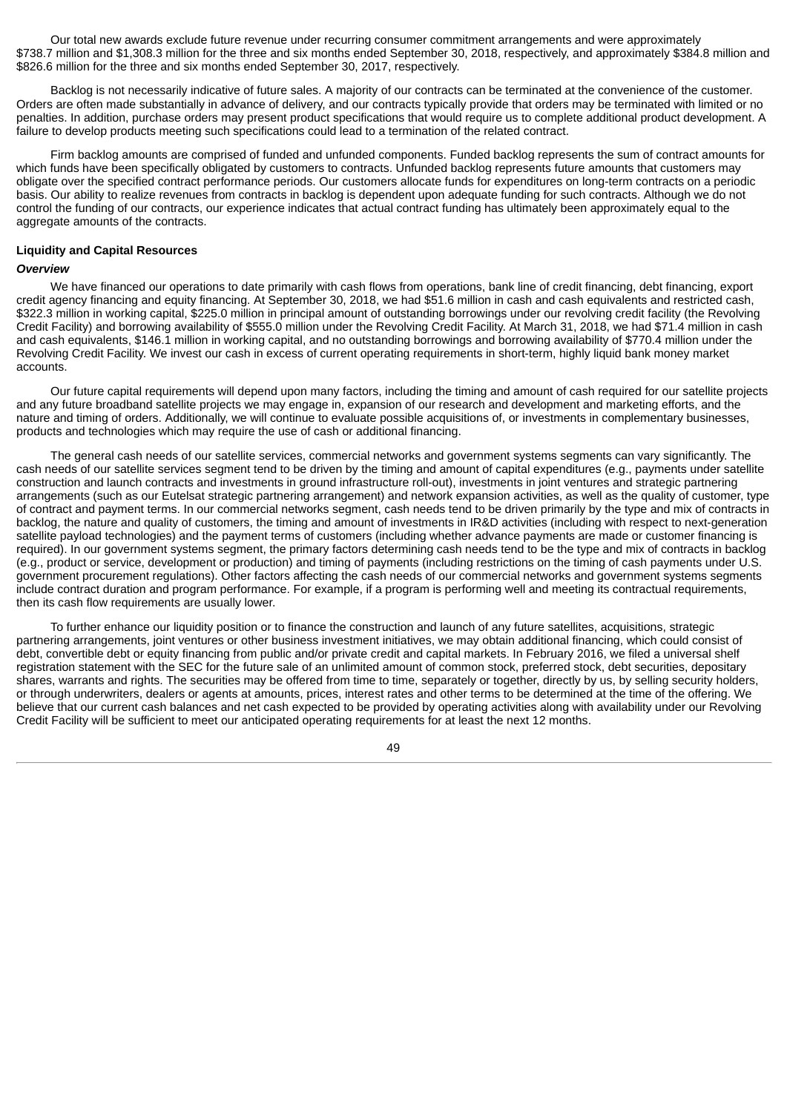Our total new awards exclude future revenue under recurring consumer commitment arrangements and were approximately \$738.7 million and \$1,308.3 million for the three and six months ended September 30, 2018, respectively, and approximately \$384.8 million and \$826.6 million for the three and six months ended September 30, 2017, respectively.

Backlog is not necessarily indicative of future sales. A majority of our contracts can be terminated at the convenience of the customer. Orders are often made substantially in advance of delivery, and our contracts typically provide that orders may be terminated with limited or no penalties. In addition, purchase orders may present product specifications that would require us to complete additional product development. A failure to develop products meeting such specifications could lead to a termination of the related contract.

Firm backlog amounts are comprised of funded and unfunded components. Funded backlog represents the sum of contract amounts for which funds have been specifically obligated by customers to contracts. Unfunded backlog represents future amounts that customers may obligate over the specified contract performance periods. Our customers allocate funds for expenditures on long-term contracts on a periodic basis. Our ability to realize revenues from contracts in backlog is dependent upon adequate funding for such contracts. Although we do not control the funding of our contracts, our experience indicates that actual contract funding has ultimately been approximately equal to the aggregate amounts of the contracts.

#### **Liquidity and Capital Resources**

#### *Overview*

We have financed our operations to date primarily with cash flows from operations, bank line of credit financing, debt financing, export credit agency financing and equity financing. At September 30, 2018, we had \$51.6 million in cash and cash equivalents and restricted cash, \$322.3 million in working capital, \$225.0 million in principal amount of outstanding borrowings under our revolving credit facility (the Revolving Credit Facility) and borrowing availability of \$555.0 million under the Revolving Credit Facility. At March 31, 2018, we had \$71.4 million in cash and cash equivalents, \$146.1 million in working capital, and no outstanding borrowings and borrowing availability of \$770.4 million under the Revolving Credit Facility. We invest our cash in excess of current operating requirements in short-term, highly liquid bank money market accounts.

Our future capital requirements will depend upon many factors, including the timing and amount of cash required for our satellite projects and any future broadband satellite projects we may engage in, expansion of our research and development and marketing efforts, and the nature and timing of orders. Additionally, we will continue to evaluate possible acquisitions of, or investments in complementary businesses, products and technologies which may require the use of cash or additional financing.

The general cash needs of our satellite services, commercial networks and government systems segments can vary significantly. The cash needs of our satellite services segment tend to be driven by the timing and amount of capital expenditures (e.g., payments under satellite construction and launch contracts and investments in ground infrastructure roll-out), investments in joint ventures and strategic partnering arrangements (such as our Eutelsat strategic partnering arrangement) and network expansion activities, as well as the quality of customer, type of contract and payment terms. In our commercial networks segment, cash needs tend to be driven primarily by the type and mix of contracts in backlog, the nature and quality of customers, the timing and amount of investments in IR&D activities (including with respect to next-generation satellite payload technologies) and the payment terms of customers (including whether advance payments are made or customer financing is required). In our government systems segment, the primary factors determining cash needs tend to be the type and mix of contracts in backlog (e.g., product or service, development or production) and timing of payments (including restrictions on the timing of cash payments under U.S. government procurement regulations). Other factors affecting the cash needs of our commercial networks and government systems segments include contract duration and program performance. For example, if a program is performing well and meeting its contractual requirements, then its cash flow requirements are usually lower.

To further enhance our liquidity position or to finance the construction and launch of any future satellites, acquisitions, strategic partnering arrangements, joint ventures or other business investment initiatives, we may obtain additional financing, which could consist of debt, convertible debt or equity financing from public and/or private credit and capital markets. In February 2016, we filed a universal shelf registration statement with the SEC for the future sale of an unlimited amount of common stock, preferred stock, debt securities, depositary shares, warrants and rights. The securities may be offered from time to time, separately or together, directly by us, by selling security holders, or through underwriters, dealers or agents at amounts, prices, interest rates and other terms to be determined at the time of the offering. We believe that our current cash balances and net cash expected to be provided by operating activities along with availability under our Revolving Credit Facility will be sufficient to meet our anticipated operating requirements for at least the next 12 months.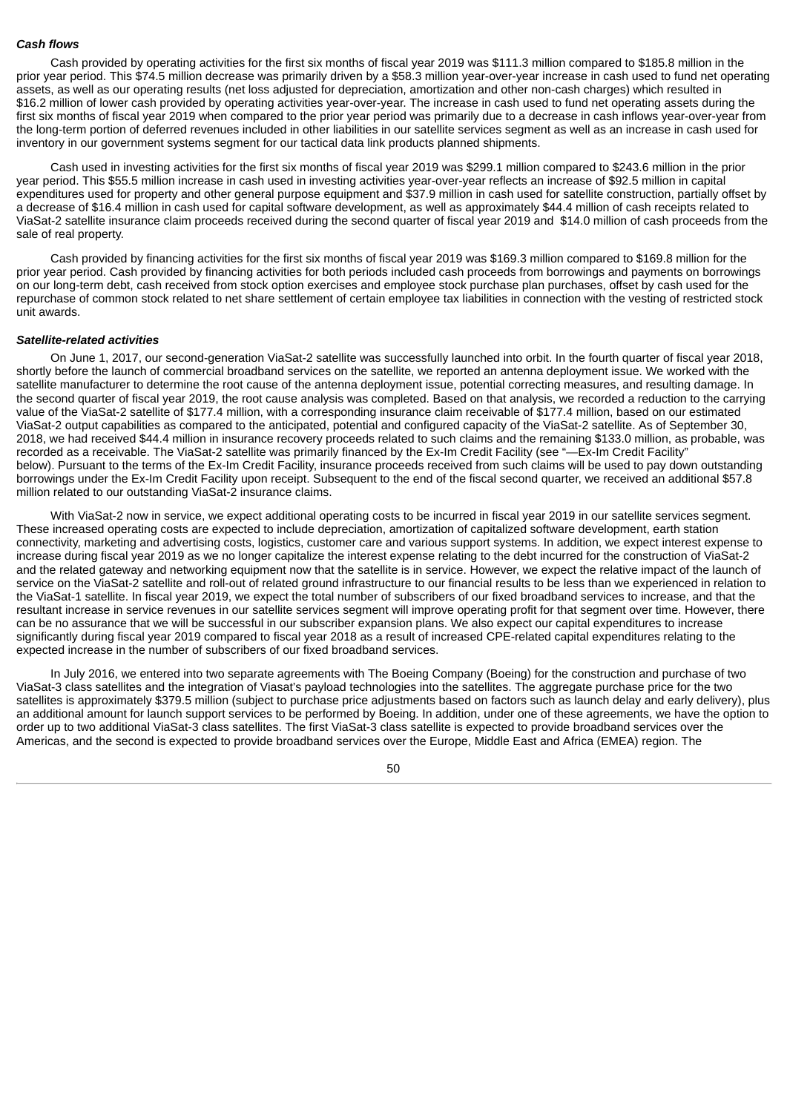#### *Cash flows*

Cash provided by operating activities for the first six months of fiscal year 2019 was \$111.3 million compared to \$185.8 million in the prior year period. This \$74.5 million decrease was primarily driven by a \$58.3 million year-over-year increase in cash used to fund net operating assets, as well as our operating results (net loss adjusted for depreciation, amortization and other non-cash charges) which resulted in \$16.2 million of lower cash provided by operating activities year-over-year. The increase in cash used to fund net operating assets during the first six months of fiscal year 2019 when compared to the prior year period was primarily due to a decrease in cash inflows year-over-year from the long-term portion of deferred revenues included in other liabilities in our satellite services segment as well as an increase in cash used for inventory in our government systems segment for our tactical data link products planned shipments.

Cash used in investing activities for the first six months of fiscal year 2019 was \$299.1 million compared to \$243.6 million in the prior year period. This \$55.5 million increase in cash used in investing activities year-over-year reflects an increase of \$92.5 million in capital expenditures used for property and other general purpose equipment and \$37.9 million in cash used for satellite construction, partially offset by a decrease of \$16.4 million in cash used for capital software development, as well as approximately \$44.4 million of cash receipts related to ViaSat-2 satellite insurance claim proceeds received during the second quarter of fiscal year 2019 and \$14.0 million of cash proceeds from the sale of real property.

Cash provided by financing activities for the first six months of fiscal year 2019 was \$169.3 million compared to \$169.8 million for the prior year period. Cash provided by financing activities for both periods included cash proceeds from borrowings and payments on borrowings on our long-term debt, cash received from stock option exercises and employee stock purchase plan purchases, offset by cash used for the repurchase of common stock related to net share settlement of certain employee tax liabilities in connection with the vesting of restricted stock unit awards.

#### *Satellite-related activities*

On June 1, 2017, our second-generation ViaSat-2 satellite was successfully launched into orbit. In the fourth quarter of fiscal year 2018, shortly before the launch of commercial broadband services on the satellite, we reported an antenna deployment issue. We worked with the satellite manufacturer to determine the root cause of the antenna deployment issue, potential correcting measures, and resulting damage. In the second quarter of fiscal year 2019, the root cause analysis was completed. Based on that analysis, we recorded a reduction to the carrying value of the ViaSat-2 satellite of \$177.4 million, with a corresponding insurance claim receivable of \$177.4 million, based on our estimated ViaSat-2 output capabilities as compared to the anticipated, potential and configured capacity of the ViaSat-2 satellite. As of September 30, 2018, we had received \$44.4 million in insurance recovery proceeds related to such claims and the remaining \$133.0 million, as probable, was recorded as a receivable. The ViaSat-2 satellite was primarily financed by the Ex-Im Credit Facility (see "*—*Ex-Im Credit Facility" below). Pursuant to the terms of the Ex-Im Credit Facility, insurance proceeds received from such claims will be used to pay down outstanding borrowings under the Ex-Im Credit Facility upon receipt. Subsequent to the end of the fiscal second quarter, we received an additional \$57.8 million related to our outstanding ViaSat-2 insurance claims.

With ViaSat-2 now in service, we expect additional operating costs to be incurred in fiscal year 2019 in our satellite services segment. These increased operating costs are expected to include depreciation, amortization of capitalized software development, earth station connectivity, marketing and advertising costs, logistics, customer care and various support systems. In addition, we expect interest expense to increase during fiscal year 2019 as we no longer capitalize the interest expense relating to the debt incurred for the construction of ViaSat-2 and the related gateway and networking equipment now that the satellite is in service. However, we expect the relative impact of the launch of service on the ViaSat-2 satellite and roll-out of related ground infrastructure to our financial results to be less than we experienced in relation to the ViaSat-1 satellite. In fiscal year 2019, we expect the total number of subscribers of our fixed broadband services to increase, and that the resultant increase in service revenues in our satellite services segment will improve operating profit for that segment over time. However, there can be no assurance that we will be successful in our subscriber expansion plans. We also expect our capital expenditures to increase significantly during fiscal year 2019 compared to fiscal year 2018 as a result of increased CPE-related capital expenditures relating to the expected increase in the number of subscribers of our fixed broadband services.

In July 2016, we entered into two separate agreements with The Boeing Company (Boeing) for the construction and purchase of two ViaSat-3 class satellites and the integration of Viasat's payload technologies into the satellites. The aggregate purchase price for the two satellites is approximately \$379.5 million (subject to purchase price adjustments based on factors such as launch delay and early delivery), plus an additional amount for launch support services to be performed by Boeing. In addition, under one of these agreements, we have the option to order up to two additional ViaSat-3 class satellites. The first ViaSat-3 class satellite is expected to provide broadband services over the Americas, and the second is expected to provide broadband services over the Europe, Middle East and Africa (EMEA) region. The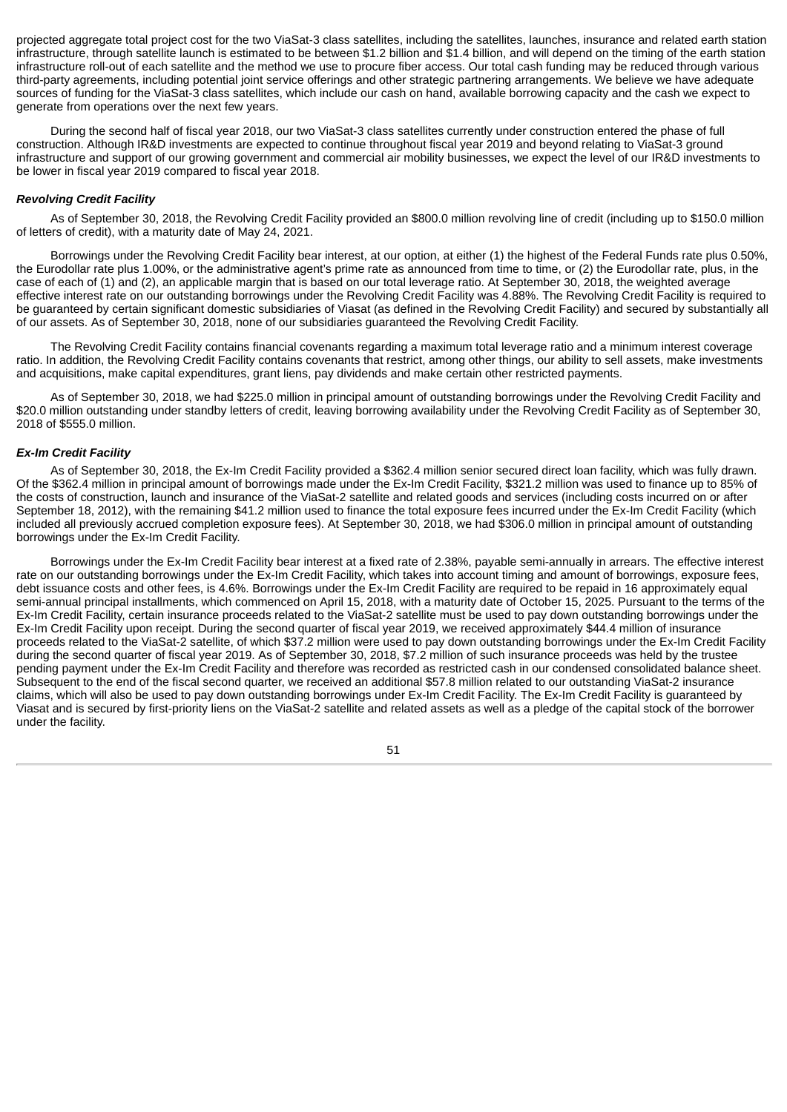projected aggregate total project cost for the two ViaSat-3 class satellites, including the satellites, launches, insurance and related earth station infrastructure, through satellite launch is estimated to be between \$1.2 billion and \$1.4 billion, and will depend on the timing of the earth station infrastructure roll-out of each satellite and the method we use to procure fiber access. Our total cash funding may be reduced through various third-party agreements, including potential joint service offerings and other strategic partnering arrangements. We believe we have adequate sources of funding for the ViaSat-3 class satellites, which include our cash on hand, available borrowing capacity and the cash we expect to generate from operations over the next few years.

During the second half of fiscal year 2018, our two ViaSat-3 class satellites currently under construction entered the phase of full construction. Although IR&D investments are expected to continue throughout fiscal year 2019 and beyond relating to ViaSat-3 ground infrastructure and support of our growing government and commercial air mobility businesses, we expect the level of our IR&D investments to be lower in fiscal year 2019 compared to fiscal year 2018.

#### *Revolving Credit Facility*

As of September 30, 2018, the Revolving Credit Facility provided an \$800.0 million revolving line of credit (including up to \$150.0 million of letters of credit), with a maturity date of May 24, 2021.

Borrowings under the Revolving Credit Facility bear interest, at our option, at either (1) the highest of the Federal Funds rate plus 0.50%, the Eurodollar rate plus 1.00%, or the administrative agent's prime rate as announced from time to time, or (2) the Eurodollar rate, plus, in the case of each of (1) and (2), an applicable margin that is based on our total leverage ratio. At September 30, 2018, the weighted average effective interest rate on our outstanding borrowings under the Revolving Credit Facility was 4.88%. The Revolving Credit Facility is required to be guaranteed by certain significant domestic subsidiaries of Viasat (as defined in the Revolving Credit Facility) and secured by substantially all of our assets. As of September 30, 2018, none of our subsidiaries guaranteed the Revolving Credit Facility.

The Revolving Credit Facility contains financial covenants regarding a maximum total leverage ratio and a minimum interest coverage ratio. In addition, the Revolving Credit Facility contains covenants that restrict, among other things, our ability to sell assets, make investments and acquisitions, make capital expenditures, grant liens, pay dividends and make certain other restricted payments.

As of September 30, 2018, we had \$225.0 million in principal amount of outstanding borrowings under the Revolving Credit Facility and \$20.0 million outstanding under standby letters of credit, leaving borrowing availability under the Revolving Credit Facility as of September 30, 2018 of \$555.0 million.

#### *Ex-Im Credit Facility*

As of September 30, 2018, the Ex-Im Credit Facility provided a \$362.4 million senior secured direct loan facility, which was fully drawn. Of the \$362.4 million in principal amount of borrowings made under the Ex-Im Credit Facility, \$321.2 million was used to finance up to 85% of the costs of construction, launch and insurance of the ViaSat-2 satellite and related goods and services (including costs incurred on or after September 18, 2012), with the remaining \$41.2 million used to finance the total exposure fees incurred under the Ex-Im Credit Facility (which included all previously accrued completion exposure fees). At September 30, 2018, we had \$306.0 million in principal amount of outstanding borrowings under the Ex-Im Credit Facility.

Borrowings under the Ex-Im Credit Facility bear interest at a fixed rate of 2.38%, payable semi-annually in arrears. The effective interest rate on our outstanding borrowings under the Ex-Im Credit Facility, which takes into account timing and amount of borrowings, exposure fees, debt issuance costs and other fees, is 4.6%. Borrowings under the Ex-Im Credit Facility are required to be repaid in 16 approximately equal semi-annual principal installments, which commenced on April 15, 2018, with a maturity date of October 15, 2025. Pursuant to the terms of the Ex-Im Credit Facility, certain insurance proceeds related to the ViaSat-2 satellite must be used to pay down outstanding borrowings under the Ex-Im Credit Facility upon receipt. During the second quarter of fiscal year 2019, we received approximately \$44.4 million of insurance proceeds related to the ViaSat-2 satellite, of which \$37.2 million were used to pay down outstanding borrowings under the Ex-Im Credit Facility during the second quarter of fiscal year 2019. As of September 30, 2018, \$7.2 million of such insurance proceeds was held by the trustee pending payment under the Ex-Im Credit Facility and therefore was recorded as restricted cash in our condensed consolidated balance sheet. Subsequent to the end of the fiscal second quarter, we received an additional \$57.8 million related to our outstanding ViaSat-2 insurance claims, which will also be used to pay down outstanding borrowings under Ex-Im Credit Facility. The Ex-Im Credit Facility is guaranteed by Viasat and is secured by first-priority liens on the ViaSat-2 satellite and related assets as well as a pledge of the capital stock of the borrower under the facility.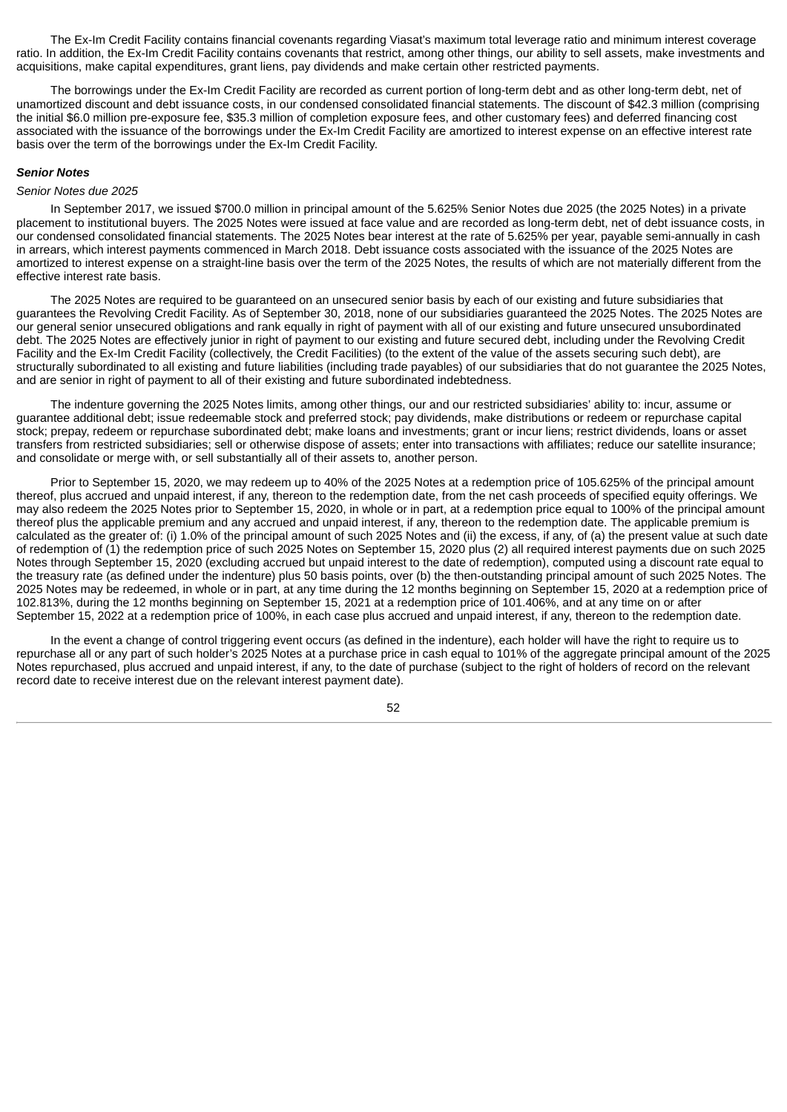The Ex-Im Credit Facility contains financial covenants regarding Viasat's maximum total leverage ratio and minimum interest coverage ratio. In addition, the Ex-Im Credit Facility contains covenants that restrict, among other things, our ability to sell assets, make investments and acquisitions, make capital expenditures, grant liens, pay dividends and make certain other restricted payments.

The borrowings under the Ex-Im Credit Facility are recorded as current portion of long-term debt and as other long-term debt, net of unamortized discount and debt issuance costs, in our condensed consolidated financial statements. The discount of \$42.3 million (comprising the initial \$6.0 million pre-exposure fee, \$35.3 million of completion exposure fees, and other customary fees) and deferred financing cost associated with the issuance of the borrowings under the Ex-Im Credit Facility are amortized to interest expense on an effective interest rate basis over the term of the borrowings under the Ex-Im Credit Facility.

#### *Senior Notes*

#### *Senior Notes due 2025*

In September 2017, we issued \$700.0 million in principal amount of the 5.625% Senior Notes due 2025 (the 2025 Notes) in a private placement to institutional buyers. The 2025 Notes were issued at face value and are recorded as long-term debt, net of debt issuance costs, in our condensed consolidated financial statements. The 2025 Notes bear interest at the rate of 5.625% per year, payable semi-annually in cash in arrears, which interest payments commenced in March 2018. Debt issuance costs associated with the issuance of the 2025 Notes are amortized to interest expense on a straight-line basis over the term of the 2025 Notes, the results of which are not materially different from the effective interest rate basis.

The 2025 Notes are required to be guaranteed on an unsecured senior basis by each of our existing and future subsidiaries that guarantees the Revolving Credit Facility. As of September 30, 2018, none of our subsidiaries guaranteed the 2025 Notes. The 2025 Notes are our general senior unsecured obligations and rank equally in right of payment with all of our existing and future unsecured unsubordinated debt. The 2025 Notes are effectively junior in right of payment to our existing and future secured debt, including under the Revolving Credit Facility and the Ex-Im Credit Facility (collectively, the Credit Facilities) (to the extent of the value of the assets securing such debt), are structurally subordinated to all existing and future liabilities (including trade payables) of our subsidiaries that do not guarantee the 2025 Notes, and are senior in right of payment to all of their existing and future subordinated indebtedness.

The indenture governing the 2025 Notes limits, among other things, our and our restricted subsidiaries' ability to: incur, assume or guarantee additional debt; issue redeemable stock and preferred stock; pay dividends, make distributions or redeem or repurchase capital stock; prepay, redeem or repurchase subordinated debt; make loans and investments; grant or incur liens; restrict dividends, loans or asset transfers from restricted subsidiaries; sell or otherwise dispose of assets; enter into transactions with affiliates; reduce our satellite insurance; and consolidate or merge with, or sell substantially all of their assets to, another person.

Prior to September 15, 2020, we may redeem up to 40% of the 2025 Notes at a redemption price of 105.625% of the principal amount thereof, plus accrued and unpaid interest, if any, thereon to the redemption date, from the net cash proceeds of specified equity offerings. We may also redeem the 2025 Notes prior to September 15, 2020, in whole or in part, at a redemption price equal to 100% of the principal amount thereof plus the applicable premium and any accrued and unpaid interest, if any, thereon to the redemption date. The applicable premium is calculated as the greater of: (i) 1.0% of the principal amount of such 2025 Notes and (ii) the excess, if any, of (a) the present value at such date of redemption of (1) the redemption price of such 2025 Notes on September 15, 2020 plus (2) all required interest payments due on such 2025 Notes through September 15, 2020 (excluding accrued but unpaid interest to the date of redemption), computed using a discount rate equal to the treasury rate (as defined under the indenture) plus 50 basis points, over (b) the then-outstanding principal amount of such 2025 Notes. The 2025 Notes may be redeemed, in whole or in part, at any time during the 12 months beginning on September 15, 2020 at a redemption price of 102.813%, during the 12 months beginning on September 15, 2021 at a redemption price of 101.406%, and at any time on or after September 15, 2022 at a redemption price of 100%, in each case plus accrued and unpaid interest, if any, thereon to the redemption date.

In the event a change of control triggering event occurs (as defined in the indenture), each holder will have the right to require us to repurchase all or any part of such holder's 2025 Notes at a purchase price in cash equal to 101% of the aggregate principal amount of the 2025 Notes repurchased, plus accrued and unpaid interest, if any, to the date of purchase (subject to the right of holders of record on the relevant record date to receive interest due on the relevant interest payment date).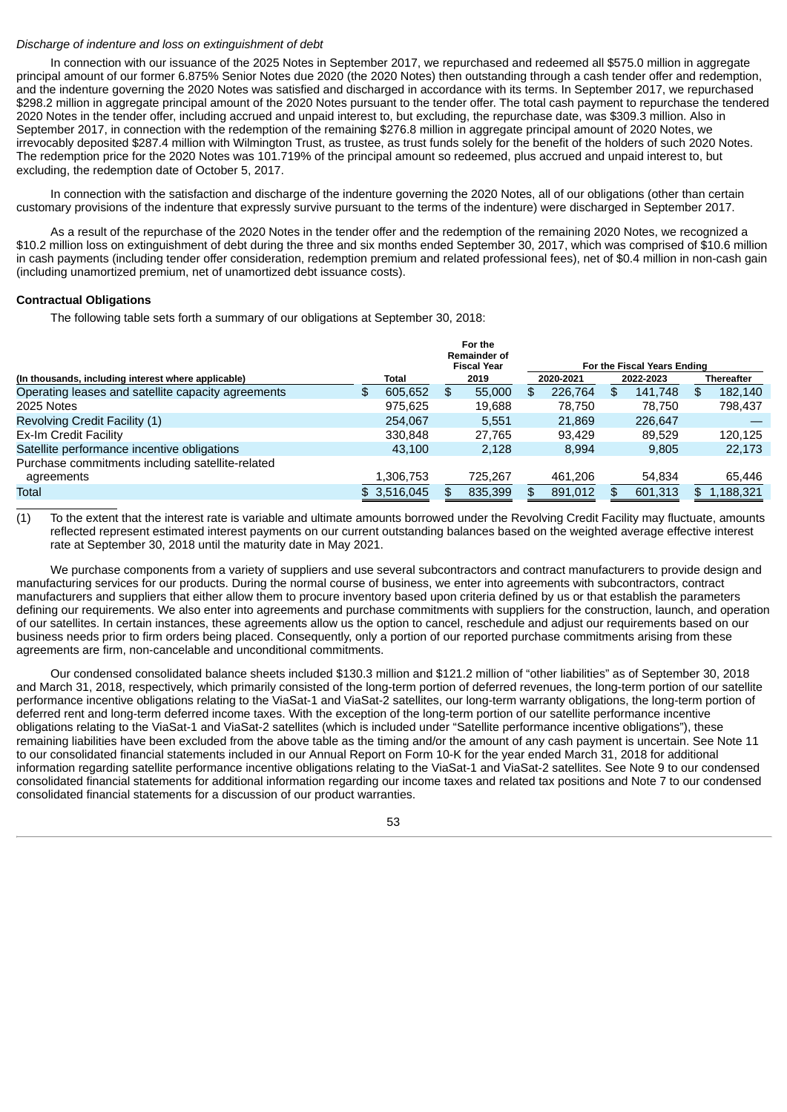#### *Discharge of indenture and loss on extinguishment of debt*

In connection with our issuance of the 2025 Notes in September 2017, we repurchased and redeemed all \$575.0 million in aggregate principal amount of our former 6.875% Senior Notes due 2020 (the 2020 Notes) then outstanding through a cash tender offer and redemption, and the indenture governing the 2020 Notes was satisfied and discharged in accordance with its terms. In September 2017, we repurchased \$298.2 million in aggregate principal amount of the 2020 Notes pursuant to the tender offer. The total cash payment to repurchase the tendered 2020 Notes in the tender offer, including accrued and unpaid interest to, but excluding, the repurchase date, was \$309.3 million. Also in September 2017, in connection with the redemption of the remaining \$276.8 million in aggregate principal amount of 2020 Notes, we irrevocably deposited \$287.4 million with Wilmington Trust, as trustee, as trust funds solely for the benefit of the holders of such 2020 Notes. The redemption price for the 2020 Notes was 101.719% of the principal amount so redeemed, plus accrued and unpaid interest to, but excluding, the redemption date of October 5, 2017.

In connection with the satisfaction and discharge of the indenture governing the 2020 Notes, all of our obligations (other than certain customary provisions of the indenture that expressly survive pursuant to the terms of the indenture) were discharged in September 2017.

As a result of the repurchase of the 2020 Notes in the tender offer and the redemption of the remaining 2020 Notes, we recognized a \$10.2 million loss on extinguishment of debt during the three and six months ended September 30, 2017, which was comprised of \$10.6 million in cash payments (including tender offer consideration, redemption premium and related professional fees), net of \$0.4 million in non-cash gain (including unamortized premium, net of unamortized debt issuance costs).

#### **Contractual Obligations**

The following table sets forth a summary of our obligations at September 30, 2018:

|                                                     |       |             |      | For the<br><b>Remainder of</b> |                             |         |           |         |                   |           |
|-----------------------------------------------------|-------|-------------|------|--------------------------------|-----------------------------|---------|-----------|---------|-------------------|-----------|
|                                                     |       |             |      | <b>Fiscal Year</b>             | For the Fiscal Years Ending |         |           |         |                   |           |
| (In thousands, including interest where applicable) | Total |             | 2019 |                                | 2020-2021                   |         | 2022-2023 |         | <b>Thereafter</b> |           |
| Operating leases and satellite capacity agreements  | \$    | 605.652     | \$   | 55,000                         | \$.                         | 226.764 | \$        | 141,748 | \$.               | 182.140   |
| 2025 Notes                                          |       | 975.625     |      | 19,688                         |                             | 78.750  |           | 78.750  |                   | 798,437   |
| Revolving Credit Facility (1)                       |       | 254.067     |      | 5.551                          |                             | 21,869  |           | 226.647 |                   |           |
| Ex-Im Credit Facility                               |       | 330.848     |      | 27.765                         |                             | 93.429  |           | 89.529  |                   | 120.125   |
| Satellite performance incentive obligations         |       | 43.100      |      | 2.128                          |                             | 8.994   |           | 9.805   |                   | 22.173    |
| Purchase commitments including satellite-related    |       |             |      |                                |                             |         |           |         |                   |           |
| agreements                                          |       | 1,306,753   |      | 725.267                        |                             | 461.206 |           | 54,834  |                   | 65,446    |
| Total                                               |       | \$3,516,045 |      | 835,399                        |                             | 891,012 |           | 601,313 |                   | 1,188,321 |
|                                                     |       |             |      |                                |                             |         |           |         |                   |           |

(1) To the extent that the interest rate is variable and ultimate amounts borrowed under the Revolving Credit Facility may fluctuate, amounts reflected represent estimated interest payments on our current outstanding balances based on the weighted average effective interest rate at September 30, 2018 until the maturity date in May 2021.

We purchase components from a variety of suppliers and use several subcontractors and contract manufacturers to provide design and manufacturing services for our products. During the normal course of business, we enter into agreements with subcontractors, contract manufacturers and suppliers that either allow them to procure inventory based upon criteria defined by us or that establish the parameters defining our requirements. We also enter into agreements and purchase commitments with suppliers for the construction, launch, and operation of our satellites. In certain instances, these agreements allow us the option to cancel, reschedule and adjust our requirements based on our business needs prior to firm orders being placed. Consequently, only a portion of our reported purchase commitments arising from these agreements are firm, non-cancelable and unconditional commitments.

Our condensed consolidated balance sheets included \$130.3 million and \$121.2 million of "other liabilities" as of September 30, 2018 and March 31, 2018, respectively, which primarily consisted of the long-term portion of deferred revenues, the long-term portion of our satellite performance incentive obligations relating to the ViaSat-1 and ViaSat-2 satellites, our long-term warranty obligations, the long-term portion of deferred rent and long-term deferred income taxes. With the exception of the long-term portion of our satellite performance incentive obligations relating to the ViaSat-1 and ViaSat-2 satellites (which is included under "Satellite performance incentive obligations"), these remaining liabilities have been excluded from the above table as the timing and/or the amount of any cash payment is uncertain. See Note 11 to our consolidated financial statements included in our Annual Report on Form 10-K for the year ended March 31, 2018 for additional information regarding satellite performance incentive obligations relating to the ViaSat-1 and ViaSat-2 satellites. See Note 9 to our condensed consolidated financial statements for additional information regarding our income taxes and related tax positions and Note 7 to our condensed consolidated financial statements for a discussion of our product warranties.

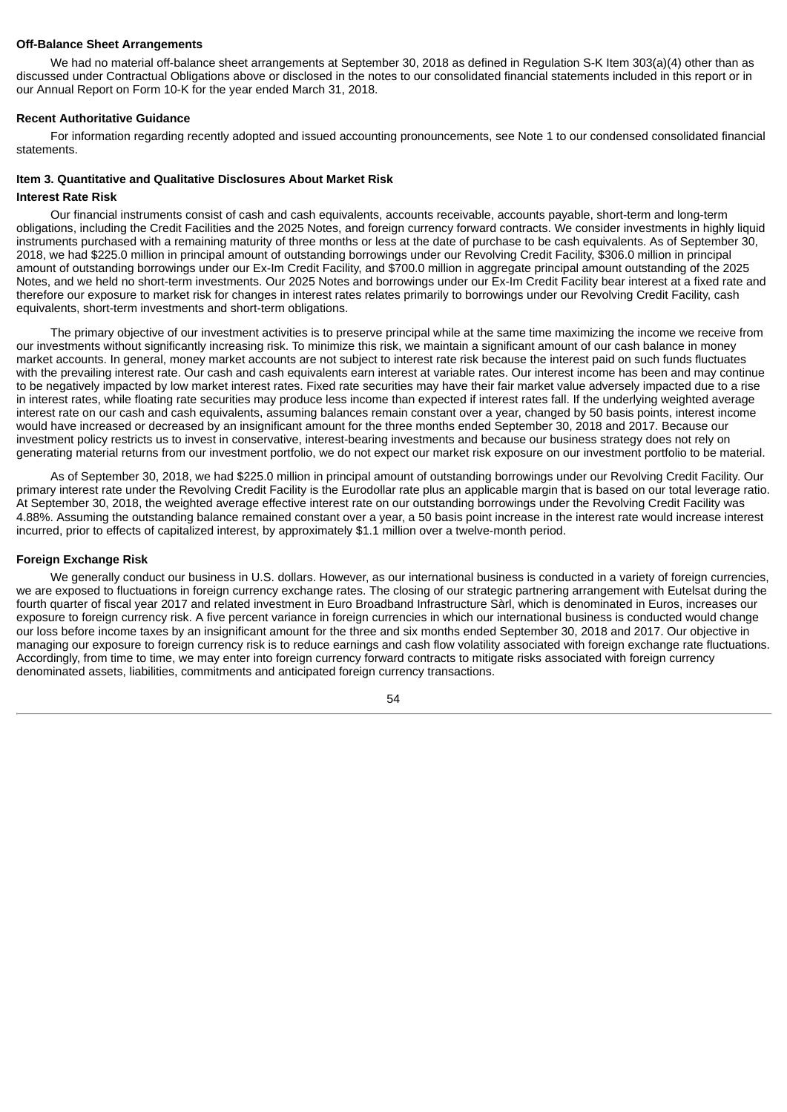#### **Off-Balance Sheet Arrangements**

We had no material off-balance sheet arrangements at September 30, 2018 as defined in Regulation S-K Item 303(a)(4) other than as discussed under Contractual Obligations above or disclosed in the notes to our consolidated financial statements included in this report or in our Annual Report on Form 10-K for the year ended March 31, 2018.

#### **Recent Authoritative Guidance**

For information regarding recently adopted and issued accounting pronouncements, see Note 1 to our condensed consolidated financial statements.

#### <span id="page-53-0"></span>**Item 3. Quantitative and Qualitative Disclosures About Market Risk**

#### **Interest Rate Risk**

Our financial instruments consist of cash and cash equivalents, accounts receivable, accounts payable, short-term and long-term obligations, including the Credit Facilities and the 2025 Notes, and foreign currency forward contracts. We consider investments in highly liquid instruments purchased with a remaining maturity of three months or less at the date of purchase to be cash equivalents. As of September 30, 2018, we had \$225.0 million in principal amount of outstanding borrowings under our Revolving Credit Facility, \$306.0 million in principal amount of outstanding borrowings under our Ex-Im Credit Facility, and \$700.0 million in aggregate principal amount outstanding of the 2025 Notes, and we held no short-term investments. Our 2025 Notes and borrowings under our Ex-Im Credit Facility bear interest at a fixed rate and therefore our exposure to market risk for changes in interest rates relates primarily to borrowings under our Revolving Credit Facility, cash equivalents, short-term investments and short-term obligations.

The primary objective of our investment activities is to preserve principal while at the same time maximizing the income we receive from our investments without significantly increasing risk. To minimize this risk, we maintain a significant amount of our cash balance in money market accounts. In general, money market accounts are not subject to interest rate risk because the interest paid on such funds fluctuates with the prevailing interest rate. Our cash and cash equivalents earn interest at variable rates. Our interest income has been and may continue to be negatively impacted by low market interest rates. Fixed rate securities may have their fair market value adversely impacted due to a rise in interest rates, while floating rate securities may produce less income than expected if interest rates fall. If the underlying weighted average interest rate on our cash and cash equivalents, assuming balances remain constant over a year, changed by 50 basis points, interest income would have increased or decreased by an insignificant amount for the three months ended September 30, 2018 and 2017. Because our investment policy restricts us to invest in conservative, interest-bearing investments and because our business strategy does not rely on generating material returns from our investment portfolio, we do not expect our market risk exposure on our investment portfolio to be material.

As of September 30, 2018, we had \$225.0 million in principal amount of outstanding borrowings under our Revolving Credit Facility. Our primary interest rate under the Revolving Credit Facility is the Eurodollar rate plus an applicable margin that is based on our total leverage ratio. At September 30, 2018, the weighted average effective interest rate on our outstanding borrowings under the Revolving Credit Facility was 4.88%. Assuming the outstanding balance remained constant over a year, a 50 basis point increase in the interest rate would increase interest incurred, prior to effects of capitalized interest, by approximately \$1.1 million over a twelve-month period.

#### **Foreign Exchange Risk**

We generally conduct our business in U.S. dollars. However, as our international business is conducted in a variety of foreign currencies, we are exposed to fluctuations in foreign currency exchange rates. The closing of our strategic partnering arrangement with Eutelsat during the fourth quarter of fiscal year 2017 and related investment in Euro Broadband Infrastructure Sàrl, which is denominated in Euros, increases our exposure to foreign currency risk. A five percent variance in foreign currencies in which our international business is conducted would change our loss before income taxes by an insignificant amount for the three and six months ended September 30, 2018 and 2017. Our objective in managing our exposure to foreign currency risk is to reduce earnings and cash flow volatility associated with foreign exchange rate fluctuations. Accordingly, from time to time, we may enter into foreign currency forward contracts to mitigate risks associated with foreign currency denominated assets, liabilities, commitments and anticipated foreign currency transactions.

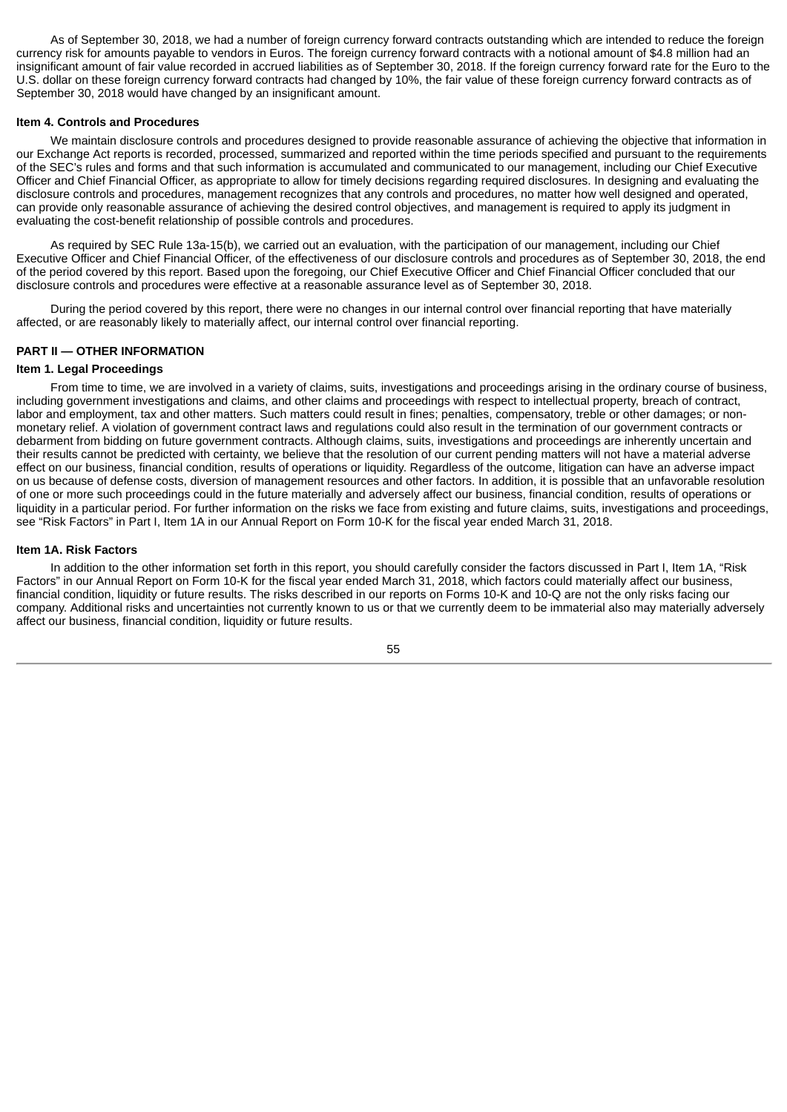As of September 30, 2018, we had a number of foreign currency forward contracts outstanding which are intended to reduce the foreign currency risk for amounts payable to vendors in Euros. The foreign currency forward contracts with a notional amount of \$4.8 million had an insignificant amount of fair value recorded in accrued liabilities as of September 30, 2018. If the foreign currency forward rate for the Euro to the U.S. dollar on these foreign currency forward contracts had changed by 10%, the fair value of these foreign currency forward contracts as of September 30, 2018 would have changed by an insignificant amount.

#### <span id="page-54-0"></span>**Item 4. Controls and Procedures**

We maintain disclosure controls and procedures designed to provide reasonable assurance of achieving the objective that information in our Exchange Act reports is recorded, processed, summarized and reported within the time periods specified and pursuant to the requirements of the SEC's rules and forms and that such information is accumulated and communicated to our management, including our Chief Executive Officer and Chief Financial Officer, as appropriate to allow for timely decisions regarding required disclosures. In designing and evaluating the disclosure controls and procedures, management recognizes that any controls and procedures, no matter how well designed and operated, can provide only reasonable assurance of achieving the desired control objectives, and management is required to apply its judgment in evaluating the cost-benefit relationship of possible controls and procedures.

As required by SEC Rule 13a-15(b), we carried out an evaluation, with the participation of our management, including our Chief Executive Officer and Chief Financial Officer, of the effectiveness of our disclosure controls and procedures as of September 30, 2018, the end of the period covered by this report. Based upon the foregoing, our Chief Executive Officer and Chief Financial Officer concluded that our disclosure controls and procedures were effective at a reasonable assurance level as of September 30, 2018.

During the period covered by this report, there were no changes in our internal control over financial reporting that have materially affected, or are reasonably likely to materially affect, our internal control over financial reporting.

#### <span id="page-54-1"></span>**PART II — OTHER INFORMATION**

#### <span id="page-54-2"></span>**Item 1. Legal Proceedings**

From time to time, we are involved in a variety of claims, suits, investigations and proceedings arising in the ordinary course of business, including government investigations and claims, and other claims and proceedings with respect to intellectual property, breach of contract, labor and employment, tax and other matters. Such matters could result in fines; penalties, compensatory, treble or other damages; or nonmonetary relief. A violation of government contract laws and regulations could also result in the termination of our government contracts or debarment from bidding on future government contracts. Although claims, suits, investigations and proceedings are inherently uncertain and their results cannot be predicted with certainty, we believe that the resolution of our current pending matters will not have a material adverse effect on our business, financial condition, results of operations or liquidity. Regardless of the outcome, litigation can have an adverse impact on us because of defense costs, diversion of management resources and other factors. In addition, it is possible that an unfavorable resolution of one or more such proceedings could in the future materially and adversely affect our business, financial condition, results of operations or liquidity in a particular period. For further information on the risks we face from existing and future claims, suits, investigations and proceedings, see "Risk Factors" in Part I, Item 1A in our Annual Report on Form 10-K for the fiscal year ended March 31, 2018.

#### <span id="page-54-3"></span>**Item 1A. Risk Factors**

In addition to the other information set forth in this report, you should carefully consider the factors discussed in Part I, Item 1A, "Risk Factors" in our Annual Report on Form 10-K for the fiscal year ended March 31, 2018, which factors could materially affect our business, financial condition, liquidity or future results. The risks described in our reports on Forms 10-K and 10-Q are not the only risks facing our company. Additional risks and uncertainties not currently known to us or that we currently deem to be immaterial also may materially adversely affect our business, financial condition, liquidity or future results.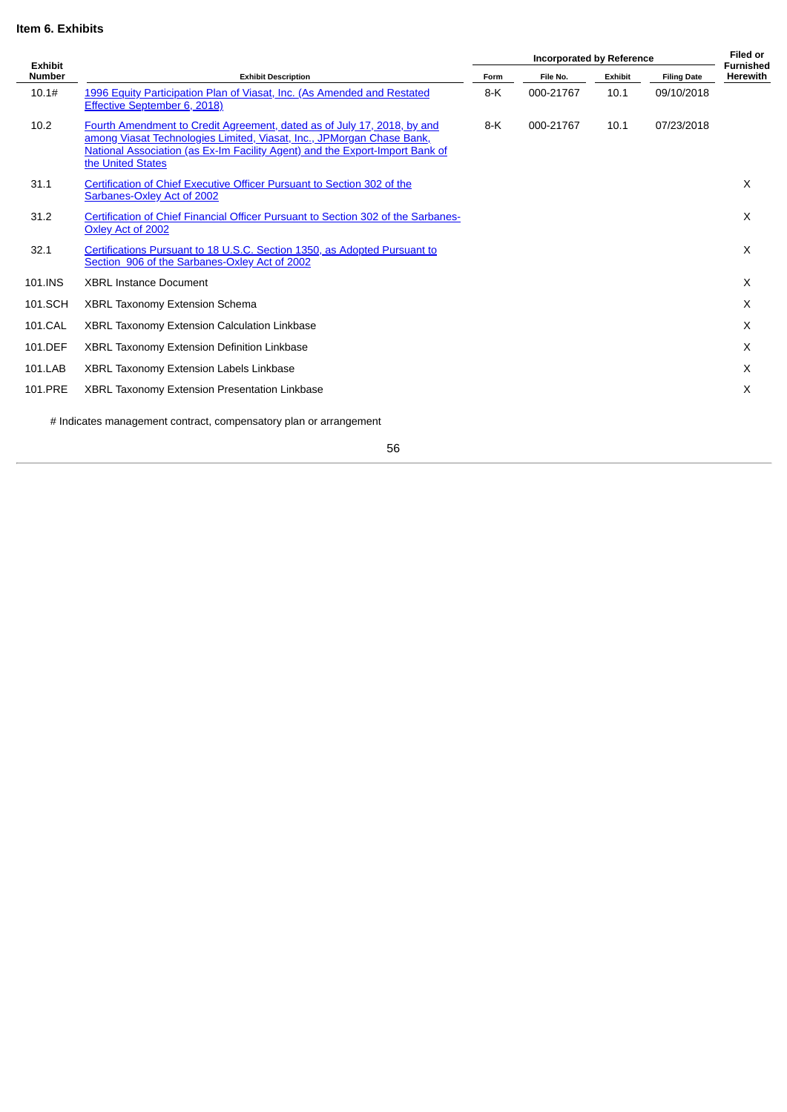#### <span id="page-55-0"></span>**Item 6. Exhibits**

| <b>Exhibit</b> |                                                                                                                                                                                                                                                       |       | Filed or<br><b>Furnished</b> |         |                    |          |
|----------------|-------------------------------------------------------------------------------------------------------------------------------------------------------------------------------------------------------------------------------------------------------|-------|------------------------------|---------|--------------------|----------|
| <b>Number</b>  | <b>Exhibit Description</b>                                                                                                                                                                                                                            | Form  | File No.                     | Exhibit | <b>Filing Date</b> | Herewith |
| 10.1#          | 1996 Equity Participation Plan of Viasat, Inc. (As Amended and Restated<br>Effective September 6, 2018)                                                                                                                                               | $8-K$ | 000-21767                    | 10.1    | 09/10/2018         |          |
| 10.2           | Fourth Amendment to Credit Agreement, dated as of July 17, 2018, by and<br>among Viasat Technologies Limited, Viasat, Inc., JPMorgan Chase Bank,<br>National Association (as Ex-Im Facility Agent) and the Export-Import Bank of<br>the United States | $8-K$ | 000-21767                    | 10.1    | 07/23/2018         |          |
| 31.1           | Certification of Chief Executive Officer Pursuant to Section 302 of the<br>Sarbanes-Oxley Act of 2002                                                                                                                                                 |       |                              |         |                    | X        |
| 31.2           | Certification of Chief Financial Officer Pursuant to Section 302 of the Sarbanes-<br>Oxley Act of 2002                                                                                                                                                |       |                              |         |                    | X        |
| 32.1           | Certifications Pursuant to 18 U.S.C. Section 1350, as Adopted Pursuant to<br>Section 906 of the Sarbanes-Oxley Act of 2002                                                                                                                            |       |                              |         |                    | X        |
| 101.INS        | <b>XBRL Instance Document</b>                                                                                                                                                                                                                         |       |                              |         |                    | X        |
| 101.SCH        | <b>XBRL Taxonomy Extension Schema</b>                                                                                                                                                                                                                 |       |                              |         |                    | $\times$ |
| 101.CAL        | XBRL Taxonomy Extension Calculation Linkbase                                                                                                                                                                                                          |       |                              |         |                    | X        |
| 101.DEF        | XBRL Taxonomy Extension Definition Linkbase                                                                                                                                                                                                           |       |                              |         |                    | X        |
| 101.LAB        | XBRL Taxonomy Extension Labels Linkbase                                                                                                                                                                                                               |       |                              |         |                    | X        |
| 101.PRE        | XBRL Taxonomy Extension Presentation Linkbase                                                                                                                                                                                                         |       |                              |         |                    | X        |
|                | # Indicates management contract, compensatory plan or arrangement                                                                                                                                                                                     |       |                              |         |                    |          |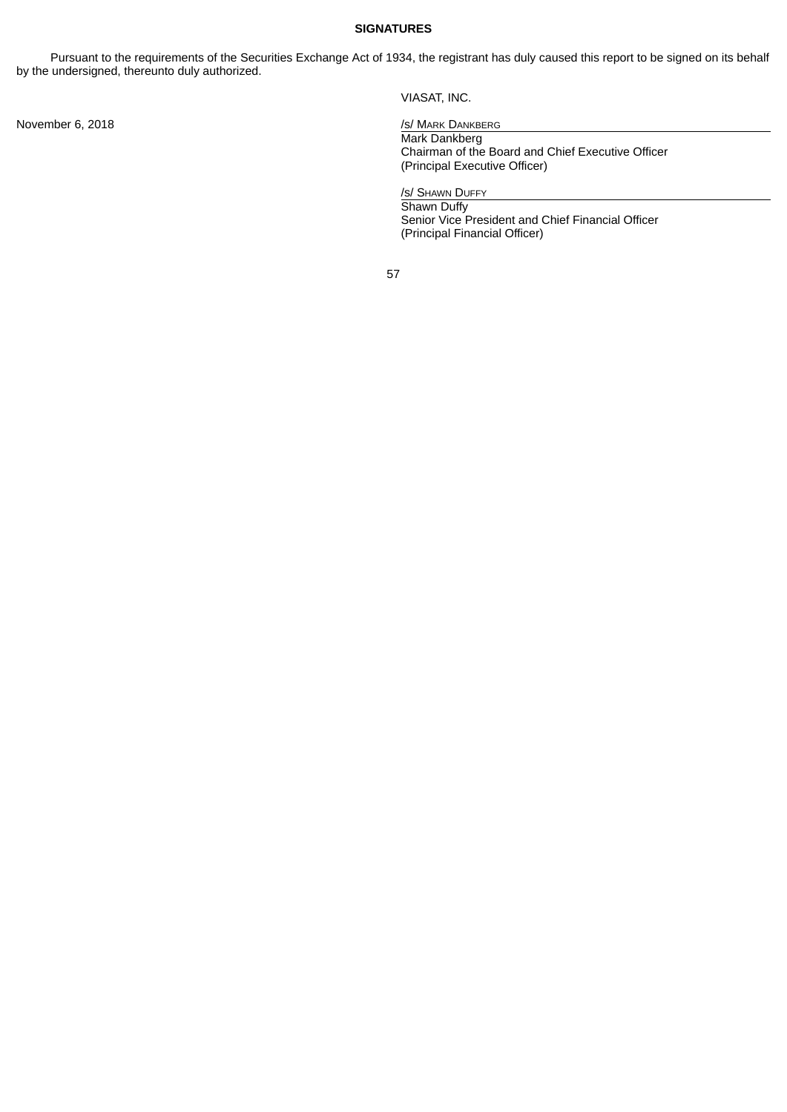#### **SIGNATURES**

<span id="page-56-0"></span>Pursuant to the requirements of the Securities Exchange Act of 1934, the registrant has duly caused this report to be signed on its behalf by the undersigned, thereunto duly authorized.

November 6, 2018 /s/ Mark DANKBERG

VIASAT, INC.

Mark Dankberg Chairman of the Board and Chief Executive Officer (Principal Executive Officer)

/s/ SHAWN DUFFY

**Shawn Duffy** Senior Vice President and Chief Financial Officer (Principal Financial Officer)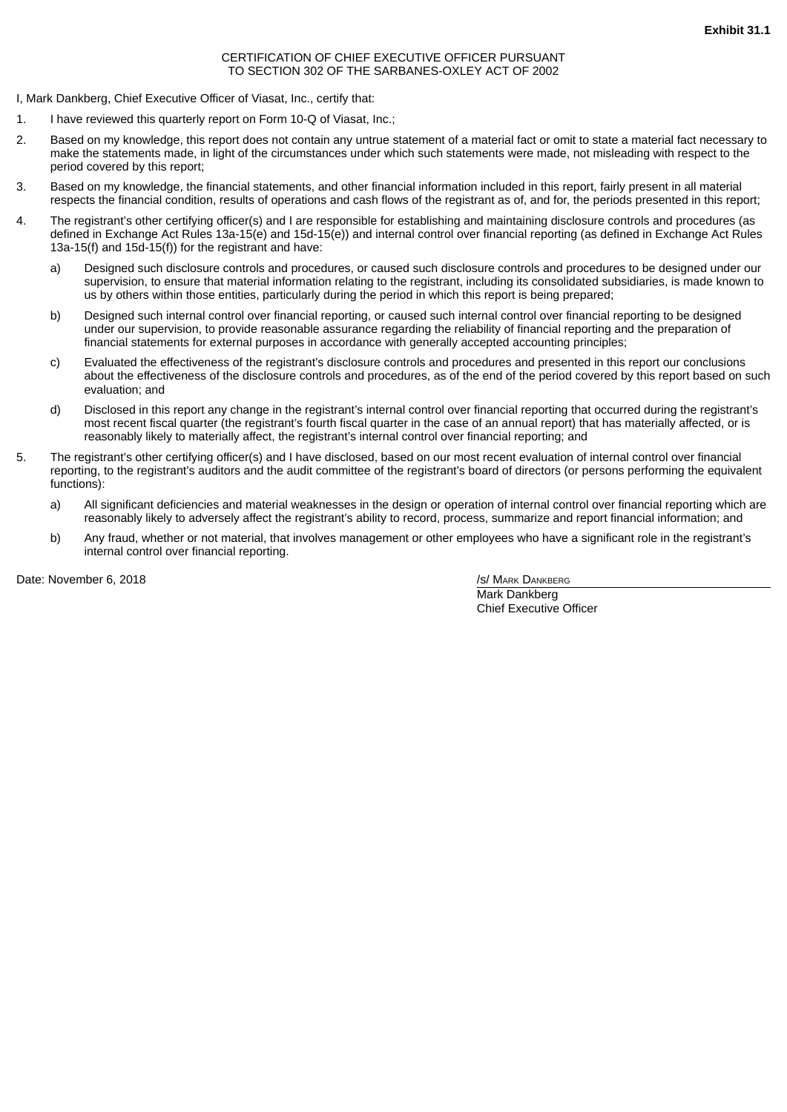#### CERTIFICATION OF CHIEF EXECUTIVE OFFICER PURSUANT TO SECTION 302 OF THE SARBANES-OXLEY ACT OF 2002

<span id="page-57-0"></span>I, Mark Dankberg, Chief Executive Officer of Viasat, Inc., certify that:

- 1. I have reviewed this quarterly report on Form 10-Q of Viasat, Inc.;
- 2. Based on my knowledge, this report does not contain any untrue statement of a material fact or omit to state a material fact necessary to make the statements made, in light of the circumstances under which such statements were made, not misleading with respect to the period covered by this report;
- 3. Based on my knowledge, the financial statements, and other financial information included in this report, fairly present in all material respects the financial condition, results of operations and cash flows of the registrant as of, and for, the periods presented in this report;
- 4. The registrant's other certifying officer(s) and I are responsible for establishing and maintaining disclosure controls and procedures (as defined in Exchange Act Rules 13a-15(e) and 15d-15(e)) and internal control over financial reporting (as defined in Exchange Act Rules 13a-15(f) and 15d-15(f)) for the registrant and have:
	- a) Designed such disclosure controls and procedures, or caused such disclosure controls and procedures to be designed under our supervision, to ensure that material information relating to the registrant, including its consolidated subsidiaries, is made known to us by others within those entities, particularly during the period in which this report is being prepared;
	- b) Designed such internal control over financial reporting, or caused such internal control over financial reporting to be designed under our supervision, to provide reasonable assurance regarding the reliability of financial reporting and the preparation of financial statements for external purposes in accordance with generally accepted accounting principles;
	- c) Evaluated the effectiveness of the registrant's disclosure controls and procedures and presented in this report our conclusions about the effectiveness of the disclosure controls and procedures, as of the end of the period covered by this report based on such evaluation; and
	- d) Disclosed in this report any change in the registrant's internal control over financial reporting that occurred during the registrant's most recent fiscal quarter (the registrant's fourth fiscal quarter in the case of an annual report) that has materially affected, or is reasonably likely to materially affect, the registrant's internal control over financial reporting; and
- 5. The registrant's other certifying officer(s) and I have disclosed, based on our most recent evaluation of internal control over financial reporting, to the registrant's auditors and the audit committee of the registrant's board of directors (or persons performing the equivalent functions):
	- a) All significant deficiencies and material weaknesses in the design or operation of internal control over financial reporting which are reasonably likely to adversely affect the registrant's ability to record, process, summarize and report financial information; and
	- b) Any fraud, whether or not material, that involves management or other employees who have a significant role in the registrant's internal control over financial reporting.

Date: November 6, 2018 **Date:** November 6, 2018

Mark Dankberg Chief Executive Officer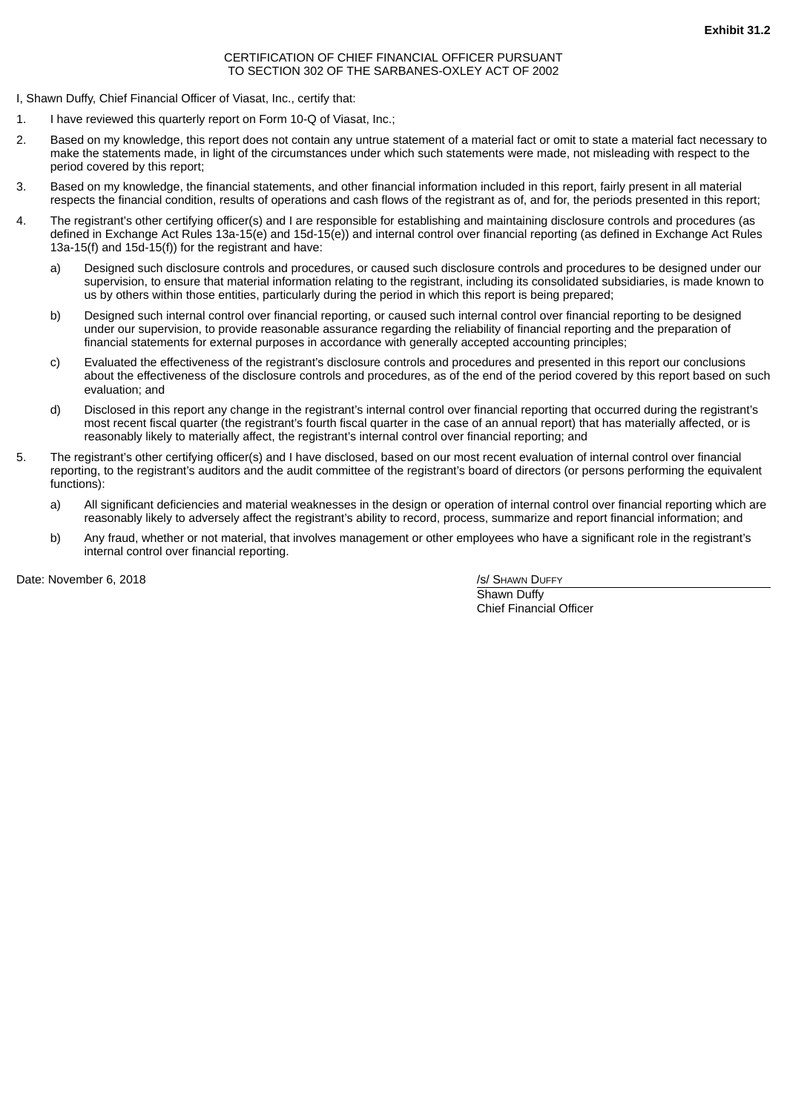#### CERTIFICATION OF CHIEF FINANCIAL OFFICER PURSUANT TO SECTION 302 OF THE SARBANES-OXLEY ACT OF 2002

<span id="page-58-0"></span>I, Shawn Duffy, Chief Financial Officer of Viasat, Inc., certify that:

- 1. I have reviewed this quarterly report on Form 10-Q of Viasat, Inc.;
- 2. Based on my knowledge, this report does not contain any untrue statement of a material fact or omit to state a material fact necessary to make the statements made, in light of the circumstances under which such statements were made, not misleading with respect to the period covered by this report;
- 3. Based on my knowledge, the financial statements, and other financial information included in this report, fairly present in all material respects the financial condition, results of operations and cash flows of the registrant as of, and for, the periods presented in this report;
- 4. The registrant's other certifying officer(s) and I are responsible for establishing and maintaining disclosure controls and procedures (as defined in Exchange Act Rules 13a-15(e) and 15d-15(e)) and internal control over financial reporting (as defined in Exchange Act Rules 13a-15(f) and 15d-15(f)) for the registrant and have:
	- a) Designed such disclosure controls and procedures, or caused such disclosure controls and procedures to be designed under our supervision, to ensure that material information relating to the registrant, including its consolidated subsidiaries, is made known to us by others within those entities, particularly during the period in which this report is being prepared;
	- b) Designed such internal control over financial reporting, or caused such internal control over financial reporting to be designed under our supervision, to provide reasonable assurance regarding the reliability of financial reporting and the preparation of financial statements for external purposes in accordance with generally accepted accounting principles;
	- c) Evaluated the effectiveness of the registrant's disclosure controls and procedures and presented in this report our conclusions about the effectiveness of the disclosure controls and procedures, as of the end of the period covered by this report based on such evaluation; and
	- d) Disclosed in this report any change in the registrant's internal control over financial reporting that occurred during the registrant's most recent fiscal quarter (the registrant's fourth fiscal quarter in the case of an annual report) that has materially affected, or is reasonably likely to materially affect, the registrant's internal control over financial reporting; and
- 5. The registrant's other certifying officer(s) and I have disclosed, based on our most recent evaluation of internal control over financial reporting, to the registrant's auditors and the audit committee of the registrant's board of directors (or persons performing the equivalent functions):
	- a) All significant deficiencies and material weaknesses in the design or operation of internal control over financial reporting which are reasonably likely to adversely affect the registrant's ability to record, process, summarize and report financial information; and
	- b) Any fraud, whether or not material, that involves management or other employees who have a significant role in the registrant's internal control over financial reporting.

Date: November 6, 2018 /s/ SHAWN DUFFY /s/ SHAWN DUFFY /s/ SHAWN DUFFY /s/ SHAWN DUFFY

Shawn Duffy Chief Financial Officer